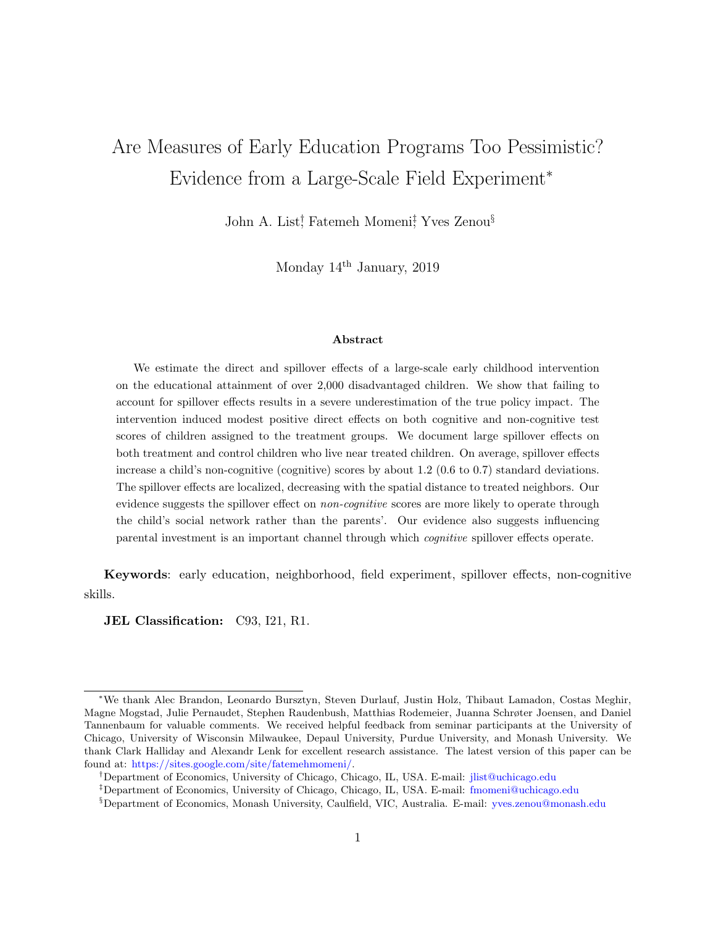# Are Measures of Early Education Programs Too Pessimistic? Evidence from a Large-Scale Field Experiment<sup>∗</sup>

John A. List<sup>†</sup>, Fatemeh Momeni<sup>‡</sup>, Yves Zenou<sup>§</sup>

Monday 14th January, 2019

#### Abstract

We estimate the direct and spillover effects of a large-scale early childhood intervention on the educational attainment of over 2,000 disadvantaged children. We show that failing to account for spillover effects results in a severe underestimation of the true policy impact. The intervention induced modest positive direct effects on both cognitive and non-cognitive test scores of children assigned to the treatment groups. We document large spillover effects on both treatment and control children who live near treated children. On average, spillover effects increase a child's non-cognitive (cognitive) scores by about 1.2 (0.6 to 0.7) standard deviations. The spillover effects are localized, decreasing with the spatial distance to treated neighbors. Our evidence suggests the spillover effect on *non-cognitive* scores are more likely to operate through the child's social network rather than the parents'. Our evidence also suggests influencing parental investment is an important channel through which cognitive spillover effects operate.

Keywords: early education, neighborhood, field experiment, spillover effects, non-cognitive skills.

JEL Classification: C93, I21, R1.

<sup>∗</sup>We thank Alec Brandon, Leonardo Bursztyn, Steven Durlauf, Justin Holz, Thibaut Lamadon, Costas Meghir, Magne Mogstad, Julie Pernaudet, Stephen Raudenbush, Matthias Rodemeier, Juanna Schrøter Joensen, and Daniel Tannenbaum for valuable comments. We received helpful feedback from seminar participants at the University of Chicago, University of Wisconsin Milwaukee, Depaul University, Purdue University, and Monash University. We thank Clark Halliday and Alexandr Lenk for excellent research assistance. The latest version of this paper can be found at: [https://sites.google.com/site/fatemehmomeni/.](https://sites.google.com/site/fatemehmomeni/)

<sup>†</sup>Department of Economics, University of Chicago, Chicago, IL, USA. E-mail: [jlist@uchicago.edu](mailto:jlist@uchicago.edu)

<sup>‡</sup>Department of Economics, University of Chicago, Chicago, IL, USA. E-mail: [fmomeni@uchicago.edu](mailto:fmomeni@uchicago.edu)

<sup>§</sup>Department of Economics, Monash University, Caulfield, VIC, Australia. E-mail: [yves.zenou@monash.edu](mailto:yves.zenou@monash.edu)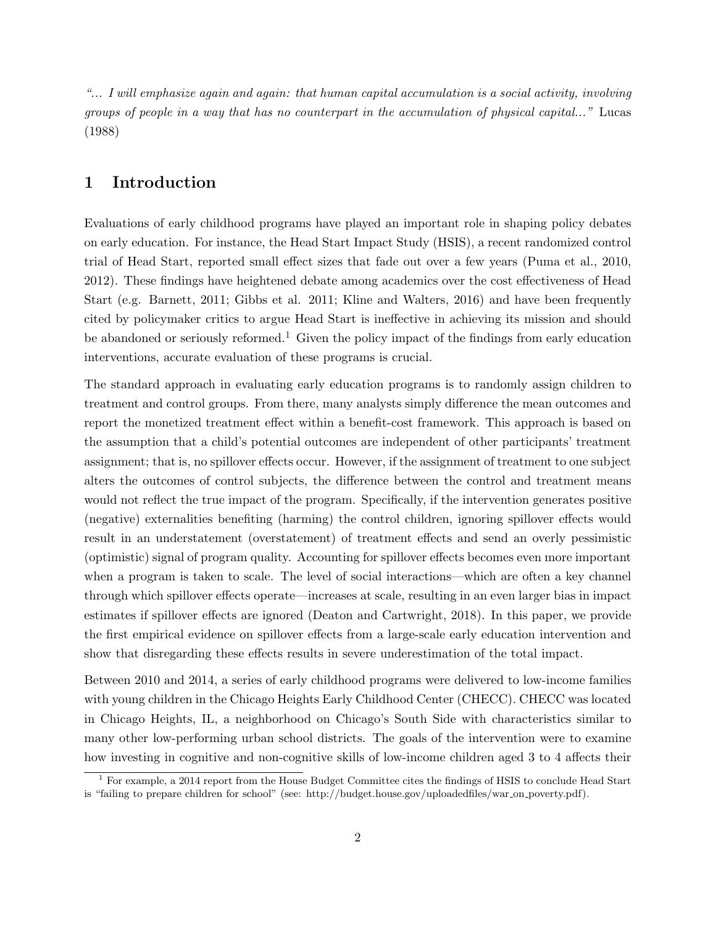"... I will emphasize again and again: that human capital accumulation is a social activity, involving groups of people in a way that has no counterpart in the accumulation of physical capital..." Lucas (1988)

## 1 Introduction

Evaluations of early childhood programs have played an important role in shaping policy debates on early education. For instance, the Head Start Impact Study (HSIS), a recent randomized control trial of Head Start, reported small effect sizes that fade out over a few years (Puma et al., 2010, 2012). These findings have heightened debate among academics over the cost effectiveness of Head Start (e.g. Barnett, 2011; Gibbs et al. 2011; Kline and Walters, 2016) and have been frequently cited by policymaker critics to argue Head Start is ineffective in achieving its mission and should be abandoned or seriously reformed.<sup>[1](#page-1-0)</sup> Given the policy impact of the findings from early education interventions, accurate evaluation of these programs is crucial.

The standard approach in evaluating early education programs is to randomly assign children to treatment and control groups. From there, many analysts simply difference the mean outcomes and report the monetized treatment effect within a benefit-cost framework. This approach is based on the assumption that a child's potential outcomes are independent of other participants' treatment assignment; that is, no spillover effects occur. However, if the assignment of treatment to one subject alters the outcomes of control subjects, the difference between the control and treatment means would not reflect the true impact of the program. Specifically, if the intervention generates positive (negative) externalities benefiting (harming) the control children, ignoring spillover effects would result in an understatement (overstatement) of treatment effects and send an overly pessimistic (optimistic) signal of program quality. Accounting for spillover effects becomes even more important when a program is taken to scale. The level of social interactions—which are often a key channel through which spillover effects operate—increases at scale, resulting in an even larger bias in impact estimates if spillover effects are ignored (Deaton and Cartwright, 2018). In this paper, we provide the first empirical evidence on spillover effects from a large-scale early education intervention and show that disregarding these effects results in severe underestimation of the total impact.

Between 2010 and 2014, a series of early childhood programs were delivered to low-income families with young children in the Chicago Heights Early Childhood Center (CHECC). CHECC was located in Chicago Heights, IL, a neighborhood on Chicago's South Side with characteristics similar to many other low-performing urban school districts. The goals of the intervention were to examine how investing in cognitive and non-cognitive skills of low-income children aged 3 to 4 affects their

<span id="page-1-0"></span><sup>1</sup> For example, a 2014 report from the House Budget Committee cites the findings of HSIS to conclude Head Start is "failing to prepare children for school" (see: http://budget.house.gov/uploadedfiles/war on poverty.pdf).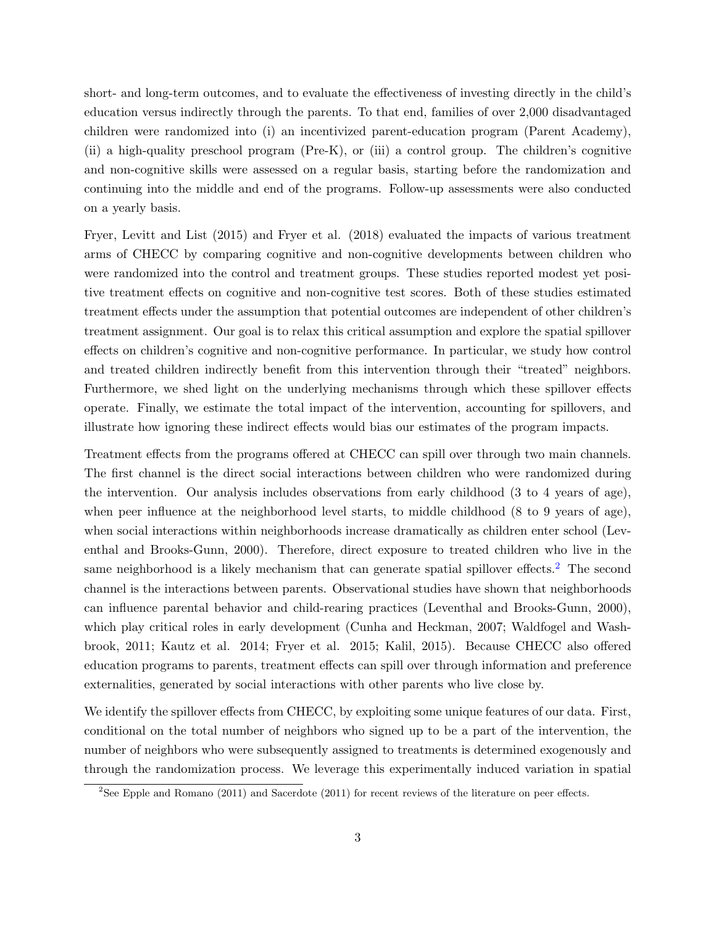short- and long-term outcomes, and to evaluate the effectiveness of investing directly in the child's education versus indirectly through the parents. To that end, families of over 2,000 disadvantaged children were randomized into (i) an incentivized parent-education program (Parent Academy), (ii) a high-quality preschool program (Pre-K), or (iii) a control group. The children's cognitive and non-cognitive skills were assessed on a regular basis, starting before the randomization and continuing into the middle and end of the programs. Follow-up assessments were also conducted on a yearly basis.

Fryer, Levitt and List (2015) and Fryer et al. (2018) evaluated the impacts of various treatment arms of CHECC by comparing cognitive and non-cognitive developments between children who were randomized into the control and treatment groups. These studies reported modest yet positive treatment effects on cognitive and non-cognitive test scores. Both of these studies estimated treatment effects under the assumption that potential outcomes are independent of other children's treatment assignment. Our goal is to relax this critical assumption and explore the spatial spillover effects on children's cognitive and non-cognitive performance. In particular, we study how control and treated children indirectly benefit from this intervention through their "treated" neighbors. Furthermore, we shed light on the underlying mechanisms through which these spillover effects operate. Finally, we estimate the total impact of the intervention, accounting for spillovers, and illustrate how ignoring these indirect effects would bias our estimates of the program impacts.

Treatment effects from the programs offered at CHECC can spill over through two main channels. The first channel is the direct social interactions between children who were randomized during the intervention. Our analysis includes observations from early childhood (3 to 4 years of age), when peer influence at the neighborhood level starts, to middle childhood  $(8 \text{ to } 9 \text{ years of age}),$ when social interactions within neighborhoods increase dramatically as children enter school (Leventhal and Brooks-Gunn, 2000). Therefore, direct exposure to treated children who live in the same neighborhood is a likely mechanism that can generate spatial spillover effects.<sup>[2](#page-2-0)</sup> The second channel is the interactions between parents. Observational studies have shown that neighborhoods can influence parental behavior and child-rearing practices (Leventhal and Brooks-Gunn, 2000), which play critical roles in early development (Cunha and Heckman, 2007; Waldfogel and Washbrook, 2011; Kautz et al. 2014; Fryer et al. 2015; Kalil, 2015). Because CHECC also offered education programs to parents, treatment effects can spill over through information and preference externalities, generated by social interactions with other parents who live close by.

We identify the spillover effects from CHECC, by exploiting some unique features of our data. First, conditional on the total number of neighbors who signed up to be a part of the intervention, the number of neighbors who were subsequently assigned to treatments is determined exogenously and through the randomization process. We leverage this experimentally induced variation in spatial

<span id="page-2-0"></span><sup>2</sup>See Epple and Romano (2011) and Sacerdote (2011) for recent reviews of the literature on peer effects.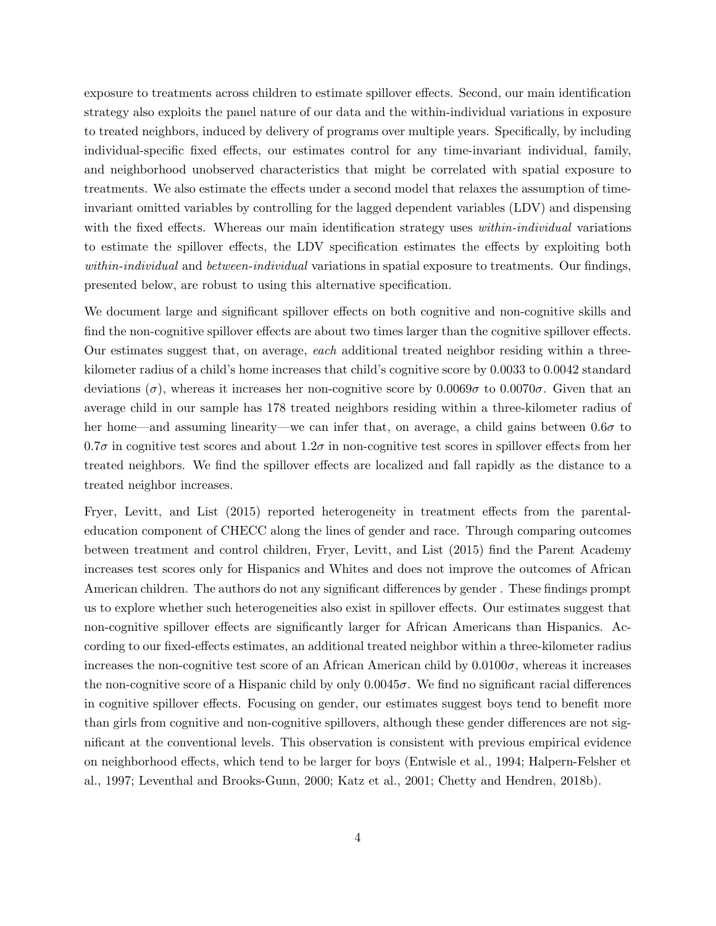exposure to treatments across children to estimate spillover effects. Second, our main identification strategy also exploits the panel nature of our data and the within-individual variations in exposure to treated neighbors, induced by delivery of programs over multiple years. Specifically, by including individual-specific fixed effects, our estimates control for any time-invariant individual, family, and neighborhood unobserved characteristics that might be correlated with spatial exposure to treatments. We also estimate the effects under a second model that relaxes the assumption of timeinvariant omitted variables by controlling for the lagged dependent variables (LDV) and dispensing with the fixed effects. Whereas our main identification strategy uses *within-individual* variations to estimate the spillover effects, the LDV specification estimates the effects by exploiting both within-individual and between-individual variations in spatial exposure to treatments. Our findings, presented below, are robust to using this alternative specification.

We document large and significant spillover effects on both cognitive and non-cognitive skills and find the non-cognitive spillover effects are about two times larger than the cognitive spillover effects. Our estimates suggest that, on average, each additional treated neighbor residing within a threekilometer radius of a child's home increases that child's cognitive score by 0.0033 to 0.0042 standard deviations ( $\sigma$ ), whereas it increases her non-cognitive score by 0.0069 $\sigma$  to 0.0070 $\sigma$ . Given that an average child in our sample has 178 treated neighbors residing within a three-kilometer radius of her home—and assuming linearity—we can infer that, on average, a child gains between  $0.6\sigma$  to  $0.7\sigma$  in cognitive test scores and about  $1.2\sigma$  in non-cognitive test scores in spillover effects from her treated neighbors. We find the spillover effects are localized and fall rapidly as the distance to a treated neighbor increases.

Fryer, Levitt, and List (2015) reported heterogeneity in treatment effects from the parentaleducation component of CHECC along the lines of gender and race. Through comparing outcomes between treatment and control children, Fryer, Levitt, and List (2015) find the Parent Academy increases test scores only for Hispanics and Whites and does not improve the outcomes of African American children. The authors do not any significant differences by gender . These findings prompt us to explore whether such heterogeneities also exist in spillover effects. Our estimates suggest that non-cognitive spillover effects are significantly larger for African Americans than Hispanics. According to our fixed-effects estimates, an additional treated neighbor within a three-kilometer radius increases the non-cognitive test score of an African American child by  $0.0100\sigma$ , whereas it increases the non-cognitive score of a Hispanic child by only  $0.0045\sigma$ . We find no significant racial differences in cognitive spillover effects. Focusing on gender, our estimates suggest boys tend to benefit more than girls from cognitive and non-cognitive spillovers, although these gender differences are not significant at the conventional levels. This observation is consistent with previous empirical evidence on neighborhood effects, which tend to be larger for boys (Entwisle et al., 1994; Halpern-Felsher et al., 1997; Leventhal and Brooks-Gunn, 2000; Katz et al., 2001; Chetty and Hendren, 2018b).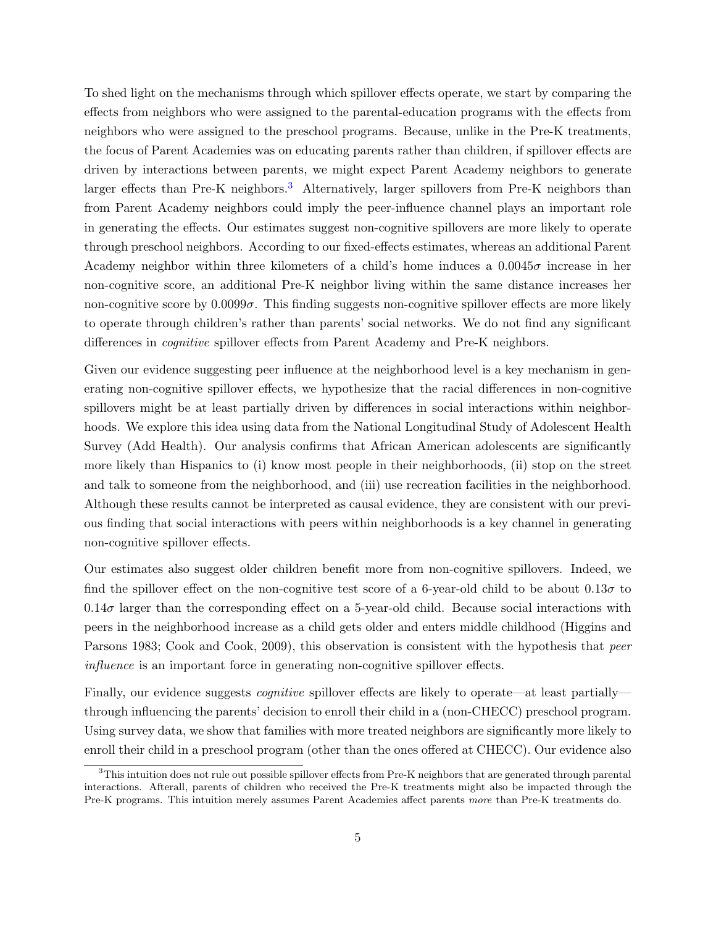To shed light on the mechanisms through which spillover effects operate, we start by comparing the effects from neighbors who were assigned to the parental-education programs with the effects from neighbors who were assigned to the preschool programs. Because, unlike in the Pre-K treatments, the focus of Parent Academies was on educating parents rather than children, if spillover effects are driven by interactions between parents, we might expect Parent Academy neighbors to generate larger effects than Pre-K neighbors.<sup>[3](#page-4-0)</sup> Alternatively, larger spillovers from Pre-K neighbors than from Parent Academy neighbors could imply the peer-influence channel plays an important role in generating the effects. Our estimates suggest non-cognitive spillovers are more likely to operate through preschool neighbors. According to our fixed-effects estimates, whereas an additional Parent Academy neighbor within three kilometers of a child's home induces a  $0.0045\sigma$  increase in her non-cognitive score, an additional Pre-K neighbor living within the same distance increases her non-cognitive score by  $0.0099\sigma$ . This finding suggests non-cognitive spillover effects are more likely to operate through children's rather than parents' social networks. We do not find any significant differences in cognitive spillover effects from Parent Academy and Pre-K neighbors.

Given our evidence suggesting peer influence at the neighborhood level is a key mechanism in generating non-cognitive spillover effects, we hypothesize that the racial differences in non-cognitive spillovers might be at least partially driven by differences in social interactions within neighborhoods. We explore this idea using data from the National Longitudinal Study of Adolescent Health Survey (Add Health). Our analysis confirms that African American adolescents are significantly more likely than Hispanics to (i) know most people in their neighborhoods, (ii) stop on the street and talk to someone from the neighborhood, and (iii) use recreation facilities in the neighborhood. Although these results cannot be interpreted as causal evidence, they are consistent with our previous finding that social interactions with peers within neighborhoods is a key channel in generating non-cognitive spillover effects.

Our estimates also suggest older children benefit more from non-cognitive spillovers. Indeed, we find the spillover effect on the non-cognitive test score of a 6-year-old child to be about  $0.13\sigma$  to  $0.14\sigma$  larger than the corresponding effect on a 5-year-old child. Because social interactions with peers in the neighborhood increase as a child gets older and enters middle childhood (Higgins and Parsons 1983; Cook and Cook, 2009), this observation is consistent with the hypothesis that *peer* influence is an important force in generating non-cognitive spillover effects.

Finally, our evidence suggests *cognitive* spillover effects are likely to operate—at least partially through influencing the parents' decision to enroll their child in a (non-CHECC) preschool program. Using survey data, we show that families with more treated neighbors are significantly more likely to enroll their child in a preschool program (other than the ones offered at CHECC). Our evidence also

<span id="page-4-0"></span> $3$ This intuition does not rule out possible spillover effects from Pre-K neighbors that are generated through parental interactions. Afterall, parents of children who received the Pre-K treatments might also be impacted through the Pre-K programs. This intuition merely assumes Parent Academies affect parents more than Pre-K treatments do.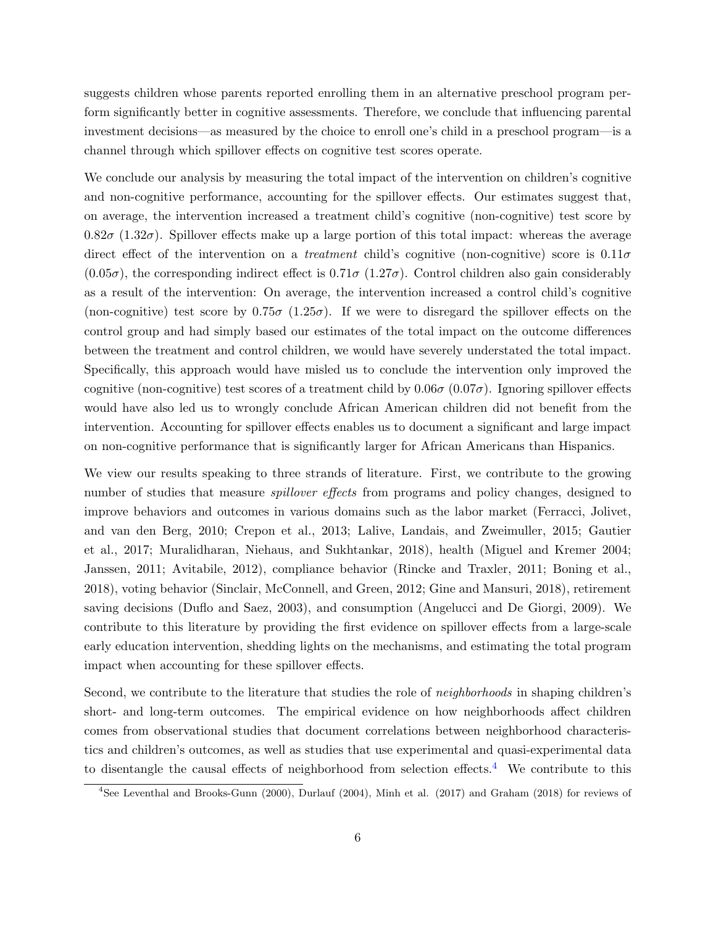suggests children whose parents reported enrolling them in an alternative preschool program perform significantly better in cognitive assessments. Therefore, we conclude that influencing parental investment decisions—as measured by the choice to enroll one's child in a preschool program—is a channel through which spillover effects on cognitive test scores operate.

We conclude our analysis by measuring the total impact of the intervention on children's cognitive and non-cognitive performance, accounting for the spillover effects. Our estimates suggest that, on average, the intervention increased a treatment child's cognitive (non-cognitive) test score by  $0.82\sigma$  (1.32 $\sigma$ ). Spillover effects make up a large portion of this total impact: whereas the average direct effect of the intervention on a *treatment* child's cognitive (non-cognitive) score is  $0.11\sigma$  $(0.05\sigma)$ , the corresponding indirect effect is  $0.71\sigma$  (1.27 $\sigma$ ). Control children also gain considerably as a result of the intervention: On average, the intervention increased a control child's cognitive (non-cognitive) test score by  $0.75\sigma$   $(1.25\sigma)$ . If we were to disregard the spillover effects on the control group and had simply based our estimates of the total impact on the outcome differences between the treatment and control children, we would have severely understated the total impact. Specifically, this approach would have misled us to conclude the intervention only improved the cognitive (non-cognitive) test scores of a treatment child by  $0.06\sigma$   $(0.07\sigma)$ . Ignoring spillover effects would have also led us to wrongly conclude African American children did not benefit from the intervention. Accounting for spillover effects enables us to document a significant and large impact on non-cognitive performance that is significantly larger for African Americans than Hispanics.

We view our results speaking to three strands of literature. First, we contribute to the growing number of studies that measure *spillover effects* from programs and policy changes, designed to improve behaviors and outcomes in various domains such as the labor market (Ferracci, Jolivet, and van den Berg, 2010; Crepon et al., 2013; Lalive, Landais, and Zweimuller, 2015; Gautier et al., 2017; Muralidharan, Niehaus, and Sukhtankar, 2018), health (Miguel and Kremer 2004; Janssen, 2011; Avitabile, 2012), compliance behavior (Rincke and Traxler, 2011; Boning et al., 2018), voting behavior (Sinclair, McConnell, and Green, 2012; Gine and Mansuri, 2018), retirement saving decisions (Duflo and Saez, 2003), and consumption (Angelucci and De Giorgi, 2009). We contribute to this literature by providing the first evidence on spillover effects from a large-scale early education intervention, shedding lights on the mechanisms, and estimating the total program impact when accounting for these spillover effects.

Second, we contribute to the literature that studies the role of *neighborhoods* in shaping children's short- and long-term outcomes. The empirical evidence on how neighborhoods affect children comes from observational studies that document correlations between neighborhood characteristics and children's outcomes, as well as studies that use experimental and quasi-experimental data to disentangle the causal effects of neighborhood from selection effects.<sup>[4](#page-5-0)</sup> We contribute to this

<span id="page-5-0"></span><sup>4</sup>See Leventhal and Brooks-Gunn (2000), Durlauf (2004), Minh et al. (2017) and Graham (2018) for reviews of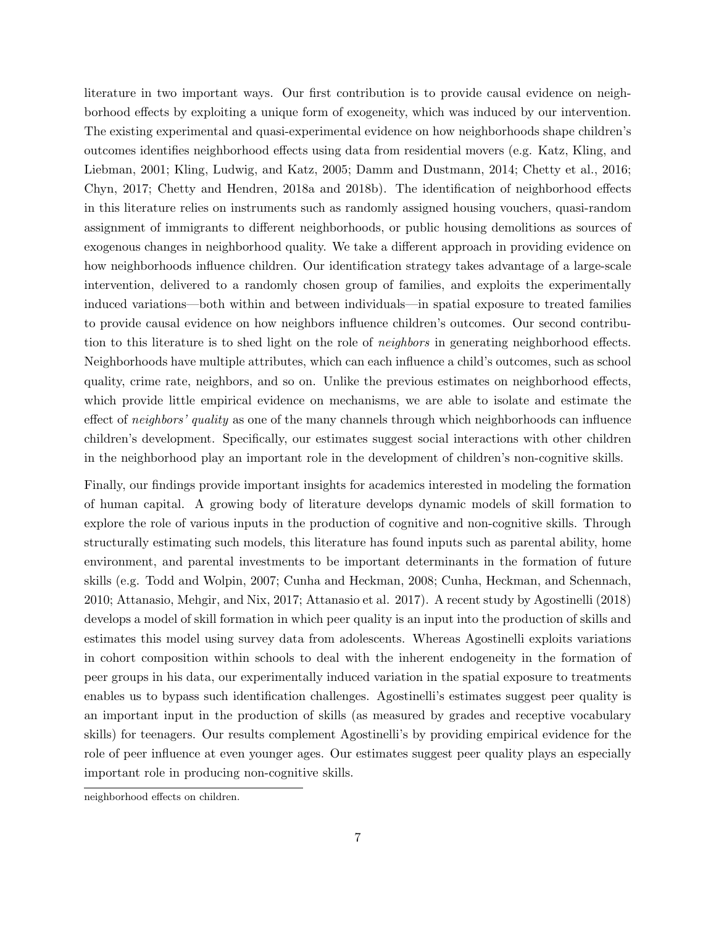literature in two important ways. Our first contribution is to provide causal evidence on neighborhood effects by exploiting a unique form of exogeneity, which was induced by our intervention. The existing experimental and quasi-experimental evidence on how neighborhoods shape children's outcomes identifies neighborhood effects using data from residential movers (e.g. Katz, Kling, and Liebman, 2001; Kling, Ludwig, and Katz, 2005; Damm and Dustmann, 2014; Chetty et al., 2016; Chyn, 2017; Chetty and Hendren, 2018a and 2018b). The identification of neighborhood effects in this literature relies on instruments such as randomly assigned housing vouchers, quasi-random assignment of immigrants to different neighborhoods, or public housing demolitions as sources of exogenous changes in neighborhood quality. We take a different approach in providing evidence on how neighborhoods influence children. Our identification strategy takes advantage of a large-scale intervention, delivered to a randomly chosen group of families, and exploits the experimentally induced variations—both within and between individuals—in spatial exposure to treated families to provide causal evidence on how neighbors influence children's outcomes. Our second contribution to this literature is to shed light on the role of *neighbors* in generating neighborhood effects. Neighborhoods have multiple attributes, which can each influence a child's outcomes, such as school quality, crime rate, neighbors, and so on. Unlike the previous estimates on neighborhood effects, which provide little empirical evidence on mechanisms, we are able to isolate and estimate the effect of *neighbors' quality* as one of the many channels through which neighborhoods can influence children's development. Specifically, our estimates suggest social interactions with other children in the neighborhood play an important role in the development of children's non-cognitive skills.

Finally, our findings provide important insights for academics interested in modeling the formation of human capital. A growing body of literature develops dynamic models of skill formation to explore the role of various inputs in the production of cognitive and non-cognitive skills. Through structurally estimating such models, this literature has found inputs such as parental ability, home environment, and parental investments to be important determinants in the formation of future skills (e.g. Todd and Wolpin, 2007; Cunha and Heckman, 2008; Cunha, Heckman, and Schennach, 2010; Attanasio, Mehgir, and Nix, 2017; Attanasio et al. 2017). A recent study by Agostinelli (2018) develops a model of skill formation in which peer quality is an input into the production of skills and estimates this model using survey data from adolescents. Whereas Agostinelli exploits variations in cohort composition within schools to deal with the inherent endogeneity in the formation of peer groups in his data, our experimentally induced variation in the spatial exposure to treatments enables us to bypass such identification challenges. Agostinelli's estimates suggest peer quality is an important input in the production of skills (as measured by grades and receptive vocabulary skills) for teenagers. Our results complement Agostinelli's by providing empirical evidence for the role of peer influence at even younger ages. Our estimates suggest peer quality plays an especially important role in producing non-cognitive skills.

neighborhood effects on children.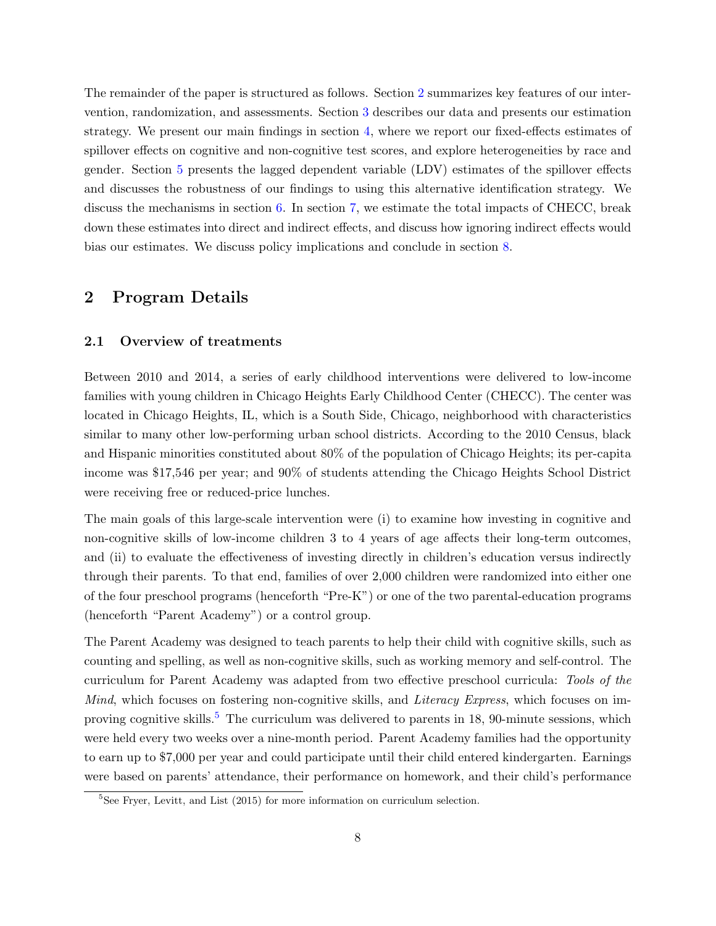The remainder of the paper is structured as follows. Section [2](#page-7-0) summarizes key features of our intervention, randomization, and assessments. Section [3](#page-10-0) describes our data and presents our estimation strategy. We present our main findings in section [4,](#page-15-0) where we report our fixed-effects estimates of spillover effects on cognitive and non-cognitive test scores, and explore heterogeneities by race and gender. Section [5](#page-19-0) presents the lagged dependent variable (LDV) estimates of the spillover effects and discusses the robustness of our findings to using this alternative identification strategy. We discuss the mechanisms in section [6.](#page-23-0) In section [7,](#page-31-0) we estimate the total impacts of CHECC, break down these estimates into direct and indirect effects, and discuss how ignoring indirect effects would bias our estimates. We discuss policy implications and conclude in section [8.](#page-34-0)

## <span id="page-7-0"></span>2 Program Details

#### 2.1 Overview of treatments

Between 2010 and 2014, a series of early childhood interventions were delivered to low-income families with young children in Chicago Heights Early Childhood Center (CHECC). The center was located in Chicago Heights, IL, which is a South Side, Chicago, neighborhood with characteristics similar to many other low-performing urban school districts. According to the 2010 Census, black and Hispanic minorities constituted about 80% of the population of Chicago Heights; its per-capita income was \$17,546 per year; and 90% of students attending the Chicago Heights School District were receiving free or reduced-price lunches.

The main goals of this large-scale intervention were (i) to examine how investing in cognitive and non-cognitive skills of low-income children 3 to 4 years of age affects their long-term outcomes, and (ii) to evaluate the effectiveness of investing directly in children's education versus indirectly through their parents. To that end, families of over 2,000 children were randomized into either one of the four preschool programs (henceforth "Pre-K") or one of the two parental-education programs (henceforth "Parent Academy") or a control group.

The Parent Academy was designed to teach parents to help their child with cognitive skills, such as counting and spelling, as well as non-cognitive skills, such as working memory and self-control. The curriculum for Parent Academy was adapted from two effective preschool curricula: Tools of the Mind, which focuses on fostering non-cognitive skills, and Literacy Express, which focuses on im-proving cognitive skills.<sup>[5](#page-7-1)</sup> The curriculum was delivered to parents in 18, 90-minute sessions, which were held every two weeks over a nine-month period. Parent Academy families had the opportunity to earn up to \$7,000 per year and could participate until their child entered kindergarten. Earnings were based on parents' attendance, their performance on homework, and their child's performance

<span id="page-7-1"></span> ${}^{5}$ See Fryer, Levitt, and List (2015) for more information on curriculum selection.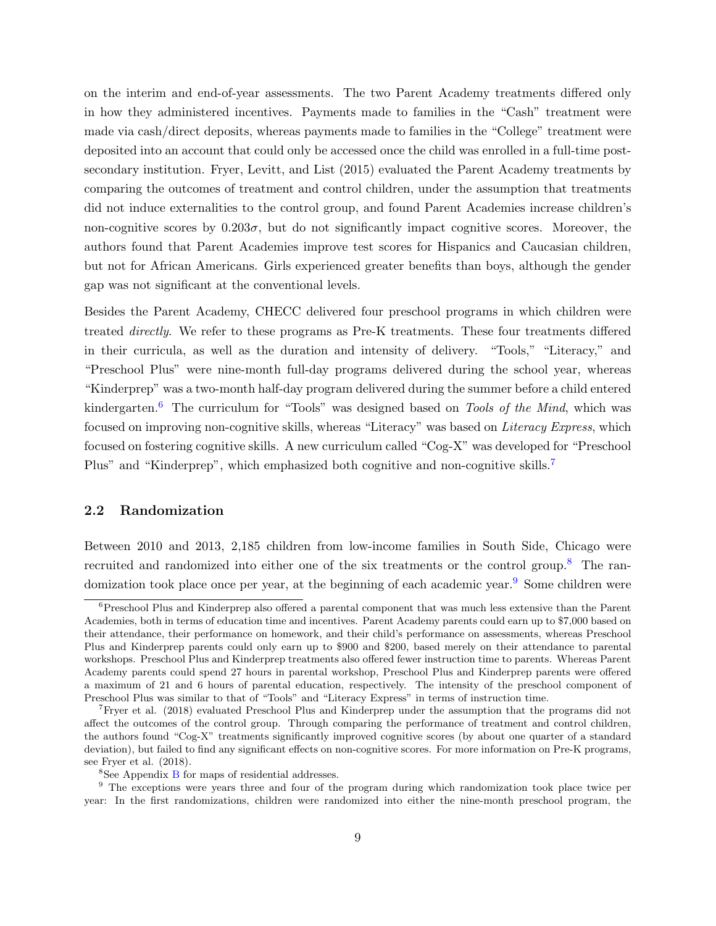on the interim and end-of-year assessments. The two Parent Academy treatments differed only in how they administered incentives. Payments made to families in the "Cash" treatment were made via cash/direct deposits, whereas payments made to families in the "College" treatment were deposited into an account that could only be accessed once the child was enrolled in a full-time postsecondary institution. Fryer, Levitt, and List (2015) evaluated the Parent Academy treatments by comparing the outcomes of treatment and control children, under the assumption that treatments did not induce externalities to the control group, and found Parent Academies increase children's non-cognitive scores by  $0.203\sigma$ , but do not significantly impact cognitive scores. Moreover, the authors found that Parent Academies improve test scores for Hispanics and Caucasian children, but not for African Americans. Girls experienced greater benefits than boys, although the gender gap was not significant at the conventional levels.

Besides the Parent Academy, CHECC delivered four preschool programs in which children were treated directly. We refer to these programs as Pre-K treatments. These four treatments differed in their curricula, as well as the duration and intensity of delivery. "Tools," "Literacy," and "Preschool Plus" were nine-month full-day programs delivered during the school year, whereas "Kinderprep" was a two-month half-day program delivered during the summer before a child entered kindergarten.<sup>[6](#page-8-0)</sup> The curriculum for "Tools" was designed based on *Tools of the Mind*, which was focused on improving non-cognitive skills, whereas "Literacy" was based on Literacy Express, which focused on fostering cognitive skills. A new curriculum called "Cog-X" was developed for "Preschool Plus" and "Kinderprep", which emphasized both cognitive and non-cognitive skills.[7](#page-8-1)

#### 2.2 Randomization

Between 2010 and 2013, 2,185 children from low-income families in South Side, Chicago were recruited and randomized into either one of the six treatments or the control group.<sup>[8](#page-8-2)</sup> The ran-domization took place once per year, at the beginning of each academic year.<sup>[9](#page-8-3)</sup> Some children were

<span id="page-8-0"></span><sup>6</sup>Preschool Plus and Kinderprep also offered a parental component that was much less extensive than the Parent Academies, both in terms of education time and incentives. Parent Academy parents could earn up to \$7,000 based on their attendance, their performance on homework, and their child's performance on assessments, whereas Preschool Plus and Kinderprep parents could only earn up to \$900 and \$200, based merely on their attendance to parental workshops. Preschool Plus and Kinderprep treatments also offered fewer instruction time to parents. Whereas Parent Academy parents could spend 27 hours in parental workshop, Preschool Plus and Kinderprep parents were offered a maximum of 21 and 6 hours of parental education, respectively. The intensity of the preschool component of Preschool Plus was similar to that of "Tools" and "Literacy Express" in terms of instruction time.

<span id="page-8-1"></span><sup>&</sup>lt;sup>7</sup>Fryer et al. (2018) evaluated Preschool Plus and Kinderprep under the assumption that the programs did not affect the outcomes of the control group. Through comparing the performance of treatment and control children, the authors found "Cog-X" treatments significantly improved cognitive scores (by about one quarter of a standard deviation), but failed to find any significant effects on non-cognitive scores. For more information on Pre-K programs, see Fryer et al. (2018).

<span id="page-8-3"></span><span id="page-8-2"></span> ${}^{8}$ See Appendix [B](#page-43-0) for maps of residential addresses.

<sup>&</sup>lt;sup>9</sup> The exceptions were years three and four of the program during which randomization took place twice per year: In the first randomizations, children were randomized into either the nine-month preschool program, the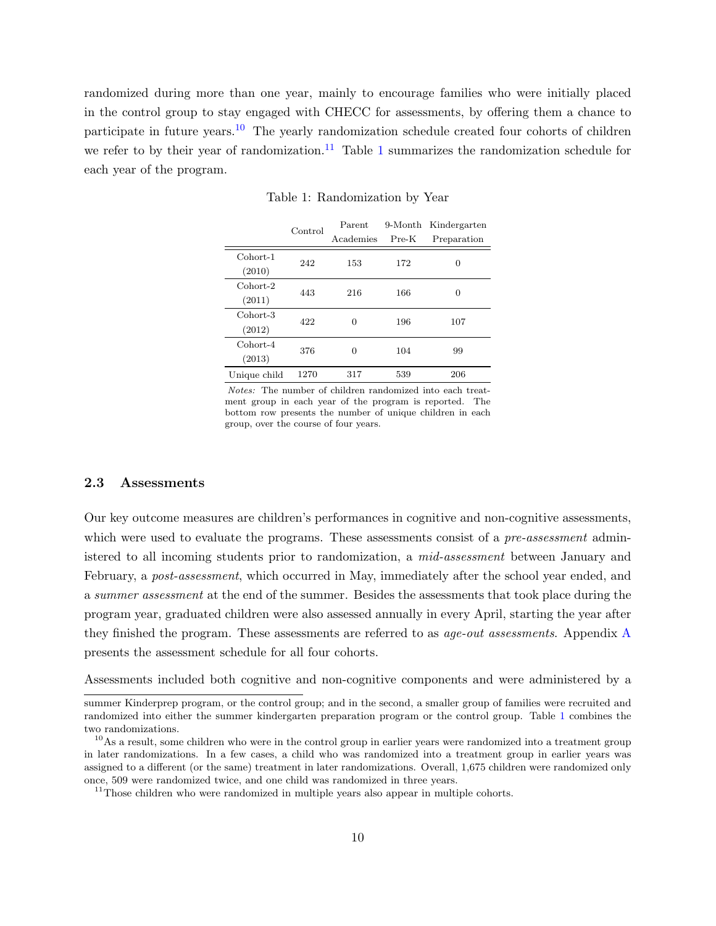<span id="page-9-2"></span>randomized during more than one year, mainly to encourage families who were initially placed in the control group to stay engaged with CHECC for assessments, by offering them a chance to participate in future years.<sup>[10](#page-9-0)</sup> The yearly randomization schedule created four cohorts of children we refer to by their year of randomization.<sup>[11](#page-9-1)</sup> Table [1](#page-9-2) summarizes the randomization schedule for each year of the program.

|              | Control | Parent    | 9-Month | Kindergarten |  |
|--------------|---------|-----------|---------|--------------|--|
|              |         | Academies | $Pre-K$ | Preparation  |  |
| Cohort-1     | 242     | 153       | 172     | 0            |  |
| (2010)       |         |           |         |              |  |
| Cohort-2     | 443     | 216       | 166     | 0            |  |
| (2011)       |         |           |         |              |  |
| Cohort-3     | 422     | 0         | 196     | 107          |  |
| (2012)       |         |           |         |              |  |
| $Cohort-4$   | 376     | 0         | 104     | 99           |  |
| (2013)       |         |           |         |              |  |
| Unique child | 1270    | 317       | 539     | 206          |  |

Table 1: Randomization by Year

Notes: The number of children randomized into each treatment group in each year of the program is reported. The bottom row presents the number of unique children in each group, over the course of four years.

### 2.3 Assessments

Our key outcome measures are children's performances in cognitive and non-cognitive assessments, which were used to evaluate the programs. These assessments consist of a *pre-assessment* administered to all incoming students prior to randomization, a *mid-assessment* between January and February, a *post-assessment*, which occurred in May, immediately after the school year ended, and a summer assessment at the end of the summer. Besides the assessments that took place during the program year, graduated children were also assessed annually in every April, starting the year after they finished the program. These assessments are referred to as *age-out assessments*. [A](#page-43-1)ppendix A presents the assessment schedule for all four cohorts.

Assessments included both cognitive and non-cognitive components and were administered by a

summer Kinderprep program, or the control group; and in the second, a smaller group of families were recruited and randomized into either the summer kindergarten preparation program or the control group. Table [1](#page-9-2) combines the two randomizations.

<span id="page-9-0"></span><sup>&</sup>lt;sup>10</sup>As a result, some children who were in the control group in earlier years were randomized into a treatment group in later randomizations. In a few cases, a child who was randomized into a treatment group in earlier years was assigned to a different (or the same) treatment in later randomizations. Overall, 1,675 children were randomized only once, 509 were randomized twice, and one child was randomized in three years.

<span id="page-9-1"></span> $11$ Those children who were randomized in multiple years also appear in multiple cohorts.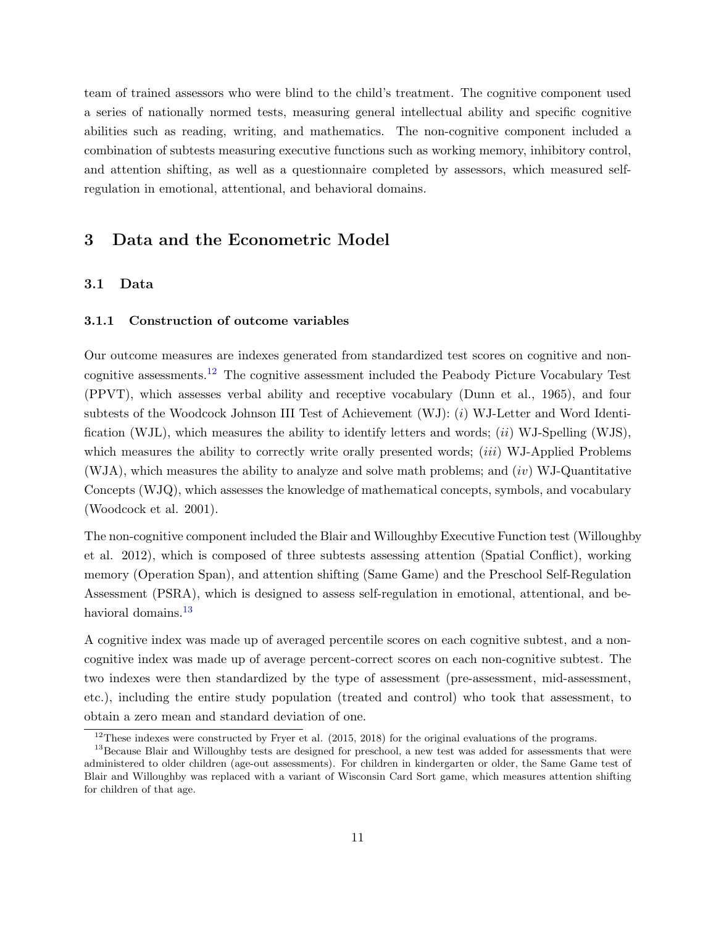team of trained assessors who were blind to the child's treatment. The cognitive component used a series of nationally normed tests, measuring general intellectual ability and specific cognitive abilities such as reading, writing, and mathematics. The non-cognitive component included a combination of subtests measuring executive functions such as working memory, inhibitory control, and attention shifting, as well as a questionnaire completed by assessors, which measured selfregulation in emotional, attentional, and behavioral domains.

## <span id="page-10-0"></span>3 Data and the Econometric Model

#### 3.1 Data

### 3.1.1 Construction of outcome variables

Our outcome measures are indexes generated from standardized test scores on cognitive and noncognitive assessments.[12](#page-10-1) The cognitive assessment included the Peabody Picture Vocabulary Test (PPVT), which assesses verbal ability and receptive vocabulary (Dunn et al., 1965), and four subtests of the Woodcock Johnson III Test of Achievement (WJ): (i) WJ-Letter and Word Identification (WJL), which measures the ability to identify letters and words;  $(ii)$  WJ-Spelling (WJS), which measures the ability to correctly write orally presented words; *(iii)* WJ-Applied Problems  $(WJA)$ , which measures the ability to analyze and solve math problems; and  $(iv)$  WJ-Quantitative Concepts (WJQ), which assesses the knowledge of mathematical concepts, symbols, and vocabulary (Woodcock et al. 2001).

The non-cognitive component included the Blair and Willoughby Executive Function test (Willoughby et al. 2012), which is composed of three subtests assessing attention (Spatial Conflict), working memory (Operation Span), and attention shifting (Same Game) and the Preschool Self-Regulation Assessment (PSRA), which is designed to assess self-regulation in emotional, attentional, and be-havioral domains.<sup>[13](#page-10-2)</sup>

A cognitive index was made up of averaged percentile scores on each cognitive subtest, and a noncognitive index was made up of average percent-correct scores on each non-cognitive subtest. The two indexes were then standardized by the type of assessment (pre-assessment, mid-assessment, etc.), including the entire study population (treated and control) who took that assessment, to obtain a zero mean and standard deviation of one.

<span id="page-10-2"></span><span id="page-10-1"></span><sup>&</sup>lt;sup>12</sup>These indexes were constructed by Fryer et al. (2015, 2018) for the original evaluations of the programs.

<sup>&</sup>lt;sup>13</sup>Because Blair and Willoughby tests are designed for preschool, a new test was added for assessments that were administered to older children (age-out assessments). For children in kindergarten or older, the Same Game test of Blair and Willoughby was replaced with a variant of Wisconsin Card Sort game, which measures attention shifting for children of that age.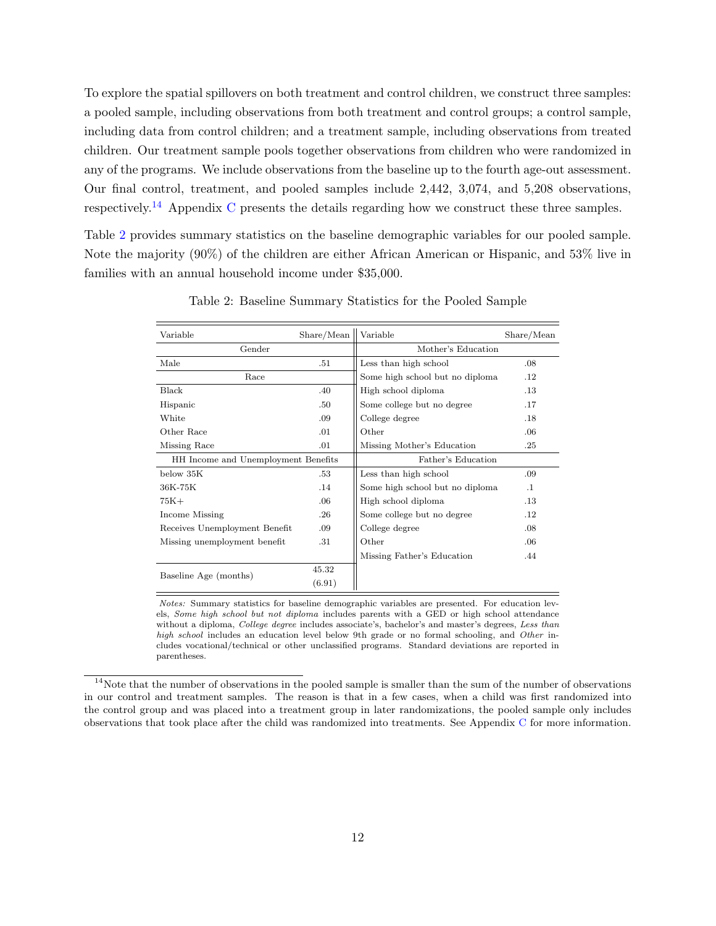To explore the spatial spillovers on both treatment and control children, we construct three samples: a pooled sample, including observations from both treatment and control groups; a control sample, including data from control children; and a treatment sample, including observations from treated children. Our treatment sample pools together observations from children who were randomized in any of the programs. We include observations from the baseline up to the fourth age-out assessment. Our final control, treatment, and pooled samples include 2,442, 3,074, and 5,208 observations, respectively.[14](#page-11-0) Appendix [C](#page-46-0) presents the details regarding how we construct these three samples.

Table [2](#page-11-1) provides summary statistics on the baseline demographic variables for our pooled sample. Note the majority (90%) of the children are either African American or Hispanic, and 53% live in families with an annual household income under \$35,000.

<span id="page-11-1"></span>

| Variable                            | Share/Mean | Variable                        | Share/Mean |  |  |  |
|-------------------------------------|------------|---------------------------------|------------|--|--|--|
| Gender                              |            | Mother's Education              |            |  |  |  |
| Male                                | .51        | Less than high school           | .08        |  |  |  |
| Race                                |            | Some high school but no diploma | .12        |  |  |  |
| Black                               | .40        | High school diploma             | $.13\,$    |  |  |  |
| Hispanic                            | .50        | Some college but no degree      | .17        |  |  |  |
| White                               | .09        | College degree                  | .18        |  |  |  |
| Other Race                          | .01        | Other                           | .06        |  |  |  |
| Missing Race                        | .01        | Missing Mother's Education      | .25        |  |  |  |
| HH Income and Unemployment Benefits |            | Father's Education              |            |  |  |  |
| below 35K                           | .53        | Less than high school           | .09        |  |  |  |
| 36K-75K                             | .14        | Some high school but no diploma | $\cdot$ 1  |  |  |  |
| $75K+$                              | .06        | High school diploma             | .13        |  |  |  |
| Income Missing                      | .26        | Some college but no degree      | .12        |  |  |  |
| Receives Unemployment Benefit       | .09        | College degree                  | .08        |  |  |  |
| Missing unemployment benefit<br>.31 |            | Other                           | .06        |  |  |  |
|                                     |            | Missing Father's Education      | .44        |  |  |  |
|                                     | 45.32      |                                 |            |  |  |  |
| Baseline Age (months)               | (6.91)     |                                 |            |  |  |  |

Table 2: Baseline Summary Statistics for the Pooled Sample

Notes: Summary statistics for baseline demographic variables are presented. For education levels, Some high school but not diploma includes parents with a GED or high school attendance without a diploma, College degree includes associate's, bachelor's and master's degrees, Less than high school includes an education level below 9th grade or no formal schooling, and Other includes vocational/technical or other unclassified programs. Standard deviations are reported in parentheses.

<span id="page-11-0"></span> $14$ Note that the number of observations in the pooled sample is smaller than the sum of the number of observations in our control and treatment samples. The reason is that in a few cases, when a child was first randomized into the control group and was placed into a treatment group in later randomizations, the pooled sample only includes observations that took place after the child was randomized into treatments. See Appendix [C](#page-46-0) for more information.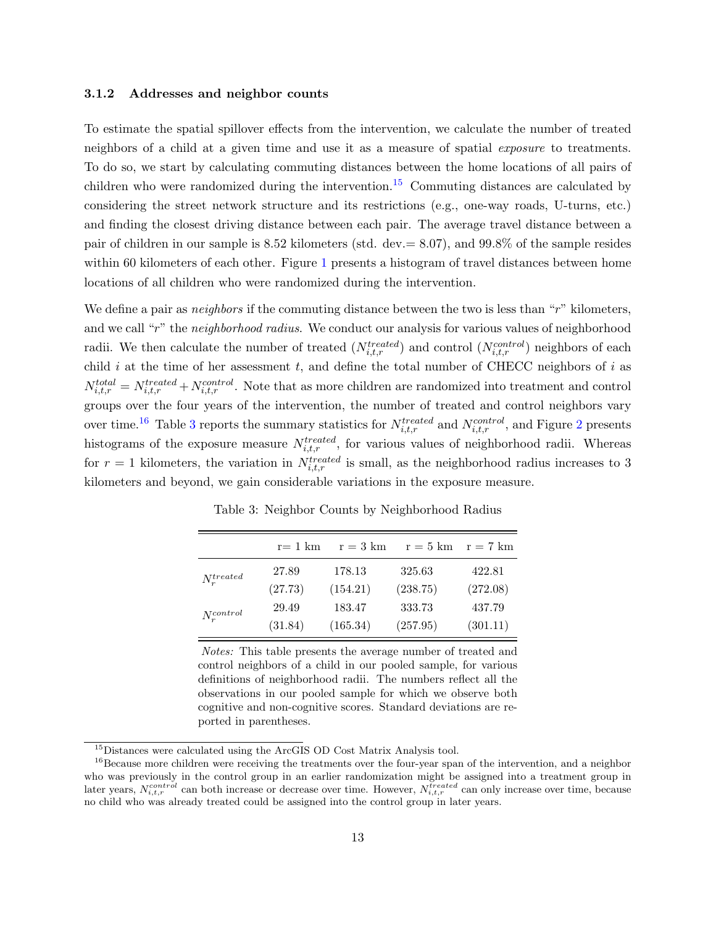#### 3.1.2 Addresses and neighbor counts

To estimate the spatial spillover effects from the intervention, we calculate the number of treated neighbors of a child at a given time and use it as a measure of spatial *exposure* to treatments. To do so, we start by calculating commuting distances between the home locations of all pairs of children who were randomized during the intervention.<sup>[15](#page-12-0)</sup> Commuting distances are calculated by considering the street network structure and its restrictions (e.g., one-way roads, U-turns, etc.) and finding the closest driving distance between each pair. The average travel distance between a pair of children in our sample is 8.52 kilometers (std. dev.= 8.07), and 99.8% of the sample resides within 60 kilometers of each other. Figure [1](#page-13-0) presents a histogram of travel distances between home locations of all children who were randomized during the intervention.

We define a pair as *neighbors* if the commuting distance between the two is less than "r" kilometers, and we call "r" the neighborhood radius. We conduct our analysis for various values of neighborhood radii. We then calculate the number of treated  $(N_{i,t,r}^{treated})$  and control  $(N_{i,t,r}^{control})$  neighbors of each child  $i$  at the time of her assessment  $t$ , and define the total number of CHECC neighbors of  $i$  as  $N_{i,t,r}^{total} = N_{i,t,r}^{treated} + N_{i,t,r}^{control}$ . Note that as more children are randomized into treatment and control groups over the four years of the intervention, the number of treated and control neighbors vary over time.<sup>[16](#page-12-1)</sup> Table [3](#page-12-2) reports the summary statistics for  $N_{i,t,r}^{treated}$  and  $N_{i,t,r}^{control}$ , and Figure [2](#page-14-0) presents histograms of the exposure measure  $N_{i,t,r}^{treated}$ , for various values of neighborhood radii. Whereas for  $r = 1$  kilometers, the variation in  $N_{i,t,r}^{treated}$  is small, as the neighborhood radius increases to 3 kilometers and beyond, we gain considerable variations in the exposure measure.

<span id="page-12-2"></span>

|                 | $r=1$ km | $r = 3 \text{ km}$ | $r = 5$ km | $r = 7 \text{ km}$ |
|-----------------|----------|--------------------|------------|--------------------|
| $N_r^{treated}$ | 27.89    | 178.13             | 325.63     | 422.81             |
|                 | (27.73)  | (154.21)           | (238.75)   | (272.08)           |
| $N_r^{control}$ | 29.49    | 183.47             | 333.73     | 437.79             |
|                 | (31.84)  | (165.34)           | (257.95)   | (301.11)           |

Table 3: Neighbor Counts by Neighborhood Radius

Notes: This table presents the average number of treated and control neighbors of a child in our pooled sample, for various definitions of neighborhood radii. The numbers reflect all the observations in our pooled sample for which we observe both cognitive and non-cognitive scores. Standard deviations are reported in parentheses.

<span id="page-12-1"></span><span id="page-12-0"></span><sup>&</sup>lt;sup>15</sup>Distances were calculated using the ArcGIS OD Cost Matrix Analysis tool.

<sup>&</sup>lt;sup>16</sup>Because more children were receiving the treatments over the four-year span of the intervention, and a neighbor who was previously in the control group in an earlier randomization might be assigned into a treatment group in later years,  $N_{i,t,r}^{control}$  can both increase or decrease over time. However,  $N_{i,t,r}^{treated}$  can only increase over time, because no child who was already treated could be assigned into the control group in later years.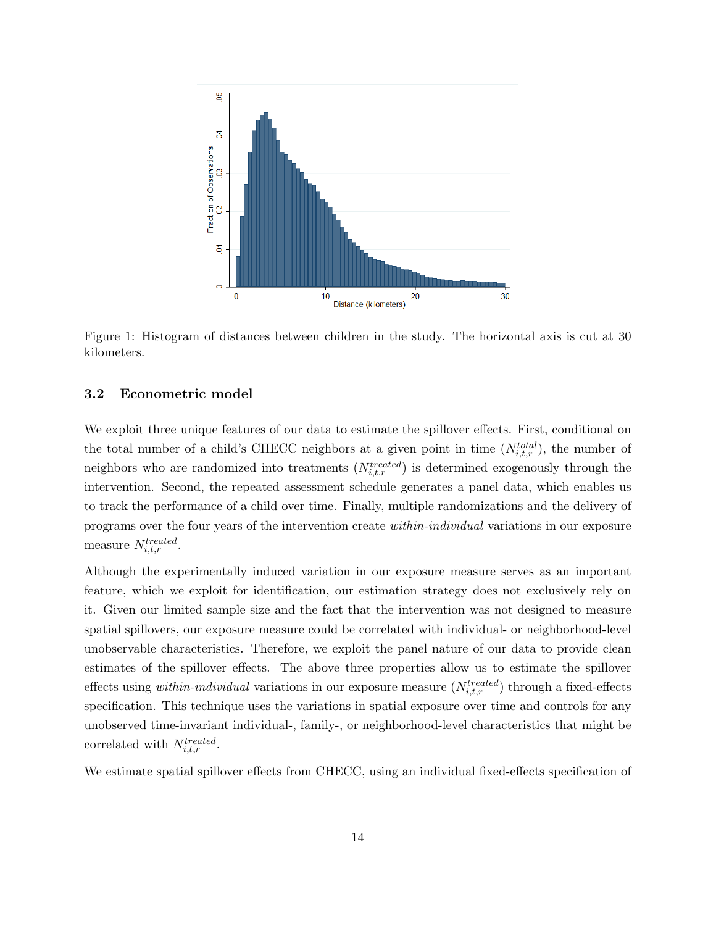<span id="page-13-0"></span>

Figure 1: Histogram of distances between children in the study. The horizontal axis is cut at 30 kilometers.

#### 3.2 Econometric model

We exploit three unique features of our data to estimate the spillover effects. First, conditional on the total number of a child's CHECC neighbors at a given point in time  $(N_{i,t,r}^{total})$ , the number of neighbors who are randomized into treatments  $(N_{i,t,r}^{treated})$  is determined exogenously through the intervention. Second, the repeated assessment schedule generates a panel data, which enables us to track the performance of a child over time. Finally, multiple randomizations and the delivery of programs over the four years of the intervention create within-individual variations in our exposure measure  $N_{i,t,r}^{treated}$ .

Although the experimentally induced variation in our exposure measure serves as an important feature, which we exploit for identification, our estimation strategy does not exclusively rely on it. Given our limited sample size and the fact that the intervention was not designed to measure spatial spillovers, our exposure measure could be correlated with individual- or neighborhood-level unobservable characteristics. Therefore, we exploit the panel nature of our data to provide clean estimates of the spillover effects. The above three properties allow us to estimate the spillover effects using *within-individual* variations in our exposure measure  $(N_{i,t,r}^{treated})$  through a fixed-effects specification. This technique uses the variations in spatial exposure over time and controls for any unobserved time-invariant individual-, family-, or neighborhood-level characteristics that might be correlated with  $N_{i,t,r}^{treated}$ .

We estimate spatial spillover effects from CHECC, using an individual fixed-effects specification of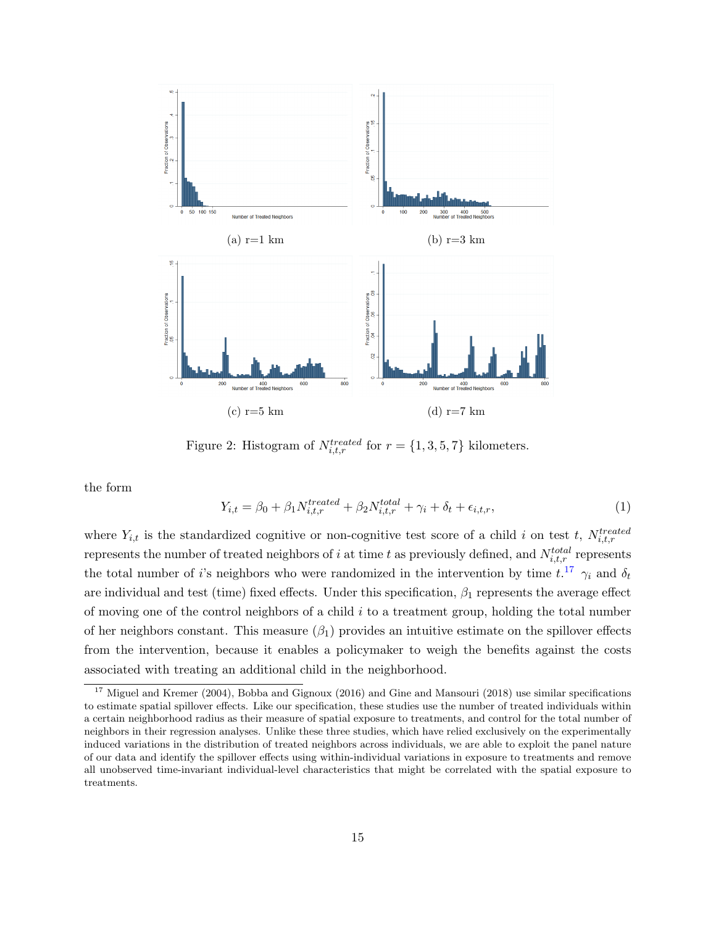<span id="page-14-0"></span>

Figure 2: Histogram of  $N_{i,t,r}^{treated}$  for  $r = \{1,3,5,7\}$  kilometers.

the form

<span id="page-14-2"></span>
$$
Y_{i,t} = \beta_0 + \beta_1 N_{i,t,r}^{treated} + \beta_2 N_{i,t,r}^{total} + \gamma_i + \delta_t + \epsilon_{i,t,r},
$$
\n
$$
\tag{1}
$$

where  $Y_{i,t}$  is the standardized cognitive or non-cognitive test score of a child i on test t,  $N_{i,t,r}^{treated}$ represents the number of treated neighbors of i at time t as previously defined, and  $N_{i,t,r}^{total}$  represents the total number of i's neighbors who were randomized in the intervention by time  $t^{17}$  $t^{17}$  $t^{17}$ ,  $\gamma_i$  and  $\delta_t$ are individual and test (time) fixed effects. Under this specification,  $\beta_1$  represents the average effect of moving one of the control neighbors of a child  $i$  to a treatment group, holding the total number of her neighbors constant. This measure  $(\beta_1)$  provides an intuitive estimate on the spillover effects from the intervention, because it enables a policymaker to weigh the benefits against the costs associated with treating an additional child in the neighborhood.

<span id="page-14-1"></span><sup>&</sup>lt;sup>17</sup> Miguel and Kremer (2004), Bobba and Gignoux (2016) and Gine and Mansouri (2018) use similar specifications to estimate spatial spillover effects. Like our specification, these studies use the number of treated individuals within a certain neighborhood radius as their measure of spatial exposure to treatments, and control for the total number of neighbors in their regression analyses. Unlike these three studies, which have relied exclusively on the experimentally induced variations in the distribution of treated neighbors across individuals, we are able to exploit the panel nature of our data and identify the spillover effects using within-individual variations in exposure to treatments and remove all unobserved time-invariant individual-level characteristics that might be correlated with the spatial exposure to treatments.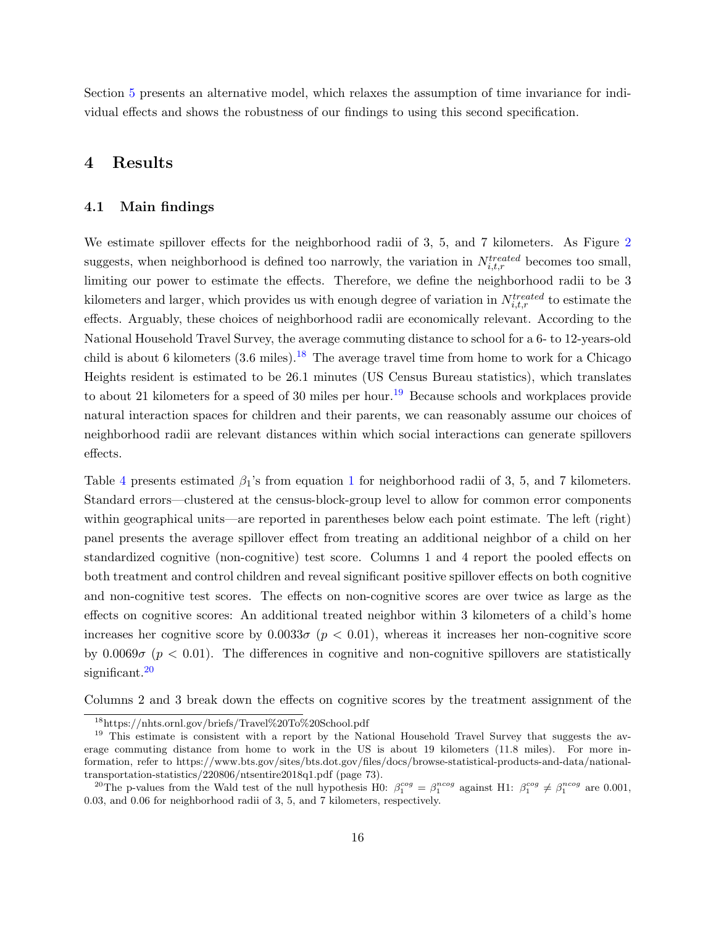<span id="page-15-0"></span>Section [5](#page-19-0) presents an alternative model, which relaxes the assumption of time invariance for individual effects and shows the robustness of our findings to using this second specification.

## 4 Results

#### <span id="page-15-4"></span>4.1 Main findings

We estimate spillover effects for the neighborhood radii of 3, 5, and 7 kilometers. As Figure [2](#page-14-0) suggests, when neighborhood is defined too narrowly, the variation in  $N_{i,t,r}^{treated}$  becomes too small, limiting our power to estimate the effects. Therefore, we define the neighborhood radii to be 3 kilometers and larger, which provides us with enough degree of variation in  $N_{i,t,r}^{treated}$  to estimate the effects. Arguably, these choices of neighborhood radii are economically relevant. According to the National Household Travel Survey, the average commuting distance to school for a 6- to 12-years-old child is about 6 kilometers  $(3.6 \text{ miles})$ .<sup>[18](#page-15-1)</sup> The average travel time from home to work for a Chicago Heights resident is estimated to be 26.1 minutes (US Census Bureau statistics), which translates to about 21 kilometers for a speed of 30 miles per hour.<sup>[19](#page-15-2)</sup> Because schools and workplaces provide natural interaction spaces for children and their parents, we can reasonably assume our choices of neighborhood radii are relevant distances within which social interactions can generate spillovers effects.

Table [4](#page-16-0) presents estimated  $\beta_1$  $\beta_1$ 's from equation 1 for neighborhood radii of 3, 5, and 7 kilometers. Standard errors—clustered at the census-block-group level to allow for common error components within geographical units—are reported in parentheses below each point estimate. The left (right) panel presents the average spillover effect from treating an additional neighbor of a child on her standardized cognitive (non-cognitive) test score. Columns 1 and 4 report the pooled effects on both treatment and control children and reveal significant positive spillover effects on both cognitive and non-cognitive test scores. The effects on non-cognitive scores are over twice as large as the effects on cognitive scores: An additional treated neighbor within 3 kilometers of a child's home increases her cognitive score by  $0.0033\sigma$  ( $p < 0.01$ ), whereas it increases her non-cognitive score by  $0.0069\sigma$  ( $p < 0.01$ ). The differences in cognitive and non-cognitive spillovers are statistically significant.<sup>[20](#page-15-3)</sup>

Columns 2 and 3 break down the effects on cognitive scores by the treatment assignment of the

<span id="page-15-2"></span><span id="page-15-1"></span><sup>18</sup>https://nhts.ornl.gov/briefs/Travel%20To%20School.pdf

<sup>&</sup>lt;sup>19</sup> This estimate is consistent with a report by the National Household Travel Survey that suggests the average commuting distance from home to work in the US is about 19 kilometers (11.8 miles). For more information, refer to https://www.bts.gov/sites/bts.dot.gov/files/docs/browse-statistical-products-and-data/nationaltransportation-statistics/220806/ntsentire2018q1.pdf (page 73).

<span id="page-15-3"></span><sup>&</sup>lt;sup>20</sup>The p-values from the Wald test of the null hypothesis H0:  $\beta_1^{cog} = \beta_1^{ncog}$  against H1:  $\beta_1^{cog} \neq \beta_1^{ncog}$  are 0.001, 0.03, and 0.06 for neighborhood radii of 3, 5, and 7 kilometers, respectively.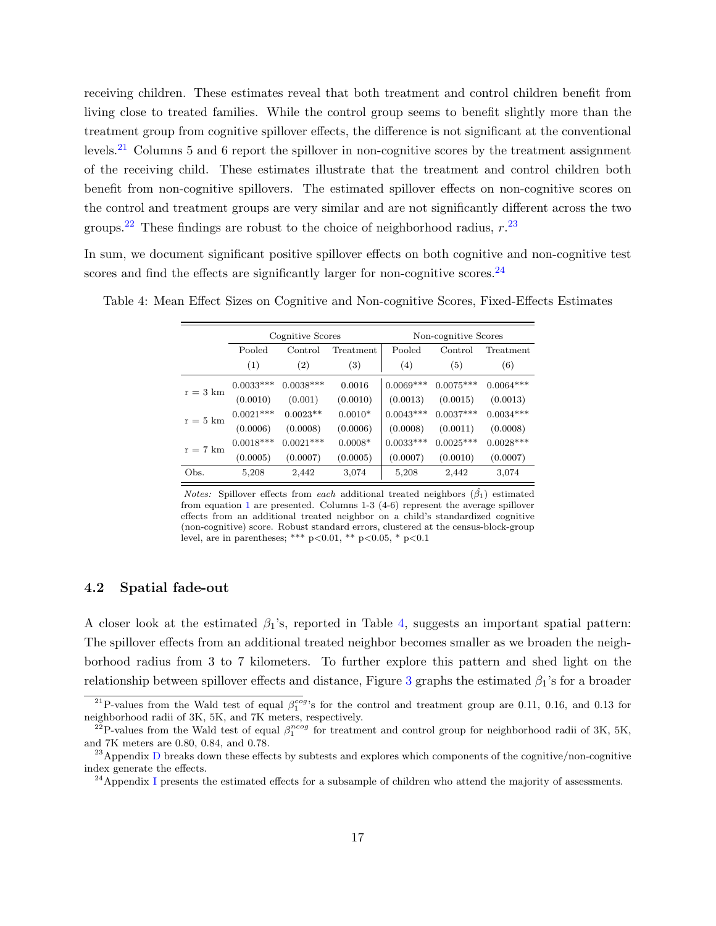receiving children. These estimates reveal that both treatment and control children benefit from living close to treated families. While the control group seems to benefit slightly more than the treatment group from cognitive spillover effects, the difference is not significant at the conventional levels.[21](#page-16-1) Columns 5 and 6 report the spillover in non-cognitive scores by the treatment assignment of the receiving child. These estimates illustrate that the treatment and control children both benefit from non-cognitive spillovers. The estimated spillover effects on non-cognitive scores on the control and treatment groups are very similar and are not significantly different across the two groups.<sup>[22](#page-16-2)</sup> These findings are robust to the choice of neighborhood radius,  $r^{23}$  $r^{23}$  $r^{23}$ 

In sum, we document significant positive spillover effects on both cognitive and non-cognitive test scores and find the effects are significantly larger for non-cognitive scores. $^{24}$  $^{24}$  $^{24}$ 

|            |             | Cognitive Scores |           | Non-cognitive Scores |                      |             |  |  |  |
|------------|-------------|------------------|-----------|----------------------|----------------------|-------------|--|--|--|
|            | Pooled      | Control          | Treatment | Pooled               | Control<br>Treatment |             |  |  |  |
|            | (1)         | (2)              | (3)       | (4)                  | (5)                  | (6)         |  |  |  |
| $r = 3$ km | $0.0033***$ | $0.0038***$      | 0.0016    | $0.0069***$          | $0.0075***$          | $0.0064***$ |  |  |  |
|            | (0.0010)    | (0.001)          | (0.0010)  | (0.0013)             | (0.0015)             | (0.0013)    |  |  |  |
| $r = 5$ km | $0.0021***$ | $0.0023**$       | $0.0010*$ | $0.0043***$          | $0.0037***$          | $0.0034***$ |  |  |  |
|            | (0.0006)    | (0.0008)         | (0.0006)  | (0.0008)             | (0.0011)             | (0.0008)    |  |  |  |
| $r = 7$ km | $0.0018***$ | $0.0021***$      | $0.0008*$ | $0.0033***$          | $0.0025***$          | $0.0028***$ |  |  |  |
|            | (0.0005)    | (0.0007)         | (0.0005)  | (0.0007)             | (0.0010)             | (0.0007)    |  |  |  |
| Obs.       | 5,208       | 2,442            | 3,074     | 5,208                | 2,442                | 3,074       |  |  |  |

<span id="page-16-0"></span>Table 4: Mean Effect Sizes on Cognitive and Non-cognitive Scores, Fixed-Effects Estimates

Notes: Spillover effects from each additional treated neighbors  $(\hat{\beta_1})$  estimated from equation [1](#page-14-2) are presented. Columns 1-3 (4-6) represent the average spillover effects from an additional treated neighbor on a child's standardized cognitive (non-cognitive) score. Robust standard errors, clustered at the census-block-group level, are in parentheses; \*\*\*  $p < 0.01$ , \*\*  $p < 0.05$ , \*  $p < 0.1$ 

## <span id="page-16-5"></span>4.2 Spatial fade-out

A closer look at the estimated  $\beta_1$ 's, reported in Table [4,](#page-16-0) suggests an important spatial pattern: The spillover effects from an additional treated neighbor becomes smaller as we broaden the neighborhood radius from 3 to 7 kilometers. To further explore this pattern and shed light on the relationship between spillover effects and distance, Figure [3](#page-17-0) graphs the estimated  $\beta_1$ 's for a broader

<span id="page-16-1"></span><sup>&</sup>lt;sup>21</sup>P-values from the Wald test of equal  $\beta_1^{cog}$ 's for the control and treatment group are 0.11, 0.16, and 0.13 for neighborhood radii of 3K, 5K, and 7K meters, respectively.

<span id="page-16-2"></span><sup>&</sup>lt;sup>22</sup>P-values from the Wald test of equal  $\beta_1^{ncog}$  for treatment and control group for neighborhood radii of 3K, 5K, and 7K meters are 0.80, 0.84, and 0.78.

<span id="page-16-3"></span> $^{23}$ Appendix [D](#page-46-1) breaks down these effects by subtests and explores which components of the cognitive/non-cognitive index generate the effects.

<span id="page-16-4"></span><sup>&</sup>lt;sup>24</sup>Appendix [I](#page-52-0) presents the estimated effects for a subsample of children who attend the majority of assessments.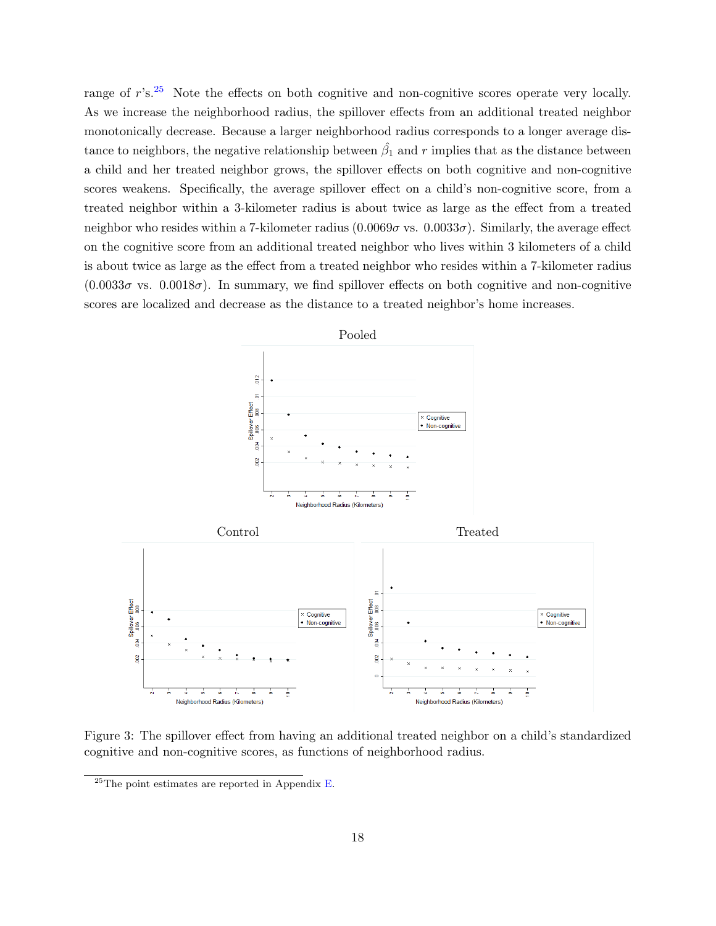range of  $r$ 's.<sup>[25](#page-17-1)</sup> Note the effects on both cognitive and non-cognitive scores operate very locally. As we increase the neighborhood radius, the spillover effects from an additional treated neighbor monotonically decrease. Because a larger neighborhood radius corresponds to a longer average distance to neighbors, the negative relationship between  $\hat{\beta_1}$  and r implies that as the distance between a child and her treated neighbor grows, the spillover effects on both cognitive and non-cognitive scores weakens. Specifically, the average spillover effect on a child's non-cognitive score, from a treated neighbor within a 3-kilometer radius is about twice as large as the effect from a treated neighbor who resides within a 7-kilometer radius  $(0.0069\sigma \text{ vs. } 0.0033\sigma)$ . Similarly, the average effect on the cognitive score from an additional treated neighbor who lives within 3 kilometers of a child is about twice as large as the effect from a treated neighbor who resides within a 7-kilometer radius  $(0.0033\sigma \text{ vs. } 0.0018\sigma)$ . In summary, we find spillover effects on both cognitive and non-cognitive scores are localized and decrease as the distance to a treated neighbor's home increases.

<span id="page-17-0"></span>

Figure 3: The spillover effect from having an additional treated neighbor on a child's standardized cognitive and non-cognitive scores, as functions of neighborhood radius.

<span id="page-17-1"></span> $^{25}$ The point estimates are reported in Appendix [E.](#page-47-0)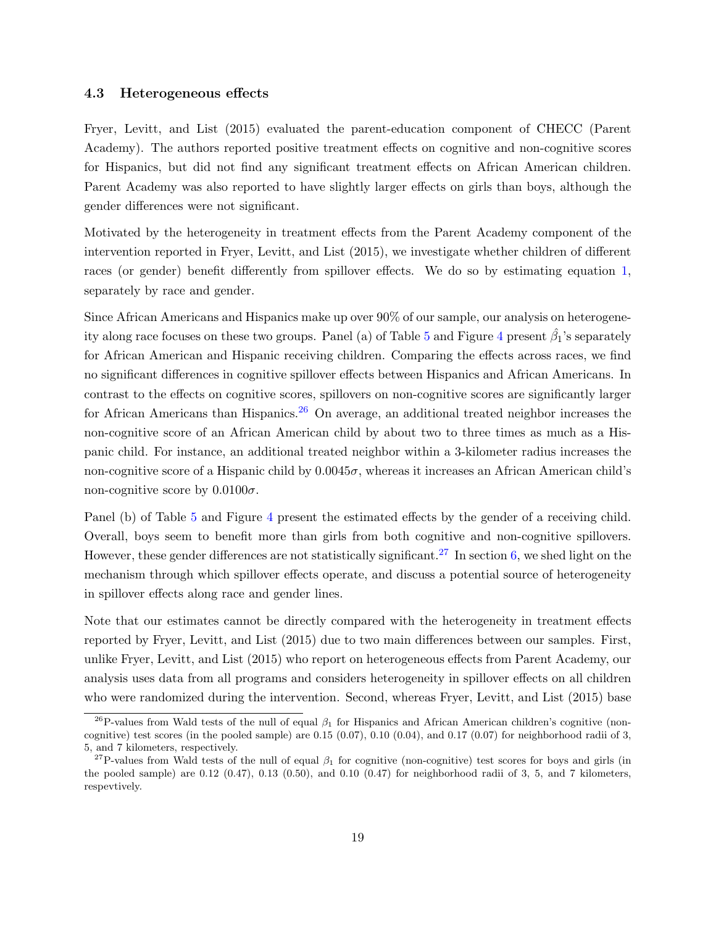#### 4.3 Heterogeneous effects

Fryer, Levitt, and List (2015) evaluated the parent-education component of CHECC (Parent Academy). The authors reported positive treatment effects on cognitive and non-cognitive scores for Hispanics, but did not find any significant treatment effects on African American children. Parent Academy was also reported to have slightly larger effects on girls than boys, although the gender differences were not significant.

Motivated by the heterogeneity in treatment effects from the Parent Academy component of the intervention reported in Fryer, Levitt, and List (2015), we investigate whether children of different races (or gender) benefit differently from spillover effects. We do so by estimating equation [1,](#page-14-2) separately by race and gender.

Since African Americans and Hispanics make up over 90% of our sample, our analysis on heterogene-ity along race focuses on these two groups. Panel (a) of Table [5](#page-19-1) and Figure [4](#page-20-0) present  $\hat{\beta_1}$ 's separately for African American and Hispanic receiving children. Comparing the effects across races, we find no significant differences in cognitive spillover effects between Hispanics and African Americans. In contrast to the effects on cognitive scores, spillovers on non-cognitive scores are significantly larger for African Americans than Hispanics.<sup>[26](#page-18-0)</sup> On average, an additional treated neighbor increases the non-cognitive score of an African American child by about two to three times as much as a Hispanic child. For instance, an additional treated neighbor within a 3-kilometer radius increases the non-cognitive score of a Hispanic child by  $0.0045\sigma$ , whereas it increases an African American child's non-cognitive score by  $0.0100\sigma$ .

Panel (b) of Table [5](#page-19-1) and Figure [4](#page-20-0) present the estimated effects by the gender of a receiving child. Overall, boys seem to benefit more than girls from both cognitive and non-cognitive spillovers. However, these gender differences are not statistically significant.<sup>[27](#page-18-1)</sup> In section [6,](#page-23-0) we shed light on the mechanism through which spillover effects operate, and discuss a potential source of heterogeneity in spillover effects along race and gender lines.

Note that our estimates cannot be directly compared with the heterogeneity in treatment effects reported by Fryer, Levitt, and List (2015) due to two main differences between our samples. First, unlike Fryer, Levitt, and List (2015) who report on heterogeneous effects from Parent Academy, our analysis uses data from all programs and considers heterogeneity in spillover effects on all children who were randomized during the intervention. Second, whereas Fryer, Levitt, and List (2015) base

<span id="page-18-0"></span><sup>&</sup>lt;sup>26</sup>P-values from Wald tests of the null of equal  $\beta_1$  for Hispanics and African American children's cognitive (noncognitive) test scores (in the pooled sample) are  $0.15$   $(0.07)$ ,  $0.10$   $(0.04)$ , and  $0.17$   $(0.07)$  for neighborhood radii of 3, 5, and 7 kilometers, respectively.

<span id="page-18-1"></span><sup>&</sup>lt;sup>27</sup>P-values from Wald tests of the null of equal  $\beta_1$  for cognitive (non-cognitive) test scores for boys and girls (in the pooled sample) are 0.12  $(0.47)$ , 0.13  $(0.50)$ , and 0.10  $(0.47)$  for neighborhood radii of 3, 5, and 7 kilometers, respevtively.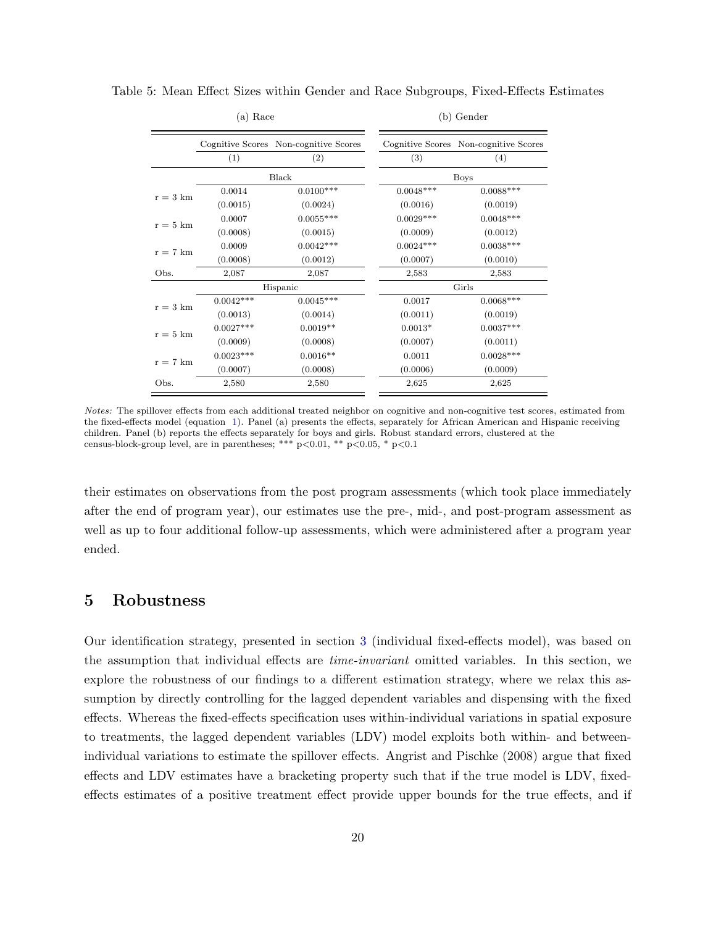<span id="page-19-1"></span>Table 5: Mean Effect Sizes within Gender and Race Subgroups, Fixed-Effects Estimates

#### (a) Race

#### (b) Gender

|                    |             | Cognitive Scores Non-cognitive Scores |  |             | Cognitive Scores Non-cognitive Scores |  |  |
|--------------------|-------------|---------------------------------------|--|-------------|---------------------------------------|--|--|
|                    | (1)         | (2)                                   |  | (3)         | (4)                                   |  |  |
|                    |             | Black                                 |  |             | <b>Boys</b>                           |  |  |
| $r = 3 \text{ km}$ | 0.0014      | $0.0100***$                           |  | $0.0048***$ | $0.0088***$                           |  |  |
|                    | (0.0015)    | (0.0024)                              |  | (0.0016)    | (0.0019)                              |  |  |
| $r = 5 \text{ km}$ | 0.0007      | $0.0055***$                           |  | $0.0029***$ | $0.0048***$                           |  |  |
|                    | (0.0008)    | (0.0015)                              |  | (0.0009)    | (0.0012)                              |  |  |
| $r = 7$ km         | 0.0009      | $0.0042***$                           |  | $0.0024***$ | $0.0038***$                           |  |  |
|                    | (0.0008)    | (0.0012)                              |  | (0.0007)    | (0.0010)                              |  |  |
| Obs.               | 2,087       | 2,087                                 |  | 2,583       | 2,583                                 |  |  |
|                    |             | Hispanic                              |  | Girls       |                                       |  |  |
| $r = 3$ km         | $0.0042***$ | $0.0045***$                           |  | 0.0017      | $0.0068***$                           |  |  |
|                    | (0.0013)    | (0.0014)                              |  | (0.0011)    | (0.0019)                              |  |  |
| $r = 5$ km         | $0.0027***$ | $0.0019**$                            |  | $0.0013*$   | $0.0037***$                           |  |  |
|                    | (0.0009)    | (0.0008)                              |  | (0.0007)    | (0.0011)                              |  |  |
| $r = 7$ km         | $0.0023***$ | $0.0016**$                            |  | 0.0011      | $0.0028***$                           |  |  |
|                    | (0.0007)    | (0.0008)                              |  | (0.0006)    | (0.0009)                              |  |  |
| Obs.               | 2,580       | 2,580                                 |  | 2,625       | 2,625                                 |  |  |

Notes: The spillover effects from each additional treated neighbor on cognitive and non-cognitive test scores, estimated from the fixed-effects model (equation [1\)](#page-14-2). Panel (a) presents the effects, separately for African American and Hispanic receiving children. Panel (b) reports the effects separately for boys and girls. Robust standard errors, clustered at the census-block-group level, are in parentheses; \*\*\*  $p<0.01$ , \*\*  $p<0.05$ , \*  $p<0.1$ 

their estimates on observations from the post program assessments (which took place immediately after the end of program year), our estimates use the pre-, mid-, and post-program assessment as well as up to four additional follow-up assessments, which were administered after a program year ended.

## <span id="page-19-0"></span>5 Robustness

Our identification strategy, presented in section [3](#page-10-0) (individual fixed-effects model), was based on the assumption that individual effects are time-invariant omitted variables. In this section, we explore the robustness of our findings to a different estimation strategy, where we relax this assumption by directly controlling for the lagged dependent variables and dispensing with the fixed effects. Whereas the fixed-effects specification uses within-individual variations in spatial exposure to treatments, the lagged dependent variables (LDV) model exploits both within- and betweenindividual variations to estimate the spillover effects. Angrist and Pischke (2008) argue that fixed effects and LDV estimates have a bracketing property such that if the true model is LDV, fixedeffects estimates of a positive treatment effect provide upper bounds for the true effects, and if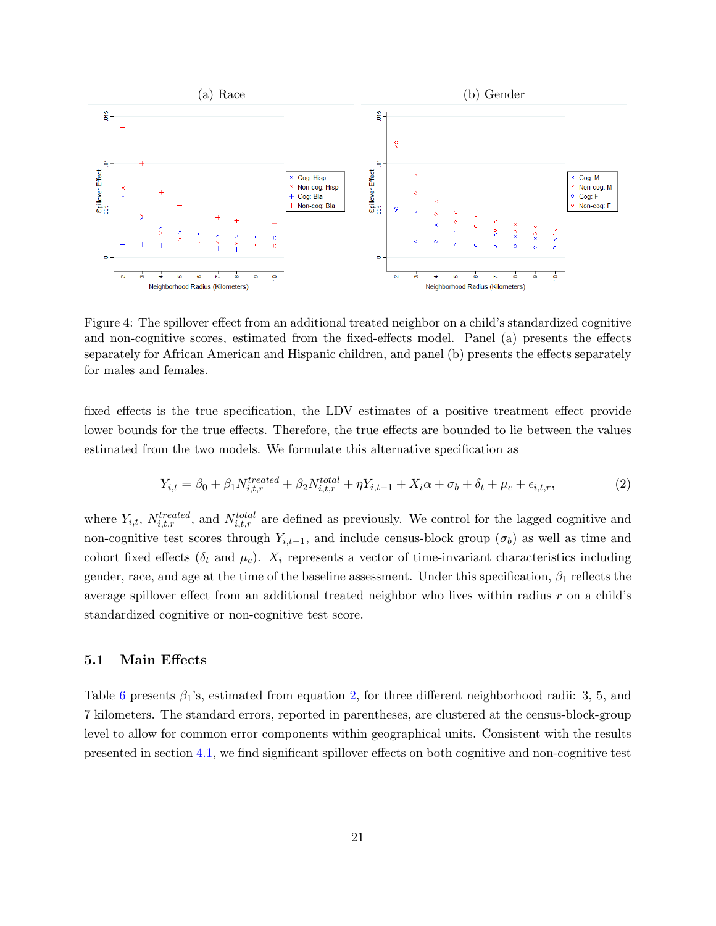<span id="page-20-0"></span>

Figure 4: The spillover effect from an additional treated neighbor on a child's standardized cognitive and non-cognitive scores, estimated from the fixed-effects model. Panel (a) presents the effects separately for African American and Hispanic children, and panel (b) presents the effects separately for males and females.

fixed effects is the true specification, the LDV estimates of a positive treatment effect provide lower bounds for the true effects. Therefore, the true effects are bounded to lie between the values estimated from the two models. We formulate this alternative specification as

<span id="page-20-1"></span>
$$
Y_{i,t} = \beta_0 + \beta_1 N_{i,t,r}^{treated} + \beta_2 N_{i,t,r}^{total} + \eta Y_{i,t-1} + X_i \alpha + \sigma_b + \delta_t + \mu_c + \epsilon_{i,t,r},
$$
\n(2)

where  $Y_{i,t}$ ,  $N_{i,t,r}^{treated}$ , and  $N_{i,t,r}^{total}$  are defined as previously. We control for the lagged cognitive and non-cognitive test scores through  $Y_{i,t-1}$ , and include census-block group  $(\sigma_b)$  as well as time and cohort fixed effects ( $\delta_t$  and  $\mu_c$ ).  $X_i$  represents a vector of time-invariant characteristics including gender, race, and age at the time of the baseline assessment. Under this specification,  $\beta_1$  reflects the average spillover effect from an additional treated neighbor who lives within radius r on a child's standardized cognitive or non-cognitive test score.

## 5.1 Main Effects

Table [6](#page-21-0) presents  $\beta_1$ 's, estimated from equation [2,](#page-20-1) for three different neighborhood radii: 3, 5, and 7 kilometers. The standard errors, reported in parentheses, are clustered at the census-block-group level to allow for common error components within geographical units. Consistent with the results presented in section [4.1,](#page-15-4) we find significant spillover effects on both cognitive and non-cognitive test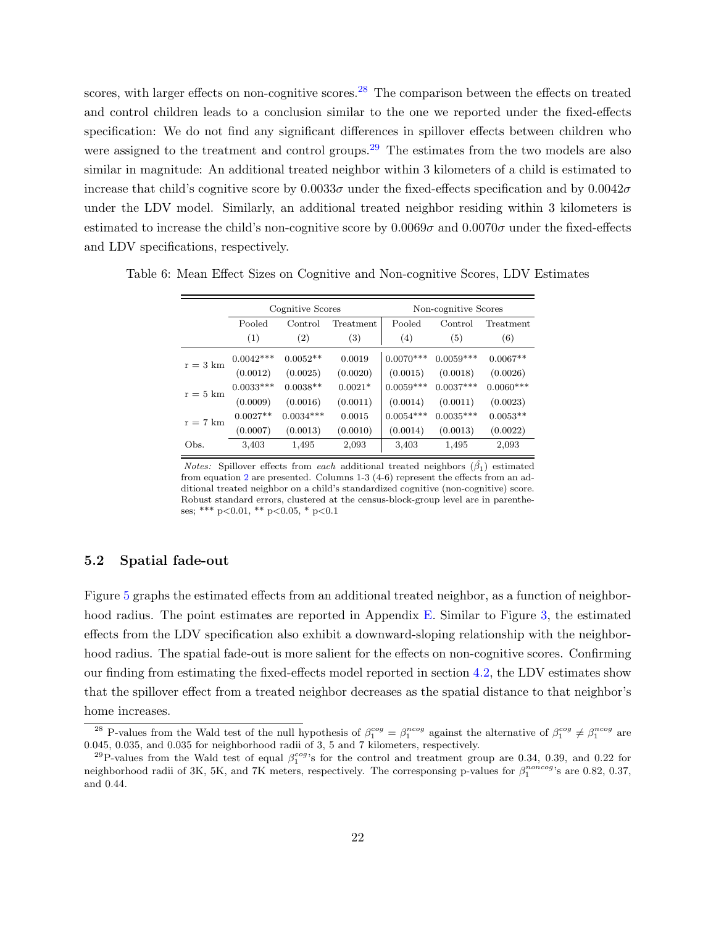scores, with larger effects on non-cognitive scores.<sup>[28](#page-21-1)</sup> The comparison between the effects on treated and control children leads to a conclusion similar to the one we reported under the fixed-effects specification: We do not find any significant differences in spillover effects between children who were assigned to the treatment and control groups.<sup>[29](#page-21-2)</sup> The estimates from the two models are also similar in magnitude: An additional treated neighbor within 3 kilometers of a child is estimated to increase that child's cognitive score by  $0.0033\sigma$  under the fixed-effects specification and by  $0.0042\sigma$ under the LDV model. Similarly, an additional treated neighbor residing within 3 kilometers is estimated to increase the child's non-cognitive score by  $0.0069\sigma$  and  $0.0070\sigma$  under the fixed-effects and LDV specifications, respectively.

|                    |             | Cognitive Scores |                  | Non-cognitive Scores |             |             |  |  |  |
|--------------------|-------------|------------------|------------------|----------------------|-------------|-------------|--|--|--|
|                    | Pooled      | Control          | Treatment        | Pooled               | Control     | Treatment   |  |  |  |
|                    | (1)         | (2)              | $\left(3\right)$ | (4)                  | (5)         | (6)         |  |  |  |
| $r = 3 \text{ km}$ | $0.0042***$ | $0.0052**$       | 0.0019           | $0.0070***$          | $0.0059***$ | $0.0067**$  |  |  |  |
|                    | (0.0012)    | (0.0025)         | (0.0020)         | (0.0015)             | (0.0018)    | (0.0026)    |  |  |  |
| $r = 5$ km         | $0.0033***$ | $0.0038**$       | $0.0021*$        | $0.0059***$          | $0.0037***$ | $0.0060***$ |  |  |  |
|                    | (0.0009)    | (0.0016)         | (0.0011)         | (0.0014)             | (0.0011)    | (0.0023)    |  |  |  |
| $r = 7$ km         | $0.0027**$  | $0.0034***$      | 0.0015           | $0.0054***$          | $0.0035***$ | $0.0053**$  |  |  |  |
|                    | (0.0007)    | (0.0013)         | (0.0010)         | (0.0014)             | (0.0013)    | (0.0022)    |  |  |  |
| Obs.               | 3,403       | 1,495            | 2,093            | 3,403                | 1,495       | 2,093       |  |  |  |

<span id="page-21-0"></span>Table 6: Mean Effect Sizes on Cognitive and Non-cognitive Scores, LDV Estimates

Notes: Spillover effects from each additional treated neighbors  $(\hat{\beta_1})$  estimated from equation [2](#page-20-1) are presented. Columns 1-3 (4-6) represent the effects from an additional treated neighbor on a child's standardized cognitive (non-cognitive) score. Robust standard errors, clustered at the census-block-group level are in parentheses; \*\*\* p<0.01, \*\* p<0.05, \* p<0.1

## 5.2 Spatial fade-out

Figure [5](#page-22-0) graphs the estimated effects from an additional treated neighbor, as a function of neighbor-hood radius. The point estimates are reported in Appendix [E.](#page-47-0) Similar to Figure [3,](#page-17-0) the estimated effects from the LDV specification also exhibit a downward-sloping relationship with the neighborhood radius. The spatial fade-out is more salient for the effects on non-cognitive scores. Confirming our finding from estimating the fixed-effects model reported in section [4.2,](#page-16-5) the LDV estimates show that the spillover effect from a treated neighbor decreases as the spatial distance to that neighbor's home increases.

<span id="page-21-1"></span><sup>&</sup>lt;sup>28</sup> P-values from the Wald test of the null hypothesis of  $\beta_1^{cog} = \beta_1^{ncog}$  against the alternative of  $\beta_1^{cog} \neq \beta_1^{ncog}$  are 0.045, 0.035, and 0.035 for neighborhood radii of 3, 5 and 7 kilometers, respectively.

<span id="page-21-2"></span><sup>&</sup>lt;sup>29</sup>P-values from the Wald test of equal  $\beta_1^{cog}$ 's for the control and treatment group are 0.34, 0.39, and 0.22 for neighborhood radii of 3K, 5K, and 7K meters, respectively. The corresponsing p-values for  $\beta_1^{noncog}$ 's are 0.82, 0.37, and 0.44.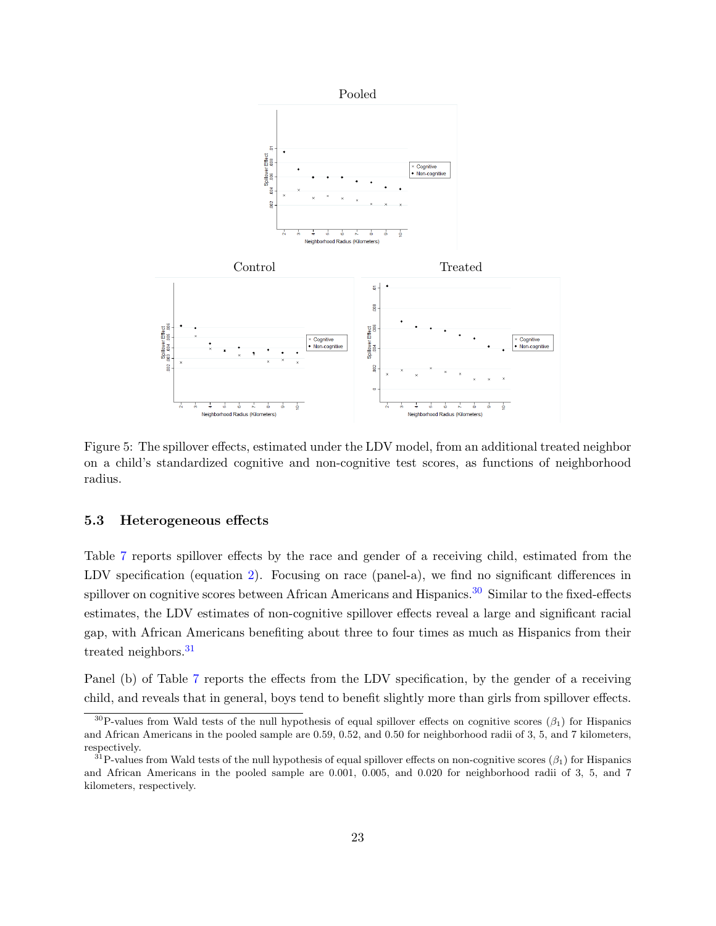<span id="page-22-0"></span>

Figure 5: The spillover effects, estimated under the LDV model, from an additional treated neighbor on a child's standardized cognitive and non-cognitive test scores, as functions of neighborhood radius.

## 5.3 Heterogeneous effects

Table [7](#page-23-1) reports spillover effects by the race and gender of a receiving child, estimated from the LDV specification (equation [2\)](#page-20-1). Focusing on race (panel-a), we find no significant differences in spillover on cognitive scores between African Americans and Hispanics.<sup>[30](#page-22-1)</sup> Similar to the fixed-effects estimates, the LDV estimates of non-cognitive spillover effects reveal a large and significant racial gap, with African Americans benefiting about three to four times as much as Hispanics from their treated neighbors.<sup>[31](#page-22-2)</sup>

Panel (b) of Table [7](#page-23-1) reports the effects from the LDV specification, by the gender of a receiving child, and reveals that in general, boys tend to benefit slightly more than girls from spillover effects.

<span id="page-22-1"></span> $30P$ -values from Wald tests of the null hypothesis of equal spillover effects on cognitive scores ( $\beta_1$ ) for Hispanics and African Americans in the pooled sample are 0.59, 0.52, and 0.50 for neighborhood radii of 3, 5, and 7 kilometers, respectively.

<span id="page-22-2"></span><sup>&</sup>lt;sup>31</sup>P-values from Wald tests of the null hypothesis of equal spillover effects on non-cognitive scores ( $\beta_1$ ) for Hispanics and African Americans in the pooled sample are 0.001, 0.005, and 0.020 for neighborhood radii of 3, 5, and 7 kilometers, respectively.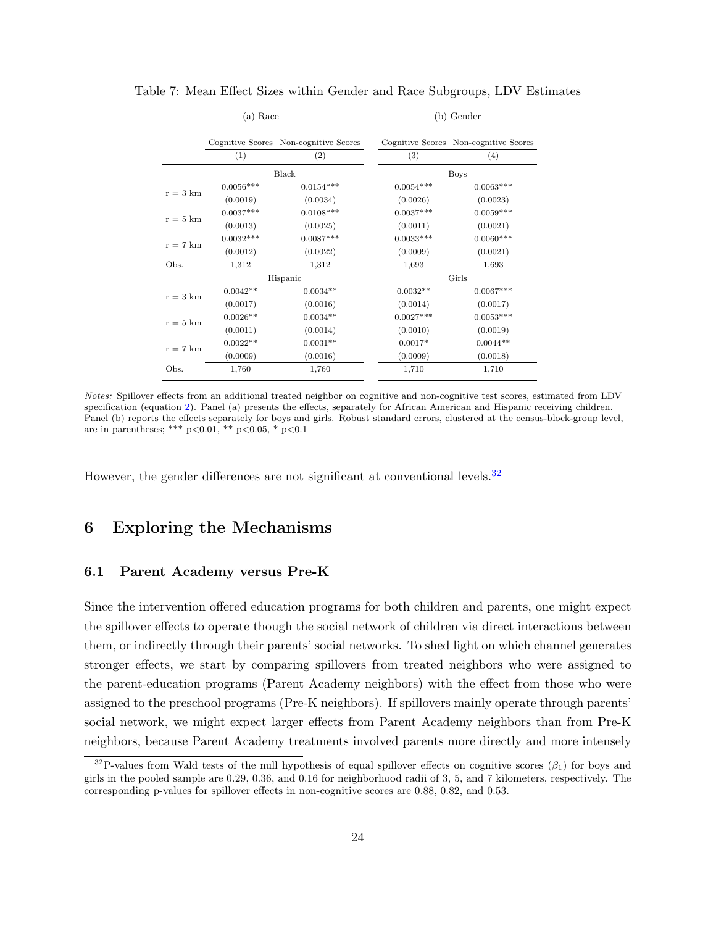<span id="page-23-1"></span>Table 7: Mean Effect Sizes within Gender and Race Subgroups, LDV Estimates

#### (a) Race

#### (b) Gender

|                    |                  | Cognitive Scores Non-cognitive Scores |             | Cognitive Scores Non-cognitive Scores |  |  |  |
|--------------------|------------------|---------------------------------------|-------------|---------------------------------------|--|--|--|
|                    | $\left(1\right)$ | $\left( 2\right)$                     | (3)         | (4)                                   |  |  |  |
|                    |                  | Black                                 |             | <b>Boys</b>                           |  |  |  |
| $r = 3$ km         | $0.0056***$      | $0.0154***$                           | $0.0054***$ | $0.0063***$                           |  |  |  |
|                    | (0.0019)         | (0.0034)                              | (0.0026)    | (0.0023)                              |  |  |  |
|                    | $0.0037***$      | $0.0108***$                           | $0.0037***$ | $0.0059***$                           |  |  |  |
| $r = 5$ km         | (0.0013)         | (0.0025)                              | (0.0011)    | (0.0021)                              |  |  |  |
| $r = 7 \text{ km}$ | $0.0032***$      | $0.0087***$                           | $0.0033***$ | $0.0060***$                           |  |  |  |
|                    | (0.0012)         | (0.0022)                              | (0.0009)    | (0.0021)                              |  |  |  |
| Obs.               | 1,312            | 1,312                                 | 1,693       | 1,693                                 |  |  |  |
|                    |                  | Hispanic                              | Girls       |                                       |  |  |  |
| $r = 3$ km         | $0.0042**$       | $0.0034**$                            | $0.0032**$  | $0.0067***$                           |  |  |  |
|                    | (0.0017)         | (0.0016)                              | (0.0014)    | (0.0017)                              |  |  |  |
| $r = 5$ km         | $0.0026**$       | $0.0034**$                            | $0.0027***$ | $0.0053***$                           |  |  |  |
|                    | (0.0011)         | (0.0014)                              | (0.0010)    | (0.0019)                              |  |  |  |
| $r = 7$ km         | $0.0022**$       | $0.0031**$                            | $0.0017*$   | $0.0044**$                            |  |  |  |
|                    | (0.0009)         | (0.0016)                              | (0.0009)    | (0.0018)                              |  |  |  |
| Obs.               | 1,760            | 1,760                                 | 1,710       | 1,710                                 |  |  |  |

Notes: Spillover effects from an additional treated neighbor on cognitive and non-cognitive test scores, estimated from LDV specification (equation [2\)](#page-20-1). Panel (a) presents the effects, separately for African American and Hispanic receiving children. Panel (b) reports the effects separately for boys and girls. Robust standard errors, clustered at the census-block-group level, are in parentheses; \*\*\*  $p<0.01$ , \*\*  $p<0.05$ , \*  $p<0.1$ 

<span id="page-23-0"></span>However, the gender differences are not significant at conventional levels.<sup>[32](#page-23-2)</sup>

## 6 Exploring the Mechanisms

## <span id="page-23-3"></span>6.1 Parent Academy versus Pre-K

Since the intervention offered education programs for both children and parents, one might expect the spillover effects to operate though the social network of children via direct interactions between them, or indirectly through their parents' social networks. To shed light on which channel generates stronger effects, we start by comparing spillovers from treated neighbors who were assigned to the parent-education programs (Parent Academy neighbors) with the effect from those who were assigned to the preschool programs (Pre-K neighbors). If spillovers mainly operate through parents' social network, we might expect larger effects from Parent Academy neighbors than from Pre-K neighbors, because Parent Academy treatments involved parents more directly and more intensely

<span id="page-23-2"></span> $32P$ -values from Wald tests of the null hypothesis of equal spillover effects on cognitive scores  $(\beta_1)$  for boys and girls in the pooled sample are 0.29, 0.36, and 0.16 for neighborhood radii of 3, 5, and 7 kilometers, respectively. The corresponding p-values for spillover effects in non-cognitive scores are 0.88, 0.82, and 0.53.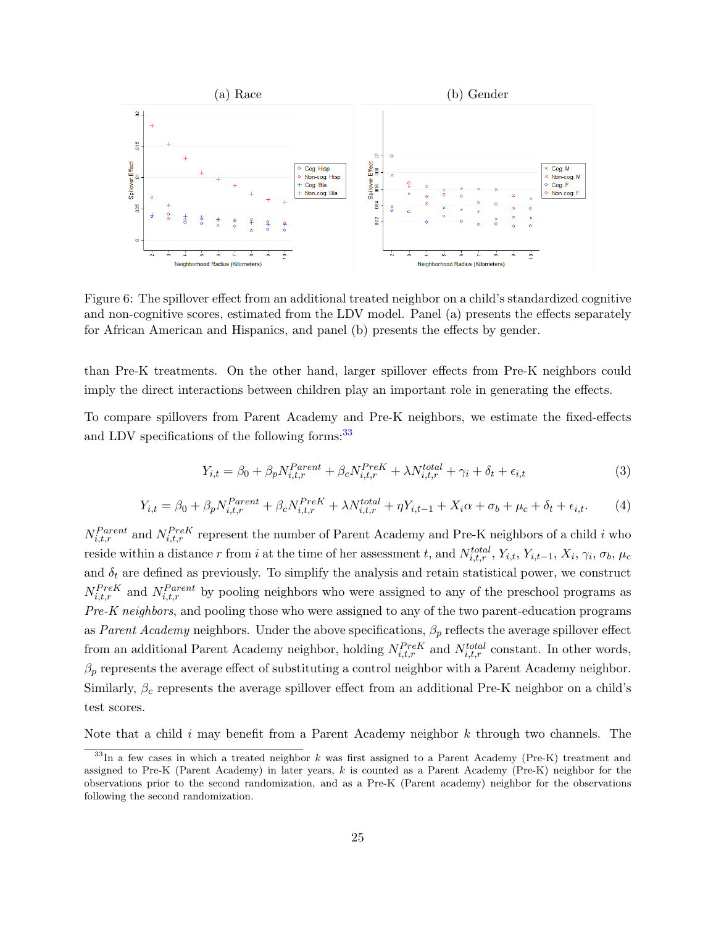

Figure 6: The spillover effect from an additional treated neighbor on a child's standardized cognitive and non-cognitive scores, estimated from the LDV model. Panel (a) presents the effects separately for African American and Hispanics, and panel (b) presents the effects by gender.

than Pre-K treatments. On the other hand, larger spillover effects from Pre-K neighbors could imply the direct interactions between children play an important role in generating the effects.

To compare spillovers from Parent Academy and Pre-K neighbors, we estimate the fixed-effects and LDV specifications of the following forms:<sup>[33](#page-24-0)</sup>

<span id="page-24-1"></span>
$$
Y_{i,t} = \beta_0 + \beta_p N_{i,t,r}^{Parent} + \beta_c N_{i,t,r}^{PreK} + \lambda N_{i,t,r}^{total} + \gamma_i + \delta_t + \epsilon_{i,t}
$$
\n
$$
\tag{3}
$$

<span id="page-24-2"></span>
$$
Y_{i,t} = \beta_0 + \beta_p N_{i,t,r}^{Parent} + \beta_c N_{i,t,r}^{PreK} + \lambda N_{i,t,r}^{total} + \eta Y_{i,t-1} + X_i \alpha + \sigma_b + \mu_c + \delta_t + \epsilon_{i,t}.
$$
 (4)

 $N_{i,t,r}^{Parent}$  and  $N_{i,t,r}^{PreK}$  represent the number of Parent Academy and Pre-K neighbors of a child i who reside within a distance r from i at the time of her assessment t, and  $N_{i,t,r}^{total}$ ,  $Y_{i,t}$ ,  $Y_{i,t-1}$ ,  $X_i$ ,  $\gamma_i$ ,  $\sigma_b$ ,  $\mu_c$ and  $\delta_t$  are defined as previously. To simplify the analysis and retain statistical power, we construct  $N_{i,t,r}^{PreK}$  and  $N_{i,t,r}^{Parent}$  by pooling neighbors who were assigned to any of the preschool programs as  $Pre-K$  neighbors, and pooling those who were assigned to any of the two parent-education programs as Parent Academy neighbors. Under the above specifications,  $\beta_p$  reflects the average spillover effect from an additional Parent Academy neighbor, holding  $N_{i,t,r}^{PreK}$  and  $N_{i,t,r}^{total}$  constant. In other words,  $\beta_p$  represents the average effect of substituting a control neighbor with a Parent Academy neighbor. Similarly,  $\beta_c$  represents the average spillover effect from an additional Pre-K neighbor on a child's test scores.

Note that a child i may benefit from a Parent Academy neighbor  $k$  through two channels. The

<span id="page-24-0"></span> $33$ In a few cases in which a treated neighbor k was first assigned to a Parent Academy (Pre-K) treatment and assigned to Pre-K (Parent Academy) in later years,  $k$  is counted as a Parent Academy (Pre-K) neighbor for the observations prior to the second randomization, and as a Pre-K (Parent academy) neighbor for the observations following the second randomization.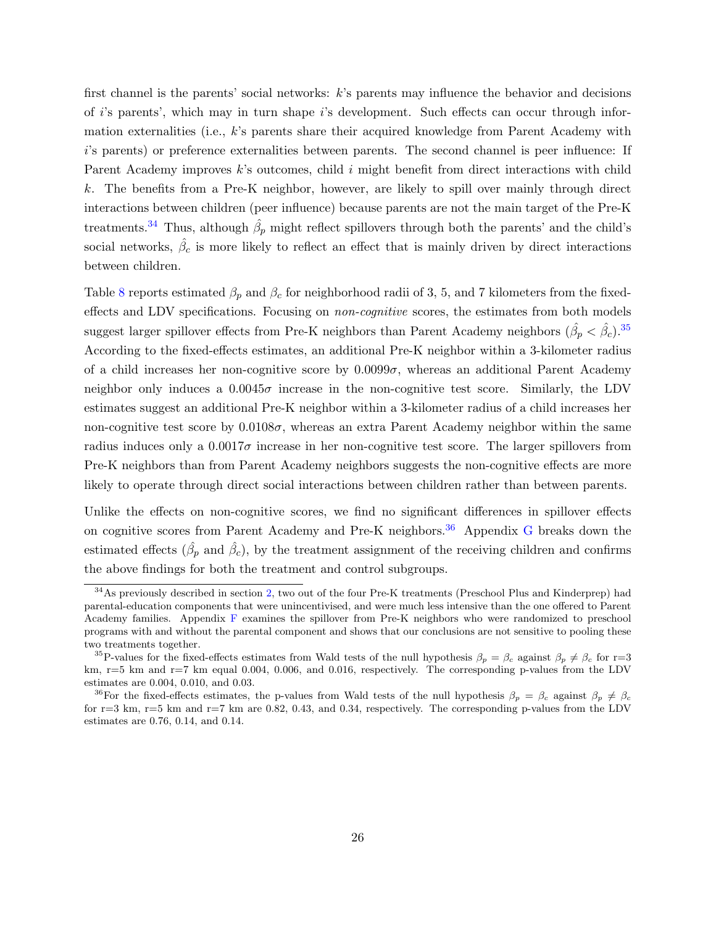first channel is the parents' social networks: k's parents may influence the behavior and decisions of i's parents', which may in turn shape i's development. Such effects can occur through information externalities (i.e., k's parents share their acquired knowledge from Parent Academy with i's parents) or preference externalities between parents. The second channel is peer influence: If Parent Academy improves k's outcomes, child i might benefit from direct interactions with child k. The benefits from a Pre-K neighbor, however, are likely to spill over mainly through direct interactions between children (peer influence) because parents are not the main target of the Pre-K treatments.<sup>[34](#page-25-0)</sup> Thus, although  $\hat{\beta}_p$  might reflect spillovers through both the parents' and the child's social networks,  $\hat{\beta}_c$  is more likely to reflect an effect that is mainly driven by direct interactions between children.

Table [8](#page-26-0) reports estimated  $\beta_p$  and  $\beta_c$  for neighborhood radii of 3, 5, and 7 kilometers from the fixedeffects and LDV specifications. Focusing on non-cognitive scores, the estimates from both models suggest larger spillover effects from Pre-K neighbors than Parent Academy neighbors  $(\hat{\beta}_p < \hat{\beta}_c)^{35}$  $(\hat{\beta}_p < \hat{\beta}_c)^{35}$  $(\hat{\beta}_p < \hat{\beta}_c)^{35}$ According to the fixed-effects estimates, an additional Pre-K neighbor within a 3-kilometer radius of a child increases her non-cognitive score by  $0.0099\sigma$ , whereas an additional Parent Academy neighbor only induces a  $0.0045\sigma$  increase in the non-cognitive test score. Similarly, the LDV estimates suggest an additional Pre-K neighbor within a 3-kilometer radius of a child increases her non-cognitive test score by  $0.0108\sigma$ , whereas an extra Parent Academy neighbor within the same radius induces only a  $0.0017\sigma$  increase in her non-cognitive test score. The larger spillovers from Pre-K neighbors than from Parent Academy neighbors suggests the non-cognitive effects are more likely to operate through direct social interactions between children rather than between parents.

Unlike the effects on non-cognitive scores, we find no significant differences in spillover effects on cognitive scores from Parent Academy and Pre-K neighbors.<sup>[36](#page-25-2)</sup> Appendix [G](#page-50-0) breaks down the estimated effects  $(\hat{\beta}_p \text{ and } \hat{\beta}_c)$ , by the treatment assignment of the receiving children and confirms the above findings for both the treatment and control subgroups.

<span id="page-25-3"></span><span id="page-25-0"></span><sup>&</sup>lt;sup>34</sup>As previously described in section [2,](#page-7-0) two out of the four Pre-K treatments (Preschool Plus and Kinderprep) had parental-education components that were unincentivised, and were much less intensive than the one offered to Parent Academy families. Appendix [F](#page-49-0) examines the spillover from Pre-K neighbors who were randomized to preschool programs with and without the parental component and shows that our conclusions are not sensitive to pooling these two treatments together.

<span id="page-25-1"></span><sup>&</sup>lt;sup>35</sup>P-values for the fixed-effects estimates from Wald tests of the null hypothesis  $\beta_p = \beta_c$  against  $\beta_p \neq \beta_c$  for r=3 km,  $r=5$  km and  $r=7$  km equal 0.004, 0.006, and 0.016, respectively. The corresponding p-values from the LDV estimates are 0.004, 0.010, and 0.03.

<span id="page-25-2"></span><sup>&</sup>lt;sup>36</sup>For the fixed-effects estimates, the p-values from Wald tests of the null hypothesis  $\beta_p = \beta_c$  against  $\beta_p \neq \beta_c$ for  $r=3$  km,  $r=5$  km and  $r=7$  km are 0.82, 0.43, and 0.34, respectively. The corresponding p-values from the LDV estimates are 0.76, 0.14, and 0.14.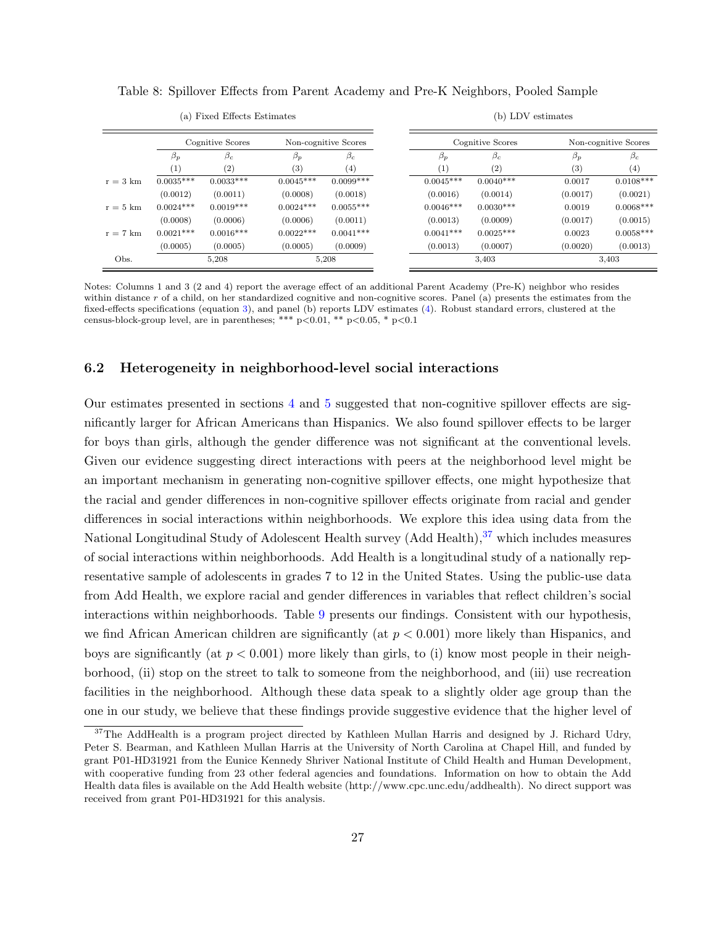<span id="page-26-0"></span>

|                    | Cognitive Scores<br>Non-cognitive Scores |             |             | Cognitive Scores | Non-cognitive Scores |             |           |             |
|--------------------|------------------------------------------|-------------|-------------|------------------|----------------------|-------------|-----------|-------------|
|                    | $\beta_p$                                | $\beta_c$   | $\beta_p$   | $\beta_c$        | $\beta_p$            | $\beta_c$   | $\beta_p$ | $\beta_c$   |
|                    | $\left(1\right)$                         | (2)         | (3)         | (4)              | (1)                  | (2)         | (3)       | (4)         |
| $r = 3 \text{ km}$ | $0.0035***$                              | $0.0033***$ | $0.0045***$ | $0.0099***$      | $0.0045***$          | $0.0040***$ | 0.0017    | $0.0108***$ |
|                    | (0.0012)                                 | (0.0011)    | (0.0008)    | (0.0018)         | (0.0016)             | (0.0014)    | (0.0017)  | (0.0021)    |
| $r = 5 \text{ km}$ | $0.0024***$                              | $0.0019***$ | $0.0024***$ | $0.0055***$      | $0.0046***$          | $0.0030***$ | 0.0019    | $0.0068***$ |
|                    | (0.0008)                                 | (0.0006)    | (0.0006)    | (0.0011)         | (0.0013)             | (0.0009)    | (0.0017)  | (0.0015)    |
| $r = 7$ km         | $0.0021***$                              | $0.0016***$ | $0.0022***$ | $0.0041***$      | $0.0041***$          | $0.0025***$ | 0.0023    | $0.0058***$ |
|                    | (0.0005)                                 | (0.0005)    | (0.0005)    | (0.0009)         | (0.0013)             | (0.0007)    | (0.0020)  | (0.0013)    |
| Obs.               | 5,208<br>5,208                           |             |             | 3,403            |                      | 3,403       |           |             |

(b) LDV estimates

Table 8: Spillover Effects from Parent Academy and Pre-K Neighbors, Pooled Sample

Notes: Columns 1 and 3 (2 and 4) report the average effect of an additional Parent Academy (Pre-K) neighbor who resides within distance r of a child, on her standardized cognitive and non-cognitive scores. Panel (a) presents the estimates from the fixed-effects specifications (equation [3\)](#page-24-1), and panel (b) reports LDV estimates [\(4\)](#page-24-2). Robust standard errors, clustered at the census-block-group level, are in parentheses; \*\*\* p<0.01, \*\* p<0.05, \* p<0.1

#### 6.2 Heterogeneity in neighborhood-level social interactions

(a) Fixed Effects Estimates

Our estimates presented in sections [4](#page-15-0) and [5](#page-19-0) suggested that non-cognitive spillover effects are significantly larger for African Americans than Hispanics. We also found spillover effects to be larger for boys than girls, although the gender difference was not significant at the conventional levels. Given our evidence suggesting direct interactions with peers at the neighborhood level might be an important mechanism in generating non-cognitive spillover effects, one might hypothesize that the racial and gender differences in non-cognitive spillover effects originate from racial and gender differences in social interactions within neighborhoods. We explore this idea using data from the National Longitudinal Study of Adolescent Health survey (Add Health),  $37$  which includes measures of social interactions within neighborhoods. Add Health is a longitudinal study of a nationally representative sample of adolescents in grades 7 to 12 in the United States. Using the public-use data from Add Health, we explore racial and gender differences in variables that reflect children's social interactions within neighborhoods. Table [9](#page-27-0) presents our findings. Consistent with our hypothesis, we find African American children are significantly (at  $p < 0.001$ ) more likely than Hispanics, and boys are significantly (at  $p < 0.001$ ) more likely than girls, to (i) know most people in their neighborhood, (ii) stop on the street to talk to someone from the neighborhood, and (iii) use recreation facilities in the neighborhood. Although these data speak to a slightly older age group than the one in our study, we believe that these findings provide suggestive evidence that the higher level of

<span id="page-26-1"></span><sup>&</sup>lt;sup>37</sup>The AddHealth is a program project directed by Kathleen Mullan Harris and designed by J. Richard Udry, Peter S. Bearman, and Kathleen Mullan Harris at the University of North Carolina at Chapel Hill, and funded by grant P01-HD31921 from the Eunice Kennedy Shriver National Institute of Child Health and Human Development, with cooperative funding from 23 other federal agencies and foundations. Information on how to obtain the Add Health data files is available on the Add Health website (http://www.cpc.unc.edu/addhealth). No direct support was received from grant P01-HD31921 for this analysis.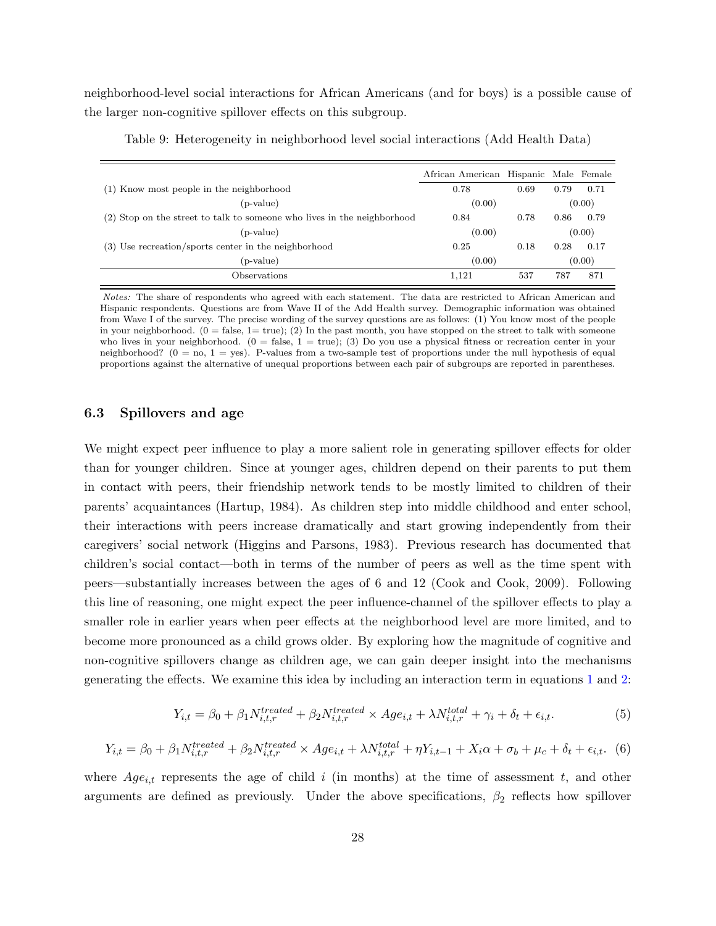neighborhood-level social interactions for African Americans (and for boys) is a possible cause of the larger non-cognitive spillover effects on this subgroup.

<span id="page-27-0"></span>

| 0.78   | 0.69 | 0.79 | 0.71                                  |
|--------|------|------|---------------------------------------|
| (0.00) |      |      | (0.00)                                |
| 0.84   | 0.78 | 0.86 | 0.79                                  |
| (0.00) |      |      | (0.00)                                |
| 0.25   | 0.18 | 0.28 | 0.17                                  |
| (0.00) |      |      | (0.00)                                |
| 1,121  | 537  | 787  | 871                                   |
|        |      |      | African American Hispanic Male Female |

Table 9: Heterogeneity in neighborhood level social interactions (Add Health Data)

Notes: The share of respondents who agreed with each statement. The data are restricted to African American and Hispanic respondents. Questions are from Wave II of the Add Health survey. Demographic information was obtained from Wave I of the survey. The precise wording of the survey questions are as follows: (1) You know most of the people in your neighborhood.  $(0 = false, 1 = true)$ ; (2) In the past month, you have stopped on the street to talk with someone who lives in your neighborhood.  $(0 = false, 1 = true)$ ; (3) Do you use a physical fitness or recreation center in your neighborhood? ( $0 =$  no,  $1 =$  yes). P-values from a two-sample test of proportions under the null hypothesis of equal proportions against the alternative of unequal proportions between each pair of subgroups are reported in parentheses.

#### <span id="page-27-1"></span>6.3 Spillovers and age

We might expect peer influence to play a more salient role in generating spillover effects for older than for younger children. Since at younger ages, children depend on their parents to put them in contact with peers, their friendship network tends to be mostly limited to children of their parents' acquaintances (Hartup, 1984). As children step into middle childhood and enter school, their interactions with peers increase dramatically and start growing independently from their caregivers' social network (Higgins and Parsons, 1983). Previous research has documented that children's social contact—both in terms of the number of peers as well as the time spent with peers—substantially increases between the ages of 6 and 12 (Cook and Cook, 2009). Following this line of reasoning, one might expect the peer influence-channel of the spillover effects to play a smaller role in earlier years when peer effects at the neighborhood level are more limited, and to become more pronounced as a child grows older. By exploring how the magnitude of cognitive and non-cognitive spillovers change as children age, we can gain deeper insight into the mechanisms generating the effects. We examine this idea by including an interaction term in equations [1](#page-14-2) and [2:](#page-20-1)

<span id="page-27-2"></span>
$$
Y_{i,t} = \beta_0 + \beta_1 N_{i,t,r}^{treated} + \beta_2 N_{i,t,r}^{treated} \times Age_{i,t} + \lambda N_{i,t,r}^{total} + \gamma_i + \delta_t + \epsilon_{i,t}.
$$
 (5)

<span id="page-27-3"></span>
$$
Y_{i,t} = \beta_0 + \beta_1 N_{i,t,r}^{treated} + \beta_2 N_{i,t,r}^{treated} \times Age_{i,t} + \lambda N_{i,t,r}^{total} + \eta Y_{i,t-1} + X_i \alpha + \sigma_b + \mu_c + \delta_t + \epsilon_{i,t}.
$$
 (6)

where  $Age_{i,t}$  represents the age of child i (in months) at the time of assessment t, and other arguments are defined as previously. Under the above specifications,  $\beta_2$  reflects how spillover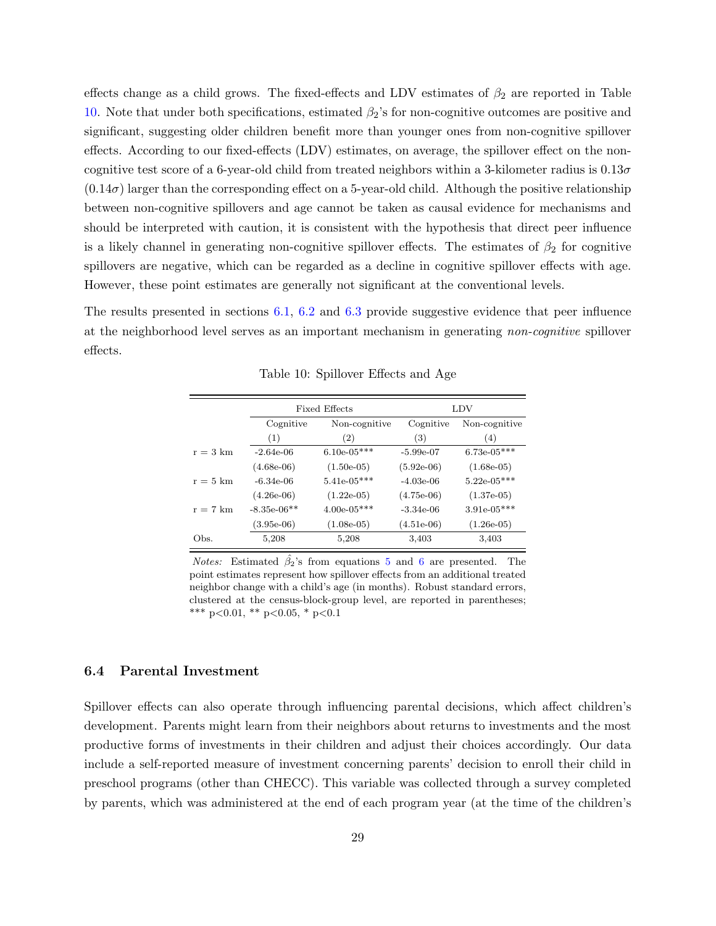effects change as a child grows. The fixed-effects and LDV estimates of  $\beta_2$  are reported in Table [10.](#page-28-0) Note that under both specifications, estimated  $\beta_2$ 's for non-cognitive outcomes are positive and significant, suggesting older children benefit more than younger ones from non-cognitive spillover effects. According to our fixed-effects (LDV) estimates, on average, the spillover effect on the noncognitive test score of a 6-year-old child from treated neighbors within a 3-kilometer radius is  $0.13\sigma$  $(0.14\sigma)$  larger than the corresponding effect on a 5-year-old child. Although the positive relationship between non-cognitive spillovers and age cannot be taken as causal evidence for mechanisms and should be interpreted with caution, it is consistent with the hypothesis that direct peer influence is a likely channel in generating non-cognitive spillover effects. The estimates of  $\beta_2$  for cognitive spillovers are negative, which can be regarded as a decline in cognitive spillover effects with age. However, these point estimates are generally not significant at the conventional levels.

<span id="page-28-0"></span>The results presented in sections [6.1,](#page-23-3) [6.2](#page-25-3) and [6.3](#page-27-1) provide suggestive evidence that peer influence at the neighborhood level serves as an important mechanism in generating non-cognitive spillover effects.

|                    |               | <b>Fixed Effects</b> | LDV          |               |  |  |
|--------------------|---------------|----------------------|--------------|---------------|--|--|
|                    | Cognitive     | Non-cognitive        | Cognitive    | Non-cognitive |  |  |
|                    | (1)           | (2)                  | (3)          | (4)           |  |  |
| $r = 3 \text{ km}$ | $-2.64e-06$   | $6.10e-05***$        | $-5.99e-07$  | $6.73e-05***$ |  |  |
|                    | $(4.68e-06)$  | $(1.50e-05)$         | $(5.92e-06)$ | $(1.68e-05)$  |  |  |
| $r = 5 \text{ km}$ | $-6.34e-06$   | $5.41e-05***$        | $-4.03e-06$  | $5.22e-05***$ |  |  |
|                    | $(4.26e-06)$  | $(1.22e-05)$         | $(4.75e-06)$ | $(1.37e-05)$  |  |  |
| $r = 7$ km         | $-8.35e-06**$ | $4.00e-05***$        | $-3.34e-06$  | $3.91e-05***$ |  |  |
|                    | $(3.95e-06)$  | $(1.08e-05)$         | $(4.51e-06)$ | $(1.26e-0.5)$ |  |  |
| Obs.               | 5,208         | 5,208                | 3,403        | 3,403         |  |  |

Table 10: Spillover Effects and Age

*Notes:* Estimated  $\hat{\beta}_2$ 's from equations [5](#page-27-2) and [6](#page-27-3) are presented. The point estimates represent how spillover effects from an additional treated neighbor change with a child's age (in months). Robust standard errors, clustered at the census-block-group level, are reported in parentheses; \*\*\* p<0.01, \*\* p<0.05, \* p<0.1

## 6.4 Parental Investment

Spillover effects can also operate through influencing parental decisions, which affect children's development. Parents might learn from their neighbors about returns to investments and the most productive forms of investments in their children and adjust their choices accordingly. Our data include a self-reported measure of investment concerning parents' decision to enroll their child in preschool programs (other than CHECC). This variable was collected through a survey completed by parents, which was administered at the end of each program year (at the time of the children's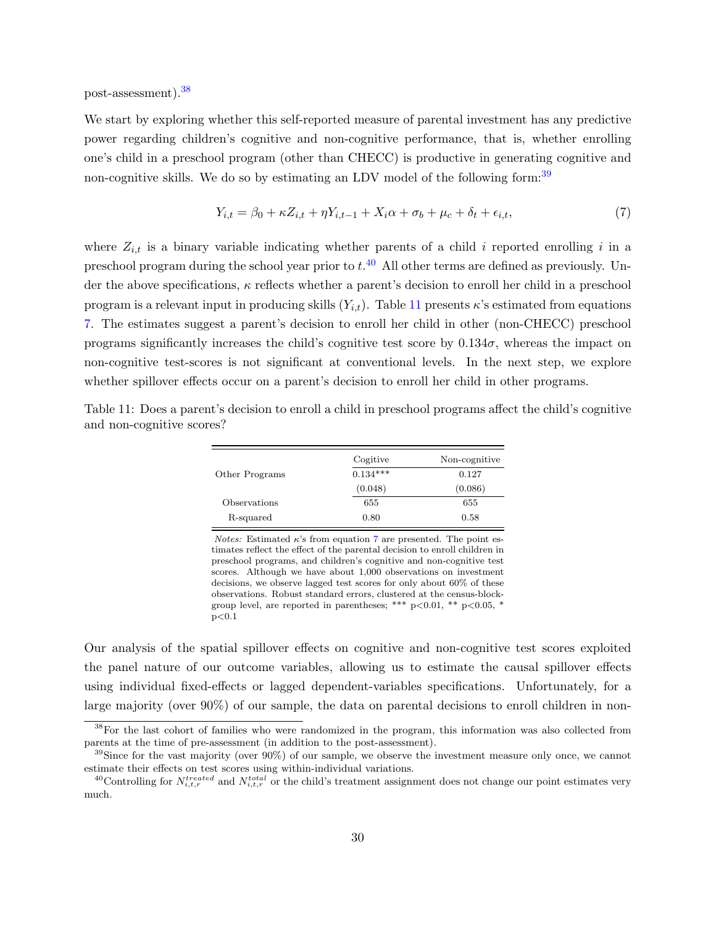post-assessment).[38](#page-29-0)

<span id="page-29-3"></span>and non-cognitive scores?

 $p<0.1$ 

We start by exploring whether this self-reported measure of parental investment has any predictive power regarding children's cognitive and non-cognitive performance, that is, whether enrolling one's child in a preschool program (other than CHECC) is productive in generating cognitive and non-cognitive skills. We do so by estimating an LDV model of the following form:<sup>[39](#page-29-1)</sup>

<span id="page-29-4"></span>
$$
Y_{i,t} = \beta_0 + \kappa Z_{i,t} + \eta Y_{i,t-1} + X_i \alpha + \sigma_b + \mu_c + \delta_t + \epsilon_{i,t},\tag{7}
$$

where  $Z_{i,t}$  is a binary variable indicating whether parents of a child i reported enrolling i in a preschool program during the school year prior to  $t^{.40}$  $t^{.40}$  $t^{.40}$  All other terms are defined as previously. Under the above specifications,  $\kappa$  reflects whether a parent's decision to enroll her child in a preschool program is a relevant input in producing skills  $(Y_{i,t})$ . Table [11](#page-29-3) presents  $\kappa$ 's estimated from equations [7.](#page-29-4) The estimates suggest a parent's decision to enroll her child in other (non-CHECC) preschool programs significantly increases the child's cognitive test score by  $0.134\sigma$ , whereas the impact on non-cognitive test-scores is not significant at conventional levels. In the next step, we explore whether spillover effects occur on a parent's decision to enroll her child in other programs.

|                | Cogitive   | Non-cognitive |
|----------------|------------|---------------|
| Other Programs | $0.134***$ | 0.127         |
|                | (0.048)    | (0.086)       |
| Observations   | 655        | 655           |
| R-squared      | 0.80       | 0.58          |

Table 11: Does a parent's decision to enroll a child in preschool programs affect the child's cognitive

Notes: Estimated  $\kappa$ 's from equation [7](#page-29-4) are presented. The point estimates reflect the effect of the parental decision to enroll children in preschool programs, and children's cognitive and non-cognitive test scores. Although we have about 1,000 observations on investment decisions, we observe lagged test scores for only about 60% of these observations. Robust standard errors, clustered at the census-blockgroup level, are reported in parentheses; \*\*\*  $p<0.01$ , \*\*  $p<0.05$ , \*

Our analysis of the spatial spillover effects on cognitive and non-cognitive test scores exploited the panel nature of our outcome variables, allowing us to estimate the causal spillover effects using individual fixed-effects or lagged dependent-variables specifications. Unfortunately, for a large majority (over 90%) of our sample, the data on parental decisions to enroll children in non-

<span id="page-29-0"></span><sup>&</sup>lt;sup>38</sup>For the last cohort of families who were randomized in the program, this information was also collected from parents at the time of pre-assessment (in addition to the post-assessment).

<span id="page-29-1"></span><sup>&</sup>lt;sup>39</sup>Since for the vast majority (over 90%) of our sample, we observe the investment measure only once, we cannot estimate their effects on test scores using within-individual variations.

<span id="page-29-2"></span><sup>&</sup>lt;sup>40</sup>Controlling for  $N_{i,t,r}^{treated}$  and  $N_{i,t,r}^{total}$  or the child's treatment assignment does not change our point estimates very much.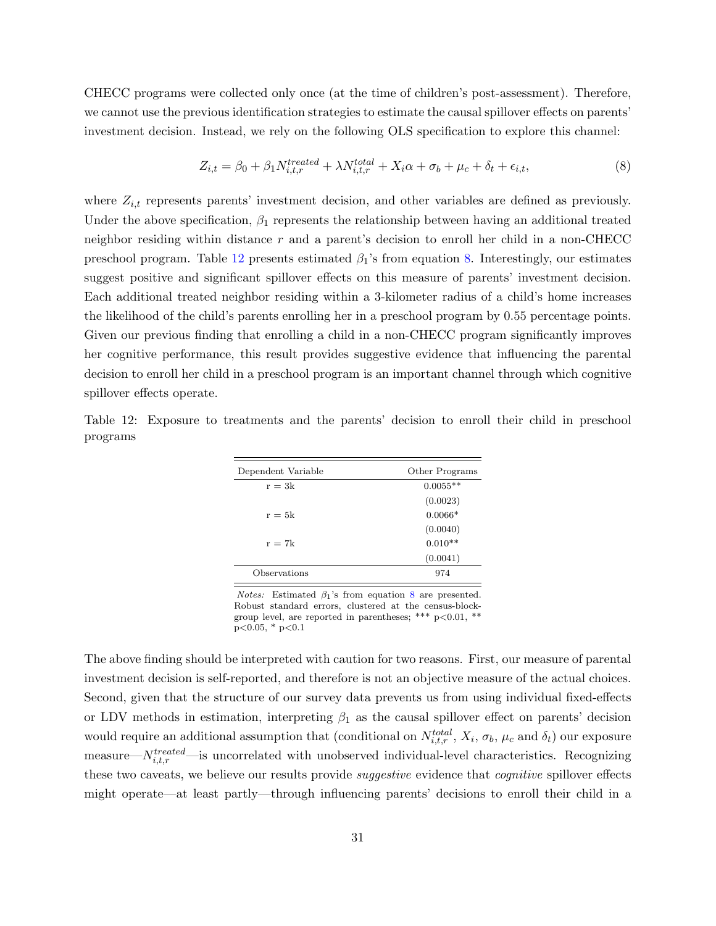CHECC programs were collected only once (at the time of children's post-assessment). Therefore, we cannot use the previous identification strategies to estimate the causal spillover effects on parents' investment decision. Instead, we rely on the following OLS specification to explore this channel:

<span id="page-30-1"></span>
$$
Z_{i,t} = \beta_0 + \beta_1 N_{i,t,r}^{treated} + \lambda N_{i,t,r}^{total} + X_i \alpha + \sigma_b + \mu_c + \delta_t + \epsilon_{i,t},
$$
\n
$$
(8)
$$

where  $Z_{i,t}$  represents parents' investment decision, and other variables are defined as previously. Under the above specification,  $\beta_1$  represents the relationship between having an additional treated neighbor residing within distance  $r$  and a parent's decision to enroll her child in a non-CHECC preschool program. Table [12](#page-30-0) presents estimated  $\beta_1$ 's from equation [8.](#page-30-1) Interestingly, our estimates suggest positive and significant spillover effects on this measure of parents' investment decision. Each additional treated neighbor residing within a 3-kilometer radius of a child's home increases the likelihood of the child's parents enrolling her in a preschool program by 0.55 percentage points. Given our previous finding that enrolling a child in a non-CHECC program significantly improves her cognitive performance, this result provides suggestive evidence that influencing the parental decision to enroll her child in a preschool program is an important channel through which cognitive spillover effects operate.

<span id="page-30-0"></span>

|          |  | Table 12: Exposure to treatments and the parents' decision to enroll their child in preschool |  |  |  |  |  |
|----------|--|-----------------------------------------------------------------------------------------------|--|--|--|--|--|
| programs |  |                                                                                               |  |  |  |  |  |

| Other Programs |
|----------------|
| $0.0055**$     |
| (0.0023)       |
| $0.0066*$      |
| (0.0040)       |
| $0.010**$      |
| (0.0041)       |
| 974            |
|                |

*Notes:* Estimated  $\beta_1$ 's from equation [8](#page-30-1) are presented. Robust standard errors, clustered at the census-blockgroup level, are reported in parentheses; \*\*\*  $p<0.01$ , \*\*  $p<0.05$ , \*  $p<0.1$ 

The above finding should be interpreted with caution for two reasons. First, our measure of parental investment decision is self-reported, and therefore is not an objective measure of the actual choices. Second, given that the structure of our survey data prevents us from using individual fixed-effects or LDV methods in estimation, interpreting  $\beta_1$  as the causal spillover effect on parents' decision would require an additional assumption that (conditional on  $N_{i,t,r}^{total}$ ,  $X_i$ ,  $\sigma_b$ ,  $\mu_c$  and  $\delta_t$ ) our exposure measure— $N_{i,t,r}^{treated}$ —is uncorrelated with unobserved individual-level characteristics. Recognizing these two caveats, we believe our results provide *suggestive* evidence that *cognitive* spillover effects might operate—at least partly—through influencing parents' decisions to enroll their child in a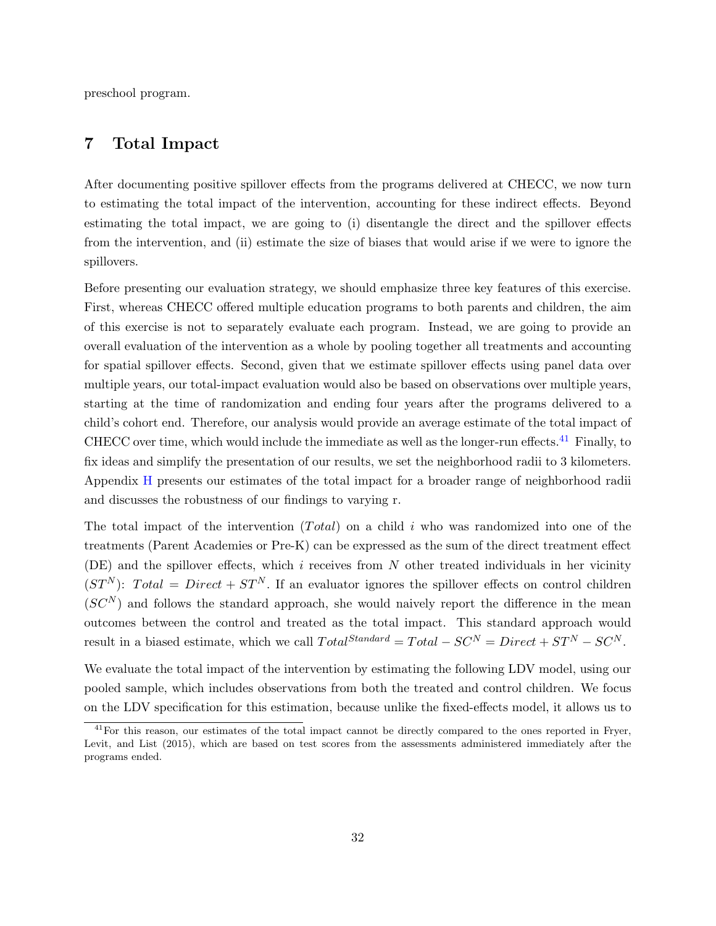<span id="page-31-0"></span>preschool program.

## 7 Total Impact

After documenting positive spillover effects from the programs delivered at CHECC, we now turn to estimating the total impact of the intervention, accounting for these indirect effects. Beyond estimating the total impact, we are going to (i) disentangle the direct and the spillover effects from the intervention, and (ii) estimate the size of biases that would arise if we were to ignore the spillovers.

Before presenting our evaluation strategy, we should emphasize three key features of this exercise. First, whereas CHECC offered multiple education programs to both parents and children, the aim of this exercise is not to separately evaluate each program. Instead, we are going to provide an overall evaluation of the intervention as a whole by pooling together all treatments and accounting for spatial spillover effects. Second, given that we estimate spillover effects using panel data over multiple years, our total-impact evaluation would also be based on observations over multiple years, starting at the time of randomization and ending four years after the programs delivered to a child's cohort end. Therefore, our analysis would provide an average estimate of the total impact of CHECC over time, which would include the immediate as well as the longer-run effects.<sup>[41](#page-31-1)</sup> Finally, to fix ideas and simplify the presentation of our results, we set the neighborhood radii to 3 kilometers. Appendix [H](#page-51-0) presents our estimates of the total impact for a broader range of neighborhood radii and discusses the robustness of our findings to varying r.

The total impact of the intervention  $(Total)$  on a child i who was randomized into one of the treatments (Parent Academies or Pre-K) can be expressed as the sum of the direct treatment effect (DE) and the spillover effects, which i receives from  $N$  other treated individuals in her vicinity  $(ST^N)$ : Total = Direct +  $ST^N$ . If an evaluator ignores the spillover effects on control children  $(SC<sup>N</sup>)$  and follows the standard approach, she would naively report the difference in the mean outcomes between the control and treated as the total impact. This standard approach would result in a biased estimate, which we call  $Total^{Standard} = Total - SC^N = Direct + ST^N - SC^N$ .

We evaluate the total impact of the intervention by estimating the following LDV model, using our pooled sample, which includes observations from both the treated and control children. We focus on the LDV specification for this estimation, because unlike the fixed-effects model, it allows us to

<span id="page-31-1"></span><sup>&</sup>lt;sup>41</sup>For this reason, our estimates of the total impact cannot be directly compared to the ones reported in Fryer, Levit, and List (2015), which are based on test scores from the assessments administered immediately after the programs ended.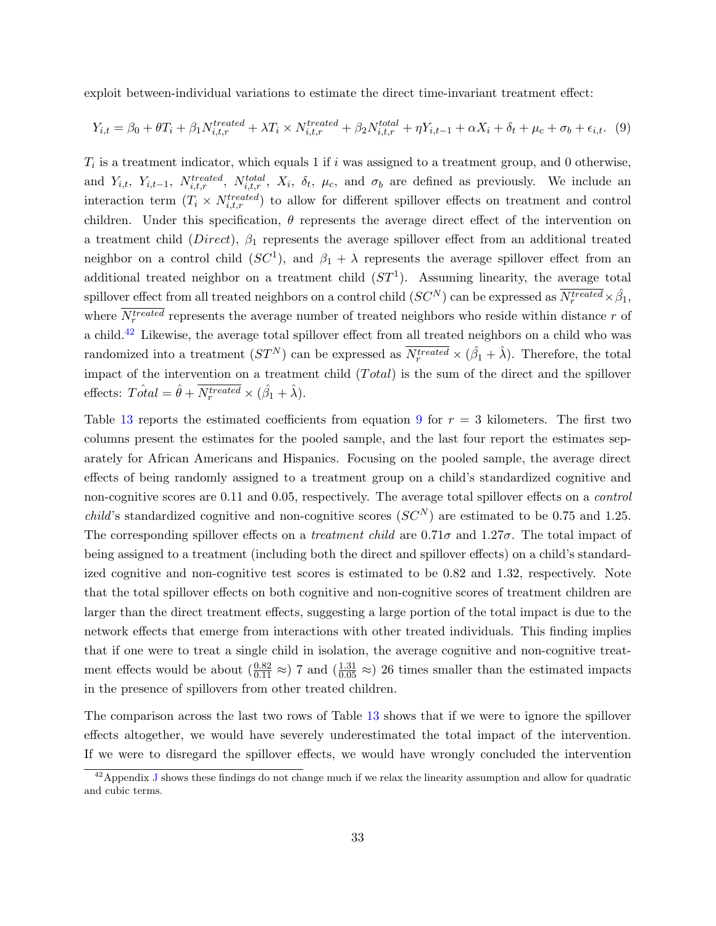exploit between-individual variations to estimate the direct time-invariant treatment effect:

<span id="page-32-1"></span>
$$
Y_{i,t} = \beta_0 + \theta T_i + \beta_1 N_{i,t,r}^{treated} + \lambda T_i \times N_{i,t,r}^{treated} + \beta_2 N_{i,t,r}^{total} + \eta Y_{i,t-1} + \alpha X_i + \delta_t + \mu_c + \sigma_b + \epsilon_{i,t}.
$$
 (9)

 $T_i$  is a treatment indicator, which equals 1 if i was assigned to a treatment group, and 0 otherwise, and  $Y_{i,t}, Y_{i,t-1}, N^{treated}_{i,t,r}, N^{total}_{i,t,r}, X_i, \delta_t, \mu_c$ , and  $\sigma_b$  are defined as previously. We include an interaction term  $(T_i \times N_{i,t,r}^{treated})$  to allow for different spillover effects on treatment and control children. Under this specification,  $\theta$  represents the average direct effect of the intervention on a treatment child ( $Direct$ ),  $\beta_1$  represents the average spillover effect from an additional treated neighbor on a control child  $(SC<sup>1</sup>)$ , and  $\beta_1 + \lambda$  represents the average spillover effect from an additional treated neighbor on a treatment child  $(ST<sup>1</sup>)$ . Assuming linearity, the average total spillover effect from all treated neighbors on a control child  $(SC^N)$  can be expressed as  $\overline{N_r^{treated}} \times \hat{\beta_1}$ , where  $N_r^{treated}$  represents the average number of treated neighbors who reside within distance r of a child.[42](#page-32-0) Likewise, the average total spillover effect from all treated neighbors on a child who was randomized into a treatment  $(ST^N)$  can be expressed as  $\overline{N_r^{treated}} \times (\hat{\beta}_1 + \hat{\lambda})$ . Therefore, the total impact of the intervention on a treatment child  $(Total)$  is the sum of the direct and the spillover effects:  $T \hat{\alpha} \hat{\alpha} \hat{\alpha} \hat{\beta} + \overline{N_r^{treated}} \times (\hat{\beta}_1 + \hat{\lambda}).$ 

Table [13](#page-33-0) reports the estimated coefficients from equation [9](#page-32-1) for  $r = 3$  kilometers. The first two columns present the estimates for the pooled sample, and the last four report the estimates separately for African Americans and Hispanics. Focusing on the pooled sample, the average direct effects of being randomly assigned to a treatment group on a child's standardized cognitive and non-cognitive scores are 0.11 and 0.05, respectively. The average total spillover effects on a control *child's* standardized cognitive and non-cognitive scores  $(SC^N)$  are estimated to be 0.75 and 1.25. The corresponding spillover effects on a treatment child are 0.71σ and 1.27σ. The total impact of being assigned to a treatment (including both the direct and spillover effects) on a child's standardized cognitive and non-cognitive test scores is estimated to be 0.82 and 1.32, respectively. Note that the total spillover effects on both cognitive and non-cognitive scores of treatment children are larger than the direct treatment effects, suggesting a large portion of the total impact is due to the network effects that emerge from interactions with other treated individuals. This finding implies that if one were to treat a single child in isolation, the average cognitive and non-cognitive treatment effects would be about  $\left(\frac{0.82}{0.11} \approx\right)$  7 and  $\left(\frac{1.31}{0.05} \approx\right)$  26 times smaller than the estimated impacts in the presence of spillovers from other treated children.

The comparison across the last two rows of Table [13](#page-33-0) shows that if we were to ignore the spillover effects altogether, we would have severely underestimated the total impact of the intervention. If we were to disregard the spillover effects, we would have wrongly concluded the intervention

<span id="page-32-0"></span> $^{42}$ Appendix [J](#page-53-0) shows these findings do not change much if we relax the linearity assumption and allow for quadratic and cubic terms.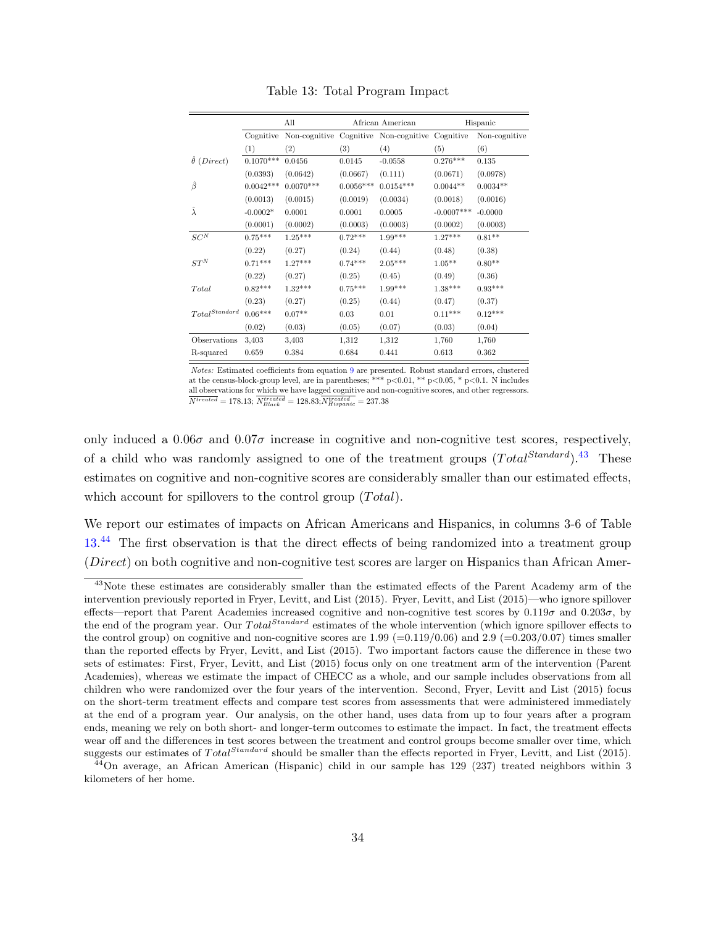<span id="page-33-0"></span>

|                         |             | All           |             | African American        |              | Hispanic      |
|-------------------------|-------------|---------------|-------------|-------------------------|--------------|---------------|
|                         | Cognitive   | Non-cognitive |             | Cognitive Non-cognitive | Cognitive    | Non-cognitive |
|                         | (1)         | (2)           | (3)         | (4)                     | (5)          | (6)           |
| $\hat{\theta}$ (Direct) | $0.1070***$ | 0.0456        | 0.0145      | $-0.0558$               | $0.276***$   | 0.135         |
|                         | (0.0393)    | (0.0642)      | (0.0667)    | (0.111)                 | (0.0671)     | (0.0978)      |
| β                       | $0.0042***$ | $0.0070***$   | $0.0056***$ | $0.0154***$             | $0.0044**$   | $0.0034**$    |
|                         | (0.0013)    | (0.0015)      | (0.0019)    | (0.0034)                | (0.0018)     | (0.0016)      |
| $\hat{\lambda}$         | $-0.0002*$  | 0.0001        | 0.0001      | 0.0005                  | $-0.0007***$ | $-0.0000$     |
|                         | (0.0001)    | (0.0002)      | (0.0003)    | (0.0003)                | (0.0002)     | (0.0003)      |
| ${\cal S}{\cal C}^N$    | $0.75***$   | $1.25***$     | $0.72***$   | $1.99***$               | $1.27***$    | $0.81**$      |
|                         | (0.22)      | (0.27)        | (0.24)      | (0.44)                  | (0.48)       | (0.38)        |
| $ST^N$                  | $0.71***$   | $1.27***$     | $0.74***$   | $2.05***$               | $1.05**$     | $0.80**$      |
|                         | (0.22)      | (0.27)        | (0.25)      | (0.45)                  | (0.49)       | (0.36)        |
| Total                   | $0.82***$   | $1.32***$     | $0.75***$   | $1.99***$               | $1.38***$    | $0.93***$     |
|                         | (0.23)      | (0.27)        | (0.25)      | (0.44)                  | (0.47)       | (0.37)        |
| $Total^{Standard}$      | $0.06***$   | $0.07**$      | 0.03        | 0.01                    | $0.11***$    | $0.12***$     |
|                         | (0.02)      | (0.03)        | (0.05)      | (0.07)                  | (0.03)       | (0.04)        |
| Observations            | 3.403       | 3,403         | 1,312       | 1,312                   | 1,760        | 1,760         |
| R-squared               | 0.659       | 0.384         | 0.684       | 0.441                   | 0.613        | 0.362         |

Table 13: Total Program Impact

Notes: Estimated coefficients from equation [9](#page-32-1) are presented. Robust standard errors, clustered at the census-block-group level, are in parentheses; \*\*\*  $p<0.01$ , \*\*  $p<0.05$ , \*  $p<0.1$ . N includes all observations for which we have lagged cognitive and non-cognitive scores, and other regressors.  $\overline{N^{treated}} = 178.13; \overline{N^{treated}_{Black}} = 128.83; \overline{N^{treated}_{Hispanic}} = 237.38$ 

only induced a  $0.06\sigma$  and  $0.07\sigma$  increase in cognitive and non-cognitive test scores, respectively, of a child who was randomly assigned to one of the treatment groups  $(Total^{Standard})$ .<sup>[43](#page-33-1)</sup> These estimates on cognitive and non-cognitive scores are considerably smaller than our estimated effects, which account for spillovers to the control group  $(Total)$ .

We report our estimates of impacts on African Americans and Hispanics, in columns 3-6 of Table [13.](#page-33-0)<sup>[44](#page-33-2)</sup> The first observation is that the direct effects of being randomized into a treatment group (Direct) on both cognitive and non-cognitive test scores are larger on Hispanics than African Amer-

<span id="page-33-1"></span><sup>&</sup>lt;sup>43</sup>Note these estimates are considerably smaller than the estimated effects of the Parent Academy arm of the intervention previously reported in Fryer, Levitt, and List (2015). Fryer, Levitt, and List (2015)—who ignore spillover effects—report that Parent Academies increased cognitive and non-cognitive test scores by  $0.119\sigma$  and  $0.203\sigma$ , by the end of the program year. Our Total<sup>Standard</sup> estimates of the whole intervention (which ignore spillover effects to the control group) on cognitive and non-cognitive scores are  $1.99$  (=0.119/0.06) and  $2.9$  (=0.203/0.07) times smaller than the reported effects by Fryer, Levitt, and List (2015). Two important factors cause the difference in these two sets of estimates: First, Fryer, Levitt, and List (2015) focus only on one treatment arm of the intervention (Parent Academies), whereas we estimate the impact of CHECC as a whole, and our sample includes observations from all children who were randomized over the four years of the intervention. Second, Fryer, Levitt and List (2015) focus on the short-term treatment effects and compare test scores from assessments that were administered immediately at the end of a program year. Our analysis, on the other hand, uses data from up to four years after a program ends, meaning we rely on both short- and longer-term outcomes to estimate the impact. In fact, the treatment effects wear off and the differences in test scores between the treatment and control groups become smaller over time, which suggests our estimates of  $Total^{Standard}$  should be smaller than the effects reported in Fryer, Levitt, and List (2015).

<span id="page-33-2"></span> $44$ On average, an African American (Hispanic) child in our sample has 129 (237) treated neighbors within 3 kilometers of her home.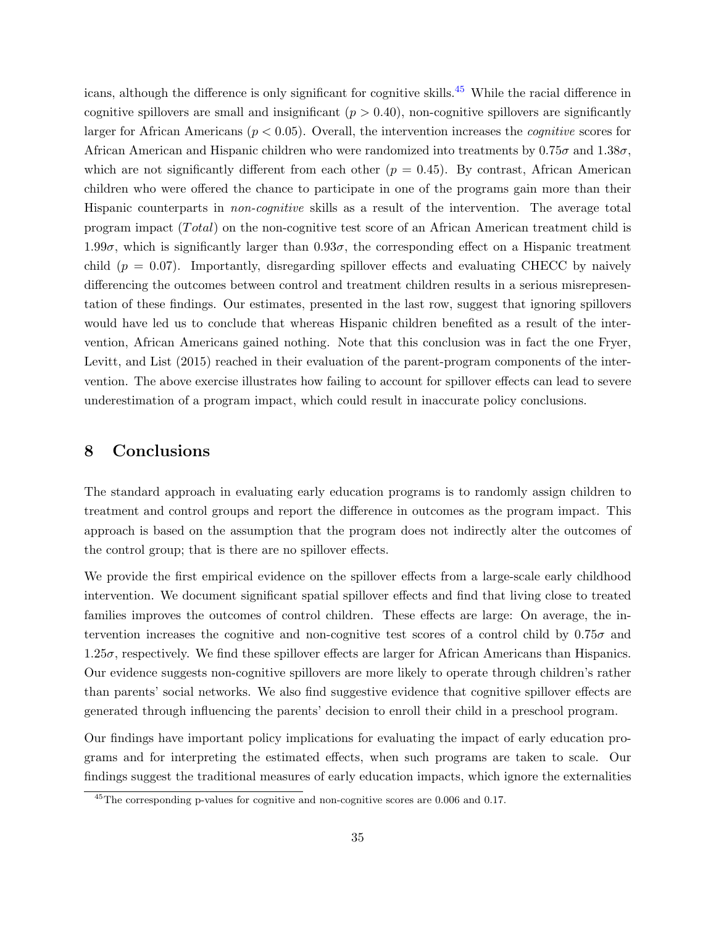icans, although the difference is only significant for cognitive skills.[45](#page-34-1) While the racial difference in cognitive spillovers are small and insignificant  $(p > 0.40)$ , non-cognitive spillovers are significantly larger for African Americans ( $p < 0.05$ ). Overall, the intervention increases the *cognitive* scores for African American and Hispanic children who were randomized into treatments by  $0.75\sigma$  and  $1.38\sigma$ , which are not significantly different from each other  $(p = 0.45)$ . By contrast, African American children who were offered the chance to participate in one of the programs gain more than their Hispanic counterparts in non-cognitive skills as a result of the intervention. The average total program impact (*Total*) on the non-cognitive test score of an African American treatment child is 1.99 $\sigma$ , which is significantly larger than  $0.93\sigma$ , the corresponding effect on a Hispanic treatment child ( $p = 0.07$ ). Importantly, disregarding spillover effects and evaluating CHECC by naively differencing the outcomes between control and treatment children results in a serious misrepresentation of these findings. Our estimates, presented in the last row, suggest that ignoring spillovers would have led us to conclude that whereas Hispanic children benefited as a result of the intervention, African Americans gained nothing. Note that this conclusion was in fact the one Fryer, Levitt, and List (2015) reached in their evaluation of the parent-program components of the intervention. The above exercise illustrates how failing to account for spillover effects can lead to severe underestimation of a program impact, which could result in inaccurate policy conclusions.

## <span id="page-34-0"></span>8 Conclusions

The standard approach in evaluating early education programs is to randomly assign children to treatment and control groups and report the difference in outcomes as the program impact. This approach is based on the assumption that the program does not indirectly alter the outcomes of the control group; that is there are no spillover effects.

We provide the first empirical evidence on the spillover effects from a large-scale early childhood intervention. We document significant spatial spillover effects and find that living close to treated families improves the outcomes of control children. These effects are large: On average, the intervention increases the cognitive and non-cognitive test scores of a control child by  $0.75\sigma$  and  $1.25\sigma$ , respectively. We find these spillover effects are larger for African Americans than Hispanics. Our evidence suggests non-cognitive spillovers are more likely to operate through children's rather than parents' social networks. We also find suggestive evidence that cognitive spillover effects are generated through influencing the parents' decision to enroll their child in a preschool program.

Our findings have important policy implications for evaluating the impact of early education programs and for interpreting the estimated effects, when such programs are taken to scale. Our findings suggest the traditional measures of early education impacts, which ignore the externalities

<span id="page-34-1"></span><sup>&</sup>lt;sup>45</sup>The corresponding p-values for cognitive and non-cognitive scores are 0.006 and 0.17.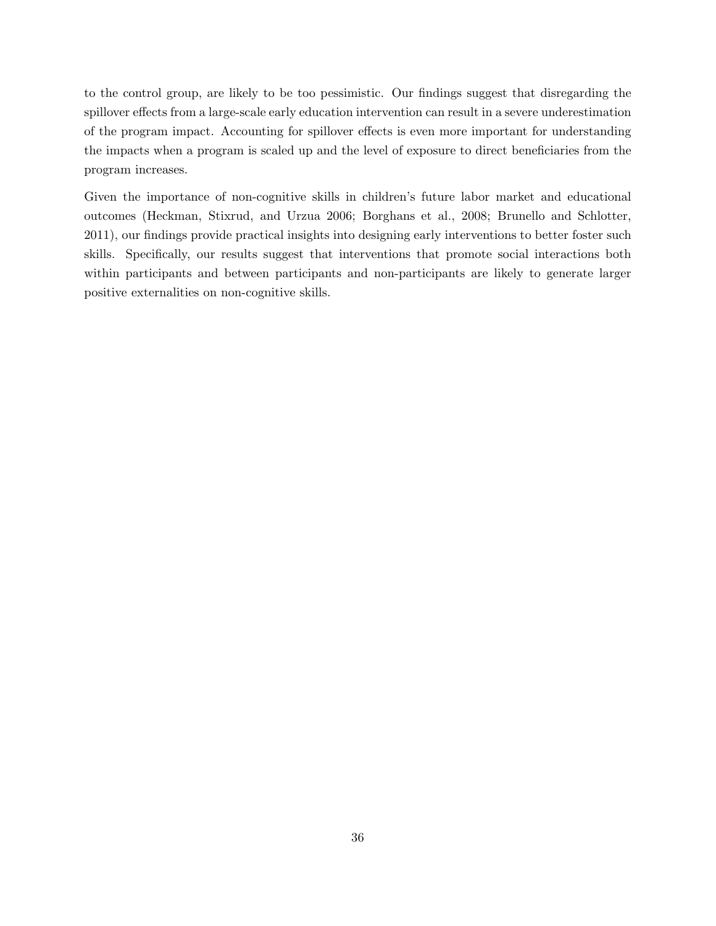to the control group, are likely to be too pessimistic. Our findings suggest that disregarding the spillover effects from a large-scale early education intervention can result in a severe underestimation of the program impact. Accounting for spillover effects is even more important for understanding the impacts when a program is scaled up and the level of exposure to direct beneficiaries from the program increases.

Given the importance of non-cognitive skills in children's future labor market and educational outcomes (Heckman, Stixrud, and Urzua 2006; Borghans et al., 2008; Brunello and Schlotter, 2011), our findings provide practical insights into designing early interventions to better foster such skills. Specifically, our results suggest that interventions that promote social interactions both within participants and between participants and non-participants are likely to generate larger positive externalities on non-cognitive skills.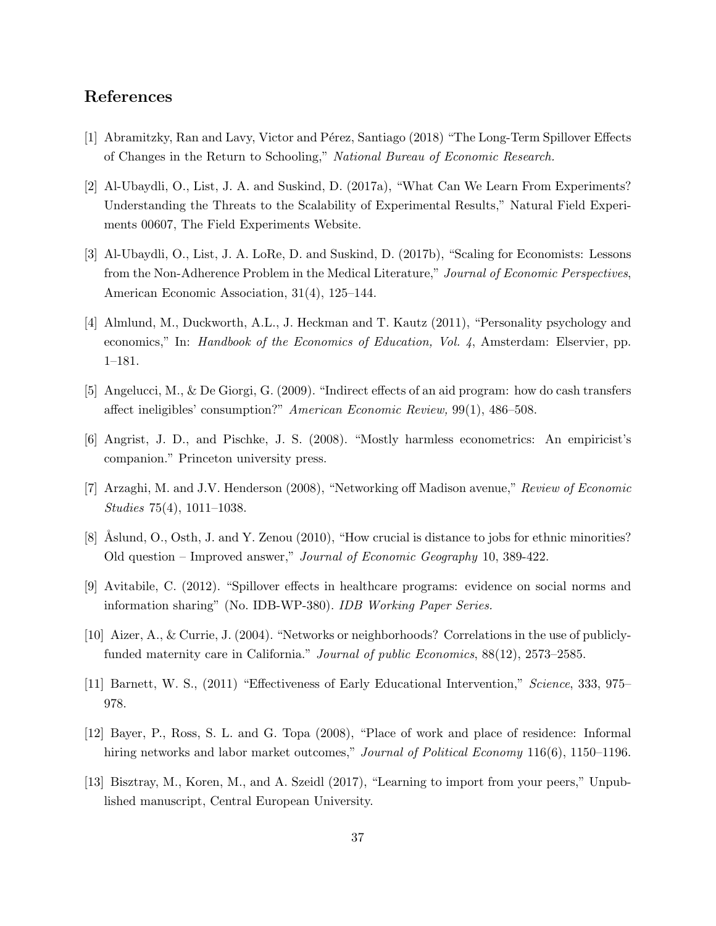## References

- [1] Abramitzky, Ran and Lavy, Victor and Pérez, Santiago (2018) "The Long-Term Spillover Effects of Changes in the Return to Schooling," National Bureau of Economic Research.
- [2] Al-Ubaydli, O., List, J. A. and Suskind, D. (2017a), "What Can We Learn From Experiments? Understanding the Threats to the Scalability of Experimental Results," Natural Field Experiments 00607, The Field Experiments Website.
- [3] Al-Ubaydli, O., List, J. A. LoRe, D. and Suskind, D. (2017b), "Scaling for Economists: Lessons from the Non-Adherence Problem in the Medical Literature," Journal of Economic Perspectives, American Economic Association, 31(4), 125–144.
- [4] Almlund, M., Duckworth, A.L., J. Heckman and T. Kautz (2011), "Personality psychology and economics," In: Handbook of the Economics of Education, Vol. 4, Amsterdam: Elservier, pp. 1–181.
- [5] Angelucci, M., & De Giorgi, G. (2009). "Indirect effects of an aid program: how do cash transfers affect ineligibles' consumption?" American Economic Review, 99(1), 486–508.
- [6] Angrist, J. D., and Pischke, J. S. (2008). "Mostly harmless econometrics: An empiricist's companion." Princeton university press.
- [7] Arzaghi, M. and J.V. Henderson (2008), "Networking off Madison avenue," Review of Economic Studies 75(4), 1011–1038.
- [8] Aslund, O., Osth, J. and Y. Zenou (2010), "How crucial is distance to jobs for ethnic minorities? Old question – Improved answer," Journal of Economic Geography 10, 389-422.
- [9] Avitabile, C. (2012). "Spillover effects in healthcare programs: evidence on social norms and information sharing" (No. IDB-WP-380). IDB Working Paper Series.
- [10] Aizer, A., & Currie, J. (2004). "Networks or neighborhoods? Correlations in the use of publiclyfunded maternity care in California." Journal of public Economics, 88(12), 2573–2585.
- [11] Barnett, W. S., (2011) "Effectiveness of Early Educational Intervention," Science, 333, 975– 978.
- [12] Bayer, P., Ross, S. L. and G. Topa (2008), "Place of work and place of residence: Informal hiring networks and labor market outcomes," Journal of Political Economy 116(6), 1150–1196.
- [13] Bisztray, M., Koren, M., and A. Szeidl (2017), "Learning to import from your peers," Unpublished manuscript, Central European University.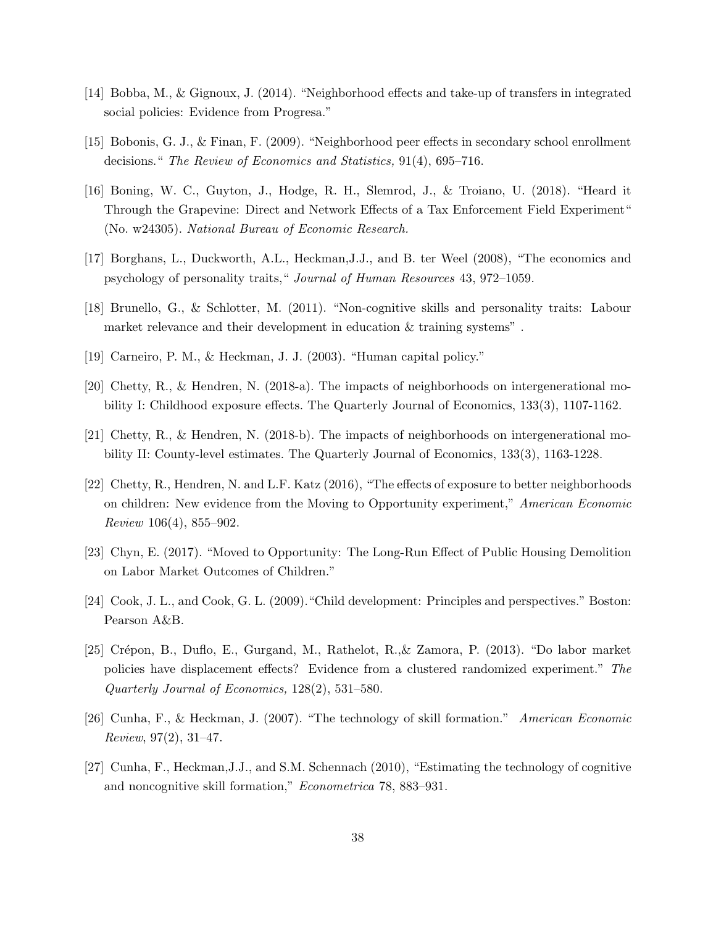- [14] Bobba, M., & Gignoux, J. (2014). "Neighborhood effects and take-up of transfers in integrated social policies: Evidence from Progresa."
- [15] Bobonis, G. J., & Finan, F. (2009). "Neighborhood peer effects in secondary school enrollment decisions." The Review of Economics and Statistics, 91(4), 695–716.
- [16] Boning, W. C., Guyton, J., Hodge, R. H., Slemrod, J., & Troiano, U. (2018). "Heard it Through the Grapevine: Direct and Network Effects of a Tax Enforcement Field Experiment" (No. w24305). National Bureau of Economic Research.
- [17] Borghans, L., Duckworth, A.L., Heckman,J.J., and B. ter Weel (2008), "The economics and psychology of personality traits," Journal of Human Resources 43, 972–1059.
- [18] Brunello, G., & Schlotter, M. (2011). "Non-cognitive skills and personality traits: Labour market relevance and their development in education & training systems" .
- [19] Carneiro, P. M., & Heckman, J. J. (2003). "Human capital policy."
- [20] Chetty, R., & Hendren, N. (2018-a). The impacts of neighborhoods on intergenerational mobility I: Childhood exposure effects. The Quarterly Journal of Economics, 133(3), 1107-1162.
- [21] Chetty, R., & Hendren, N. (2018-b). The impacts of neighborhoods on intergenerational mobility II: County-level estimates. The Quarterly Journal of Economics, 133(3), 1163-1228.
- [22] Chetty, R., Hendren, N. and L.F. Katz (2016), "The effects of exposure to better neighborhoods on children: New evidence from the Moving to Opportunity experiment," American Economic Review 106(4), 855–902.
- [23] Chyn, E. (2017). "Moved to Opportunity: The Long-Run Effect of Public Housing Demolition on Labor Market Outcomes of Children."
- [24] Cook, J. L., and Cook, G. L. (2009)."Child development: Principles and perspectives." Boston: Pearson A&B.
- [25] Crépon, B., Duflo, E., Gurgand, M., Rathelot, R., & Zamora, P. (2013). "Do labor market policies have displacement effects? Evidence from a clustered randomized experiment." The Quarterly Journal of Economics, 128(2), 531–580.
- [26] Cunha, F., & Heckman, J. (2007). "The technology of skill formation." American Economic Review, 97(2), 31–47.
- [27] Cunha, F., Heckman,J.J., and S.M. Schennach (2010), "Estimating the technology of cognitive and noncognitive skill formation," Econometrica 78, 883–931.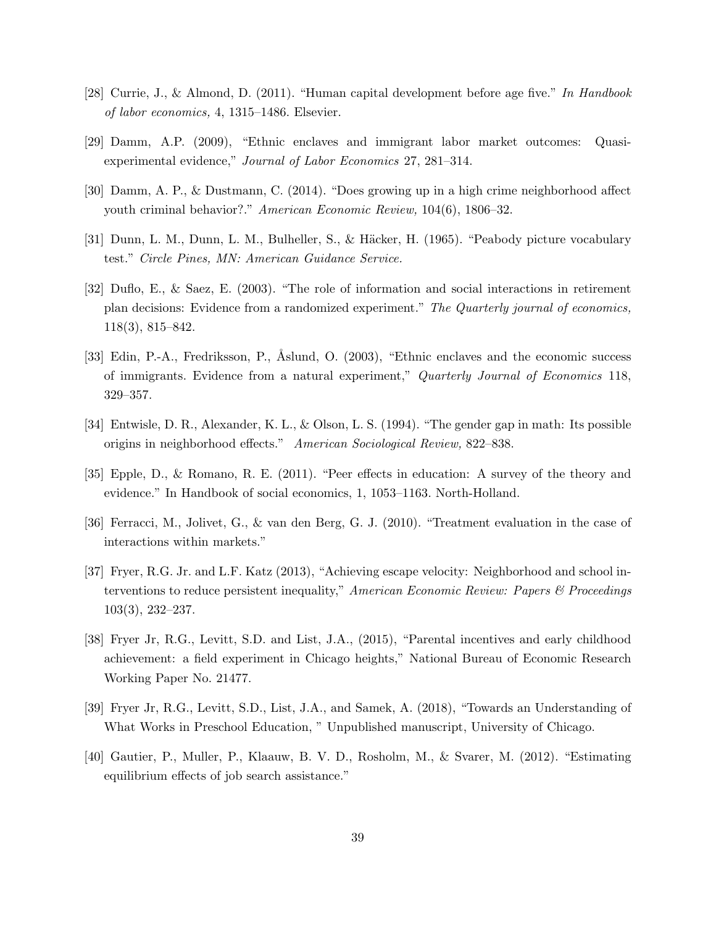- [28] Currie, J., & Almond, D. (2011). "Human capital development before age five." In Handbook of labor economics, 4, 1315–1486. Elsevier.
- [29] Damm, A.P. (2009), "Ethnic enclaves and immigrant labor market outcomes: Quasiexperimental evidence," Journal of Labor Economics 27, 281–314.
- [30] Damm, A. P., & Dustmann, C. (2014). "Does growing up in a high crime neighborhood affect youth criminal behavior?." American Economic Review, 104(6), 1806–32.
- [31] Dunn, L. M., Dunn, L. M., Bulheller, S., & Häcker, H. (1965). "Peabody picture vocabulary test." Circle Pines, MN: American Guidance Service.
- [32] Duflo, E., & Saez, E. (2003). "The role of information and social interactions in retirement plan decisions: Evidence from a randomized experiment." The Quarterly journal of economics, 118(3), 815–842.
- [33] Edin, P.-A., Fredriksson, P., Åslund, O. (2003), "Ethnic enclaves and the economic success of immigrants. Evidence from a natural experiment," Quarterly Journal of Economics 118, 329–357.
- [34] Entwisle, D. R., Alexander, K. L., & Olson, L. S. (1994). "The gender gap in math: Its possible origins in neighborhood effects." American Sociological Review, 822–838.
- [35] Epple, D., & Romano, R. E. (2011). "Peer effects in education: A survey of the theory and evidence." In Handbook of social economics, 1, 1053–1163. North-Holland.
- [36] Ferracci, M., Jolivet, G., & van den Berg, G. J. (2010). "Treatment evaluation in the case of interactions within markets."
- [37] Fryer, R.G. Jr. and L.F. Katz (2013), "Achieving escape velocity: Neighborhood and school interventions to reduce persistent inequality," American Economic Review: Papers & Proceedings 103(3), 232–237.
- [38] Fryer Jr, R.G., Levitt, S.D. and List, J.A., (2015), "Parental incentives and early childhood achievement: a field experiment in Chicago heights," National Bureau of Economic Research Working Paper No. 21477.
- [39] Fryer Jr, R.G., Levitt, S.D., List, J.A., and Samek, A. (2018), "Towards an Understanding of What Works in Preschool Education, " Unpublished manuscript, University of Chicago.
- [40] Gautier, P., Muller, P., Klaauw, B. V. D., Rosholm, M., & Svarer, M. (2012). "Estimating equilibrium effects of job search assistance."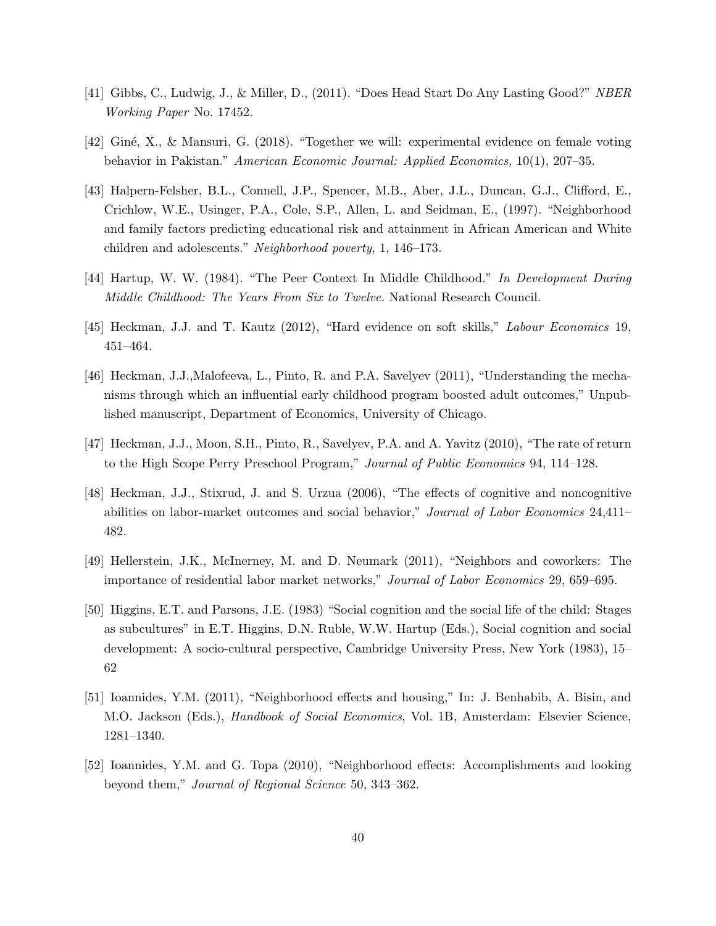- [41] Gibbs, C., Ludwig, J., & Miller, D., (2011). "Does Head Start Do Any Lasting Good?" NBER Working Paper No. 17452.
- [42] Gin´e, X., & Mansuri, G. (2018). "Together we will: experimental evidence on female voting behavior in Pakistan." American Economic Journal: Applied Economics, 10(1), 207–35.
- [43] Halpern-Felsher, B.L., Connell, J.P., Spencer, M.B., Aber, J.L., Duncan, G.J., Clifford, E., Crichlow, W.E., Usinger, P.A., Cole, S.P., Allen, L. and Seidman, E., (1997). "Neighborhood and family factors predicting educational risk and attainment in African American and White children and adolescents." Neighborhood poverty, 1, 146–173.
- [44] Hartup, W. W. (1984). "The Peer Context In Middle Childhood." In Development During Middle Childhood: The Years From Six to Twelve. National Research Council.
- [45] Heckman, J.J. and T. Kautz (2012), "Hard evidence on soft skills," Labour Economics 19, 451–464.
- [46] Heckman, J.J.,Malofeeva, L., Pinto, R. and P.A. Savelyev (2011), "Understanding the mechanisms through which an influential early childhood program boosted adult outcomes," Unpublished manuscript, Department of Economics, University of Chicago.
- [47] Heckman, J.J., Moon, S.H., Pinto, R., Savelyev, P.A. and A. Yavitz (2010), "The rate of return to the High Scope Perry Preschool Program," Journal of Public Economics 94, 114–128.
- [48] Heckman, J.J., Stixrud, J. and S. Urzua (2006), "The effects of cognitive and noncognitive abilities on labor-market outcomes and social behavior," Journal of Labor Economics 24,411– 482.
- [49] Hellerstein, J.K., McInerney, M. and D. Neumark (2011), "Neighbors and coworkers: The importance of residential labor market networks," Journal of Labor Economics 29, 659–695.
- [50] Higgins, E.T. and Parsons, J.E. (1983) "Social cognition and the social life of the child: Stages as subcultures" in E.T. Higgins, D.N. Ruble, W.W. Hartup (Eds.), Social cognition and social development: A socio-cultural perspective, Cambridge University Press, New York (1983), 15– 62
- [51] Ioannides, Y.M. (2011), "Neighborhood effects and housing," In: J. Benhabib, A. Bisin, and M.O. Jackson (Eds.), Handbook of Social Economics, Vol. 1B, Amsterdam: Elsevier Science, 1281–1340.
- [52] Ioannides, Y.M. and G. Topa (2010), "Neighborhood effects: Accomplishments and looking beyond them," Journal of Regional Science 50, 343–362.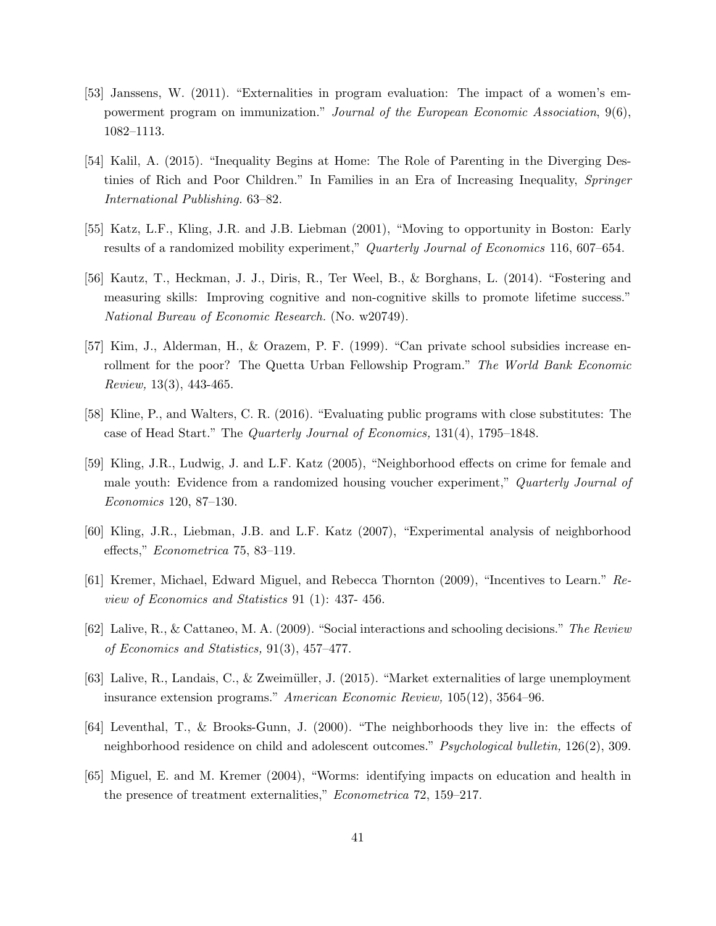- [53] Janssens, W. (2011). "Externalities in program evaluation: The impact of a women's empowerment program on immunization." Journal of the European Economic Association, 9(6), 1082–1113.
- [54] Kalil, A. (2015). "Inequality Begins at Home: The Role of Parenting in the Diverging Destinies of Rich and Poor Children." In Families in an Era of Increasing Inequality, Springer International Publishing. 63–82.
- [55] Katz, L.F., Kling, J.R. and J.B. Liebman (2001), "Moving to opportunity in Boston: Early results of a randomized mobility experiment," Quarterly Journal of Economics 116, 607–654.
- [56] Kautz, T., Heckman, J. J., Diris, R., Ter Weel, B., & Borghans, L. (2014). "Fostering and measuring skills: Improving cognitive and non-cognitive skills to promote lifetime success." National Bureau of Economic Research. (No. w20749).
- [57] Kim, J., Alderman, H., & Orazem, P. F. (1999). "Can private school subsidies increase enrollment for the poor? The Quetta Urban Fellowship Program." The World Bank Economic Review, 13(3), 443-465.
- [58] Kline, P., and Walters, C. R. (2016). "Evaluating public programs with close substitutes: The case of Head Start." The Quarterly Journal of Economics, 131(4), 1795–1848.
- [59] Kling, J.R., Ludwig, J. and L.F. Katz (2005), "Neighborhood effects on crime for female and male youth: Evidence from a randomized housing voucher experiment," Quarterly Journal of Economics 120, 87–130.
- [60] Kling, J.R., Liebman, J.B. and L.F. Katz (2007), "Experimental analysis of neighborhood effects," Econometrica 75, 83–119.
- [61] Kremer, Michael, Edward Miguel, and Rebecca Thornton (2009), "Incentives to Learn." Review of Economics and Statistics 91 (1): 437- 456.
- [62] Lalive, R., & Cattaneo, M. A. (2009). "Social interactions and schooling decisions." The Review of Economics and Statistics, 91(3), 457–477.
- [63] Lalive, R., Landais, C., & Zweimüller, J. (2015). "Market externalities of large unemployment insurance extension programs." American Economic Review, 105(12), 3564–96.
- [64] Leventhal, T., & Brooks-Gunn, J. (2000). "The neighborhoods they live in: the effects of neighborhood residence on child and adolescent outcomes." Psychological bulletin, 126(2), 309.
- [65] Miguel, E. and M. Kremer (2004), "Worms: identifying impacts on education and health in the presence of treatment externalities," Econometrica 72, 159–217.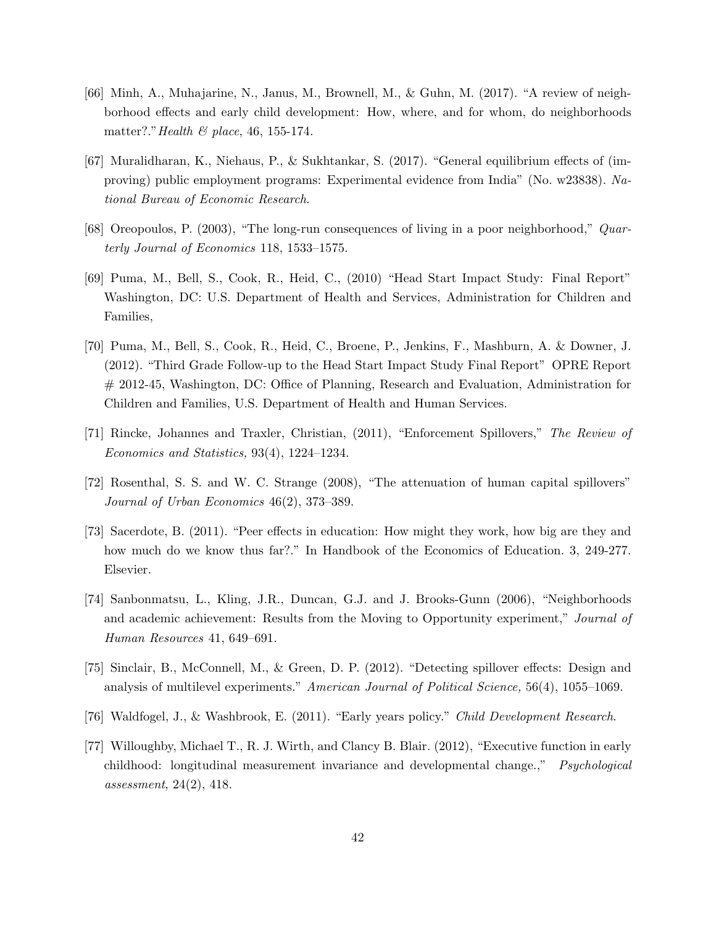- [66] Minh, A., Muhajarine, N., Janus, M., Brownell, M., & Guhn, M. (2017). "A review of neighborhood effects and early child development: How, where, and for whom, do neighborhoods matter?." Health  $\mathcal B$  place, 46, 155-174.
- [67] Muralidharan, K., Niehaus, P., & Sukhtankar, S. (2017). "General equilibrium effects of (improving) public employment programs: Experimental evidence from India" (No. w23838). National Bureau of Economic Research.
- [68] Oreopoulos, P. (2003), "The long-run consequences of living in a poor neighborhood," Quarterly Journal of Economics 118, 1533–1575.
- [69] Puma, M., Bell, S., Cook, R., Heid, C., (2010) "Head Start Impact Study: Final Report" Washington, DC: U.S. Department of Health and Services, Administration for Children and Families,
- [70] Puma, M., Bell, S., Cook, R., Heid, C., Broene, P., Jenkins, F., Mashburn, A. & Downer, J. (2012). "Third Grade Follow-up to the Head Start Impact Study Final Report" OPRE Report # 2012-45, Washington, DC: Office of Planning, Research and Evaluation, Administration for Children and Families, U.S. Department of Health and Human Services.
- [71] Rincke, Johannes and Traxler, Christian, (2011), "Enforcement Spillovers," The Review of Economics and Statistics, 93(4), 1224–1234.
- [72] Rosenthal, S. S. and W. C. Strange (2008), "The attenuation of human capital spillovers" Journal of Urban Economics 46(2), 373–389.
- [73] Sacerdote, B. (2011). "Peer effects in education: How might they work, how big are they and how much do we know thus far?." In Handbook of the Economics of Education. 3, 249-277. Elsevier.
- [74] Sanbonmatsu, L., Kling, J.R., Duncan, G.J. and J. Brooks-Gunn (2006), "Neighborhoods and academic achievement: Results from the Moving to Opportunity experiment," Journal of Human Resources 41, 649–691.
- [75] Sinclair, B., McConnell, M., & Green, D. P. (2012). "Detecting spillover effects: Design and analysis of multilevel experiments." American Journal of Political Science, 56(4), 1055–1069.
- [76] Waldfogel, J., & Washbrook, E. (2011). "Early years policy." Child Development Research.
- [77] Willoughby, Michael T., R. J. Wirth, and Clancy B. Blair. (2012), "Executive function in early childhood: longitudinal measurement invariance and developmental change.," Psychological assessment, 24(2), 418.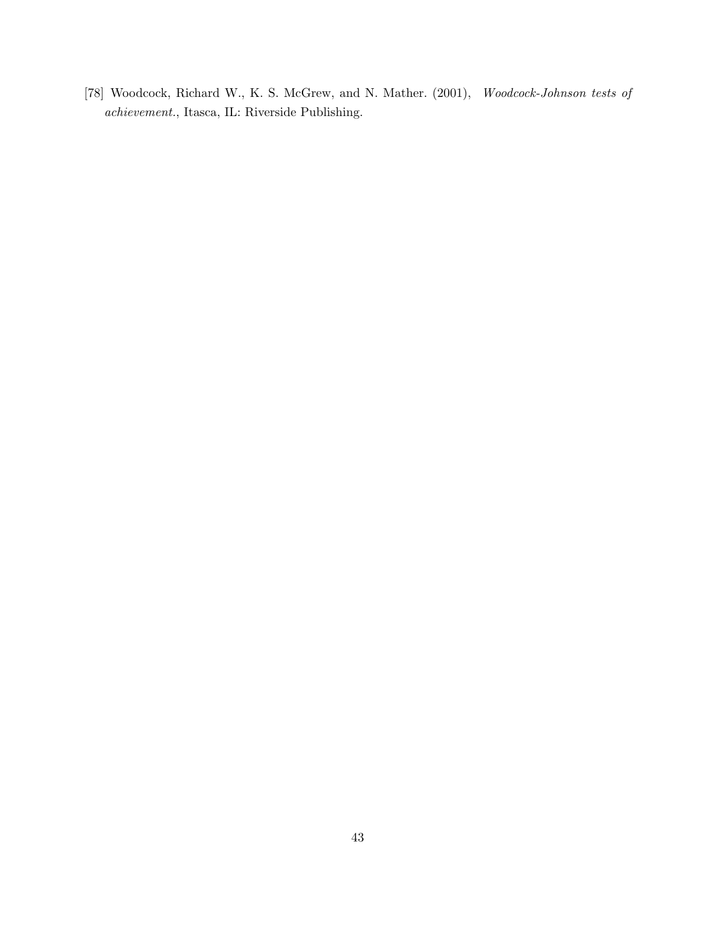[78] Woodcock, Richard W., K. S. McGrew, and N. Mather. (2001), Woodcock-Johnson tests of achievement., Itasca, IL: Riverside Publishing.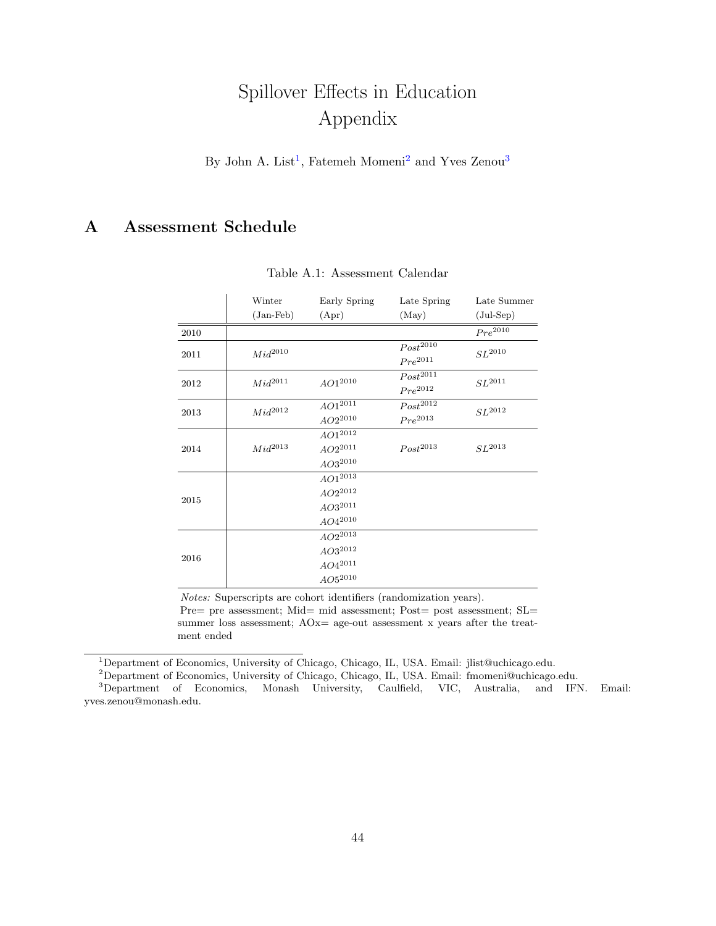# Spillover Effects in Education Appendix

By John A. List<sup>[1](#page-43-2)</sup>, Fatemeh Momeni<sup>[2](#page-43-3)</sup> and Yves Zenou<sup>[3](#page-43-4)</sup>

## <span id="page-43-1"></span>A Assessment Schedule

|      | Winter       | Early Spring | Late Spring   | Late Summer             |  |
|------|--------------|--------------|---------------|-------------------------|--|
|      | $(Jan-Feb)$  | (Apr)        | (May)         | $(\text{Jul-Sep})$      |  |
| 2010 |              |              |               | $Pre^{20\overline{10}}$ |  |
| 2011 | $Mid^{2010}$ |              | $Post^{2010}$ | $SL^{2010}$             |  |
|      |              |              | $Pre^{2011}$  |                         |  |
| 2012 | $Mid^{2011}$ | $AO1^{2010}$ | $Post^{2011}$ | $SL^{2011}$             |  |
|      |              |              | $Pre^{2012}$  |                         |  |
| 2013 | $Mid^{2012}$ | $AO1^{2011}$ | $Post^{2012}$ | $SL^{2012}$             |  |
|      |              | $AO2^{2010}$ | $Pre^{2013}$  |                         |  |
|      |              | $AO1^{2012}$ |               |                         |  |
| 2014 | $Mid^{2013}$ | $AO2^{2011}$ | $Post^{2013}$ | $SL^{2013}$             |  |
|      |              | $AO3^{2010}$ |               |                         |  |
|      |              | $AO1^{2013}$ |               |                         |  |
| 2015 |              | $AO2^{2012}$ |               |                         |  |
|      |              | $AO3^{2011}$ |               |                         |  |
|      |              | $AO4^{2010}$ |               |                         |  |
|      |              | $AO2^{2013}$ |               |                         |  |
| 2016 |              | $AO3^{2012}$ |               |                         |  |
|      |              | $AO4^{2011}$ |               |                         |  |
|      |              | $AO5^{2010}$ |               |                         |  |

Table A.1: Assessment Calendar

Notes: Superscripts are cohort identifiers (randomization years).

Pre= pre assessment; Mid= mid assessment; Post= post assessment; SL= summer loss assessment;  $AOx=$  age-out assessment x years after the treatment ended

<span id="page-43-2"></span><span id="page-43-0"></span><sup>1</sup>Department of Economics, University of Chicago, Chicago, IL, USA. Email: jlist@uchicago.edu.

<span id="page-43-4"></span><span id="page-43-3"></span><sup>2</sup>Department of Economics, University of Chicago, Chicago, IL, USA. Email: fmomeni@uchicago.edu.

<sup>3</sup>Department of Economics, Monash University, Caulfield, VIC, Australia, and IFN. Email: yves.zenou@monash.edu.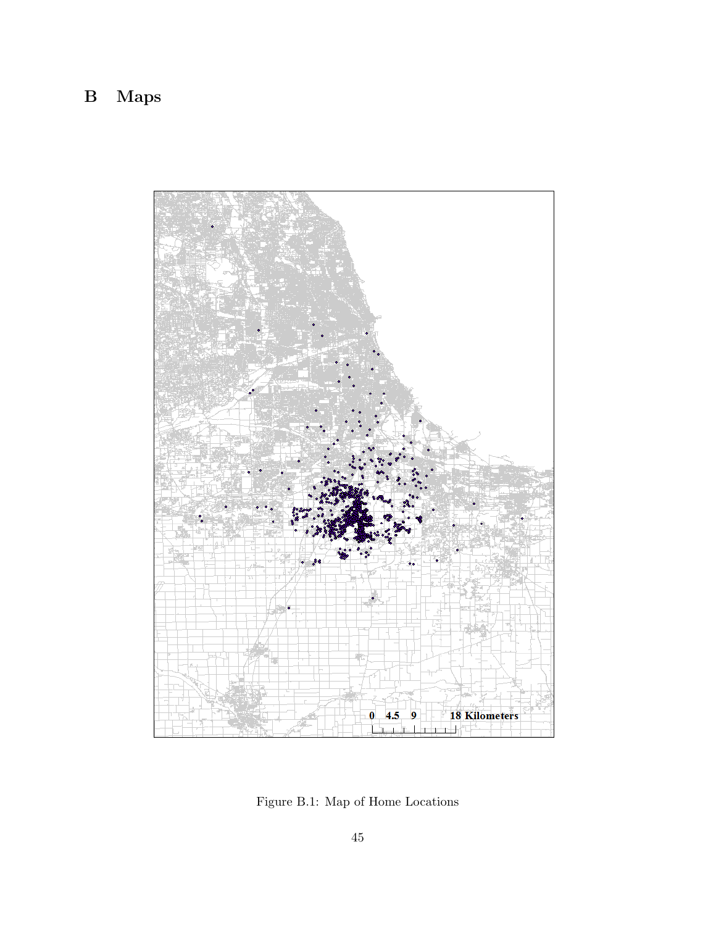# B Maps



Figure B.1: Map of Home Locations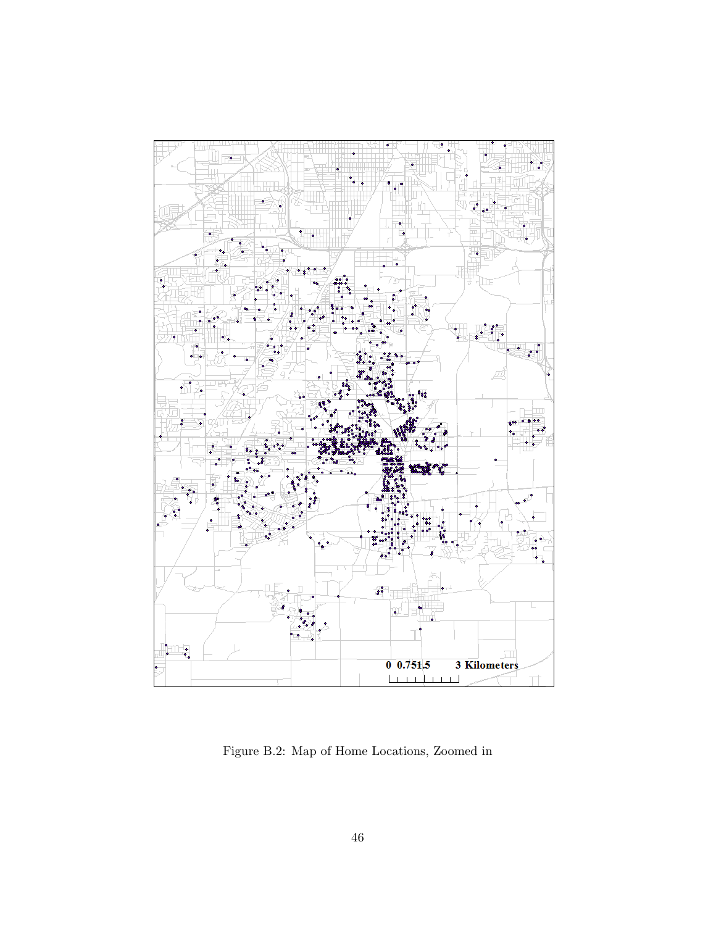

Figure B.2: Map of Home Locations, Zoomed in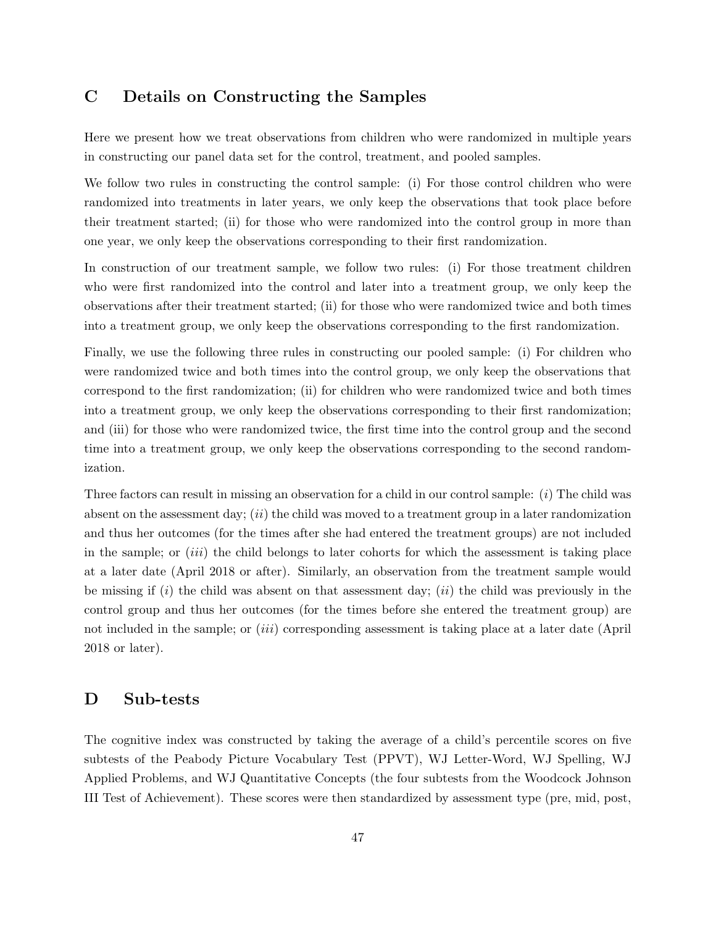## <span id="page-46-0"></span>C Details on Constructing the Samples

Here we present how we treat observations from children who were randomized in multiple years in constructing our panel data set for the control, treatment, and pooled samples.

We follow two rules in constructing the control sample: (i) For those control children who were randomized into treatments in later years, we only keep the observations that took place before their treatment started; (ii) for those who were randomized into the control group in more than one year, we only keep the observations corresponding to their first randomization.

In construction of our treatment sample, we follow two rules: (i) For those treatment children who were first randomized into the control and later into a treatment group, we only keep the observations after their treatment started; (ii) for those who were randomized twice and both times into a treatment group, we only keep the observations corresponding to the first randomization.

Finally, we use the following three rules in constructing our pooled sample: (i) For children who were randomized twice and both times into the control group, we only keep the observations that correspond to the first randomization; (ii) for children who were randomized twice and both times into a treatment group, we only keep the observations corresponding to their first randomization; and (iii) for those who were randomized twice, the first time into the control group and the second time into a treatment group, we only keep the observations corresponding to the second randomization.

Three factors can result in missing an observation for a child in our control sample: (i) The child was absent on the assessment day;  $(ii)$  the child was moved to a treatment group in a later randomization and thus her outcomes (for the times after she had entered the treatment groups) are not included in the sample; or  $(iii)$  the child belongs to later cohorts for which the assessment is taking place at a later date (April 2018 or after). Similarly, an observation from the treatment sample would be missing if  $(i)$  the child was absent on that assessment day;  $(ii)$  the child was previously in the control group and thus her outcomes (for the times before she entered the treatment group) are not included in the sample; or *(iii)* corresponding assessment is taking place at a later date (April 2018 or later).

## <span id="page-46-1"></span>D Sub-tests

The cognitive index was constructed by taking the average of a child's percentile scores on five subtests of the Peabody Picture Vocabulary Test (PPVT), WJ Letter-Word, WJ Spelling, WJ Applied Problems, and WJ Quantitative Concepts (the four subtests from the Woodcock Johnson III Test of Achievement). These scores were then standardized by assessment type (pre, mid, post,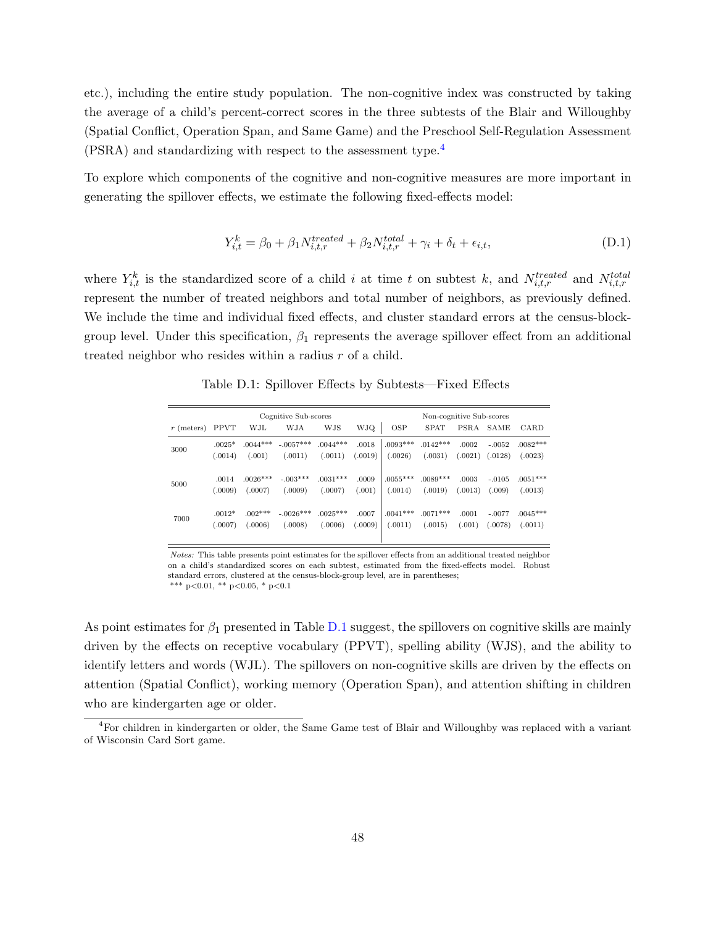etc.), including the entire study population. The non-cognitive index was constructed by taking the average of a child's percent-correct scores in the three subtests of the Blair and Willoughby (Spatial Conflict, Operation Span, and Same Game) and the Preschool Self-Regulation Assessment (PSRA) and standardizing with respect to the assessment type.<sup>[4](#page-47-1)</sup>

To explore which components of the cognitive and non-cognitive measures are more important in generating the spillover effects, we estimate the following fixed-effects model:

$$
Y_{i,t}^k = \beta_0 + \beta_1 N_{i,t,r}^{treated} + \beta_2 N_{i,t,r}^{total} + \gamma_i + \delta_t + \epsilon_{i,t},
$$
\n(D.1)

where  $Y_{i,t}^k$  is the standardized score of a child i at time t on subtest k, and  $N_{i,t,r}^{treated}$  and  $N_{i,t,r}^{total}$ represent the number of treated neighbors and total number of neighbors, as previously defined. We include the time and individual fixed effects, and cluster standard errors at the census-blockgroup level. Under this specification,  $\beta_1$  represents the average spillover effect from an additional treated neighbor who resides within a radius r of a child.

<span id="page-47-2"></span>

|              |             |            | Cognitive Sub-scores |            |         |            | Non-cognitive Sub-scores |             |          |            |
|--------------|-------------|------------|----------------------|------------|---------|------------|--------------------------|-------------|----------|------------|
| $r$ (meters) | <b>PPVT</b> | WJL        | <b>WJA</b>           | <b>WJS</b> | WJQ     | <b>OSP</b> | <b>SPAT</b>              | <b>PSRA</b> | SAME     | CARD       |
| 3000         | $.0025*$    | $.0044***$ | $-.0057***$          | $.0044***$ | .0018   | $.0093***$ | $.0142***$               | .0002       | $-.0052$ | $.0082***$ |
|              | (.0014)     | (.001)     | (.0011)              | (.0011)    | (.0019) | (.0026)    | (.0031)                  | (.0021)     | (.0128)  | (.0023)    |
|              |             |            |                      |            |         |            |                          |             |          |            |
| 5000         | .0014       | $.0026***$ | $-.003***$           | $.0031***$ | .0009   | $.0055***$ | $.0089***$               | .0003       | $-.0105$ | $.0051***$ |
|              | (.0009)     | (.0007)    | (.0009)              | (.0007)    | (.001)  | (.0014)    | (.0019)                  | (.0013)     | (.009)   | (.0013)    |
|              | $.0012*$    | $.002***$  | $-.0026***$          | $.0025***$ | .0007   | $.0041***$ | $.0071***$               | .0001       | $-.0077$ | $.0045***$ |
| 7000         |             |            |                      |            |         |            |                          |             |          |            |
|              | (.0007)     | (.0006)    | (.0008)              | (.0006)    | (.0009) | (.0011)    | (.0015)                  | (.001)      | (.0078)  | (.0011)    |
|              |             |            |                      |            |         |            |                          |             |          |            |

Table D.1: Spillover Effects by Subtests—Fixed Effects

Notes: This table presents point estimates for the spillover effects from an additional treated neighbor on a child's standardized scores on each subtest, estimated from the fixed-effects model. Robust standard errors, clustered at the census-block-group level, are in parentheses; \*\*\* p<0.01, \*\* p<0.05, \* p<0.1

As point estimates for  $\beta_1$  presented in Table [D.1](#page-47-2) suggest, the spillovers on cognitive skills are mainly driven by the effects on receptive vocabulary (PPVT), spelling ability (WJS), and the ability to identify letters and words (WJL). The spillovers on non-cognitive skills are driven by the effects on attention (Spatial Conflict), working memory (Operation Span), and attention shifting in children who are kindergarten age or older.

<span id="page-47-1"></span><span id="page-47-0"></span><sup>4</sup>For children in kindergarten or older, the Same Game test of Blair and Willoughby was replaced with a variant of Wisconsin Card Sort game.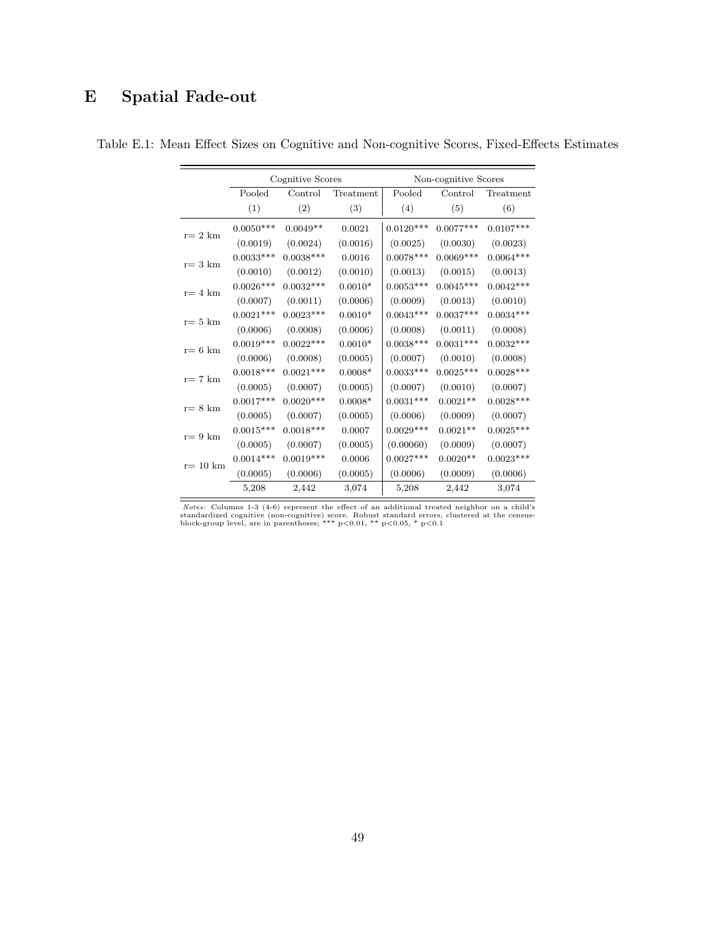# E Spatial Fade-out

|                   |                  | Cognitive Scores |                 |                  | Non-cognitive Scores |             |
|-------------------|------------------|------------------|-----------------|------------------|----------------------|-------------|
|                   | Pooled           | Control          | Treatment       | Pooled           | Control              | Treatment   |
|                   | (1)              | (2)              | (3)             | (4)              | (5)                  | (6)         |
| $r=2$ km          | $0.0050^{***}\;$ | $0.0049**$       | 0.0021          | $0.0120^{***}\,$ | $0.0077***$          | $0.0107***$ |
|                   | (0.0019)         | (0.0024)         | (0.0016)        | (0.0025)         | (0.0030)             | (0.0023)    |
|                   | $0.0033***$      | $0.0038***$      | 0.0016          | $0.0078***$      | $0.0069***$          | $0.0064***$ |
| $r=3$ km          | (0.0010)         | (0.0012)         | (0.0010)        | (0.0013)         | (0.0015)             | (0.0013)    |
|                   | $0.0026***$      | $0.0032***$      | $0.0010*$       | $0.0053***$      | $0.0045***$          | $0.0042***$ |
| $\rm r\rm=4~km$   | (0.0007)         | (0.0011)         | (0.0006)        | (0.0009)         | (0.0013)             | (0.0010)    |
|                   | $0.0021***$      | $0.0023***$      | $0.0010^{\ast}$ | $0.0043***$      | $0.0037***$          | $0.0034***$ |
| $r=5$ km          | (0.0006)         | (0.0008)         | (0.0006)        | (0.0008)         | (0.0011)             | (0.0008)    |
|                   | $0.0019***$      | $0.0022***$      | $0.0010*$       | $0.0038***$      | $0.0031***$          | $0.0032***$ |
| $r=6$ km          | (0.0006)         | (0.0008)         | (0.0005)        | (0.0007)         | (0.0010)             | (0.0008)    |
|                   | $0.0018***$      | $0.0021***$      | $0.0008*$       | $0.0033***$      | $0.0025***$          | $0.0028***$ |
| $r=7$ km          | (0.0005)         | (0.0007)         | (0.0005)        | (0.0007)         | (0.0010)             | (0.0007)    |
| $r=8$ km          | $0.0017***$      | $0.0020***$      | $0.0008*$       | $0.0031***$      | $0.0021**$           | $0.0028***$ |
|                   | (0.0005)         | (0.0007)         | (0.0005)        | (0.0006)         | (0.0009)             | (0.0007)    |
| $r=9$ km          | $0.0015***$      | $0.0018***$      | 0.0007          | $0.0029***$      | $0.0021**$           | $0.0025***$ |
|                   | (0.0005)         | (0.0007)         | (0.0005)        | (0.00060)        | (0.0009)             | (0.0007)    |
| $r=10 \text{ km}$ | $0.0014***$      | $0.0019***$      | 0.0006          | $0.0027***$      | $0.0020**$           | $0.0023***$ |
|                   | (0.0005)         | (0.0006)         | (0.0005)        | (0.0006)         | (0.0009)             | (0.0006)    |
|                   | 5,208            | 2,442            | 3,074           | 5,208            | 2,442                | 3,074       |

Table E.1: Mean Effect Sizes on Cognitive and Non-cognitive Scores, Fixed-Effects Estimates

*Notes:* Columns 1-3 (4-6) represent the effect of an additional treated neighbor on a child's standardized cognitive (non-cognitive) score. Robust standard errors, clustered at the census-<br>block-group level, are in paren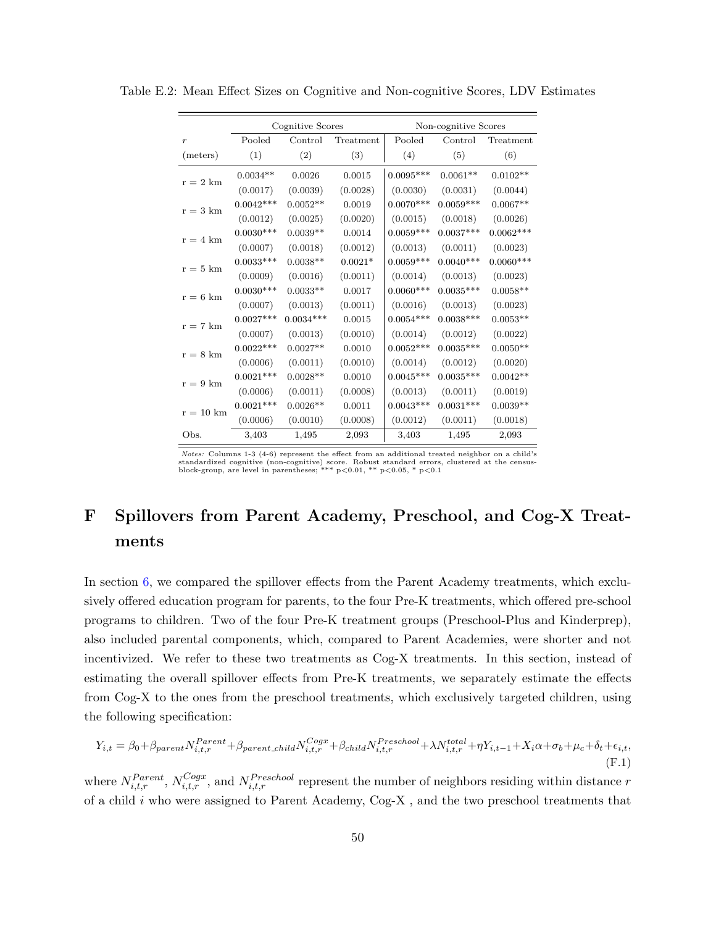|                     |             | Cognitive Scores |           |             | Non-cognitive Scores |             |
|---------------------|-------------|------------------|-----------|-------------|----------------------|-------------|
| $\boldsymbol{r}$    | Pooled      | Control          | Treatment | Pooled      | Control              | Treatment   |
| (meters)            | (1)         | (2)              | (3)       | (4)         | (5)                  | (6)         |
| $r = 2 \text{ km}$  | $0.0034**$  | 0.0026           | 0.0015    | $0.0095***$ | $0.0061**$           | $0.0102**$  |
|                     | (0.0017)    | (0.0039)         | (0.0028)  | (0.0030)    | (0.0031)             | (0.0044)    |
| $r = 3 \text{ km}$  | $0.0042***$ | $0.0052**$       | 0.0019    | $0.0070***$ | $0.0059***$          | $0.0067**$  |
|                     | (0.0012)    | (0.0025)         | (0.0020)  | (0.0015)    | (0.0018)             | (0.0026)    |
| $r = 4 \text{ km}$  | $0.0030***$ | $0.0039**$       | 0.0014    | $0.0059***$ | $0.0037***$          | $0.0062***$ |
|                     | (0.0007)    | (0.0018)         | (0.0012)  | (0.0013)    | (0.0011)             | (0.0023)    |
| $r = 5$ km          | $0.0033***$ | $0.0038**$       | $0.0021*$ | $0.0059***$ | $0.0040***$          | $0.0060***$ |
|                     | (0.0009)    | (0.0016)         | (0.0011)  | (0.0014)    | (0.0013)             | (0.0023)    |
|                     | $0.0030***$ | $0.0033**$       | 0.0017    | $0.0060***$ | $0.0035***$          | $0.0058**$  |
| $\rm r=6~km$        | (0.0007)    | (0.0013)         | (0.0011)  | (0.0016)    | (0.0013)             | (0.0023)    |
|                     | $0.0027***$ | $0.0034***$      | 0.0015    | $0.0054***$ | $0.0038***$          | $0.0053**$  |
| $\rm r$ = 7 km      | (0.0007)    | (0.0013)         | (0.0010)  | (0.0014)    | (0.0012)             | (0.0022)    |
|                     | $0.0022***$ | $0.0027**$       | 0.0010    | $0.0052***$ | $0.0035***$          | $0.0050**$  |
| $r = 8$ km          | (0.0006)    | (0.0011)         | (0.0010)  | (0.0014)    | (0.0012)             | (0.0020)    |
|                     | $0.0021***$ | $0.0028**$       | 0.0010    | $0.0045***$ | $0.0035***$          | $0.0042**$  |
| $r = 9$ km          | (0.0006)    | (0.0011)         | (0.0008)  | (0.0013)    | (0.0011)             | (0.0019)    |
|                     | $0.0021***$ | $0.0026**$       | 0.0011    | $0.0043***$ | $0.0031***$          | $0.0039**$  |
| $r = 10 \text{ km}$ | (0.0006)    | (0.0010)         | (0.0008)  | (0.0012)    | (0.0011)             | (0.0018)    |
| Obs.                | 3,403       | 1,495            | 2,093     | 3,403       | 1,495                | 2,093       |

Table E.2: Mean Effect Sizes on Cognitive and Non-cognitive Scores, LDV Estimates

Notes: Columns 1-3 (4-6) represent the effect from an additional treated neighbor on a child's standardized cognitive (non-cognitive) score. Robust standard errors, clustered at the census-<br>block-group, are level in parentheses; \*\*\* p<0.01, \*\* p<0.05, \* p<0.1

# <span id="page-49-0"></span>F Spillovers from Parent Academy, Preschool, and Cog-X Treatments

In section [6,](#page-23-0) we compared the spillover effects from the Parent Academy treatments, which exclusively offered education program for parents, to the four Pre-K treatments, which offered pre-school programs to children. Two of the four Pre-K treatment groups (Preschool-Plus and Kinderprep), also included parental components, which, compared to Parent Academies, were shorter and not incentivized. We refer to these two treatments as Cog-X treatments. In this section, instead of estimating the overall spillover effects from Pre-K treatments, we separately estimate the effects from Cog-X to the ones from the preschool treatments, which exclusively targeted children, using the following specification:

$$
Y_{i,t} = \beta_0 + \beta_{parent} N_{i,t,r}^{Parent} + \beta_{parent\_child} N_{i,t,r}^{Cogx} + \beta_{child} N_{i,t,r}^{Present} + \lambda N_{i,t,r}^{total} + \eta Y_{i,t-1} + X_i \alpha + \sigma_b + \mu_c + \delta_t + \epsilon_{i,t},
$$
\n(F.1)

where  $N_{i,t,r}^{Parent}$ ,  $N_{i,t,r}^{Cogx}$ , and  $N_{i,t,r}^{Preschool}$  represent the number of neighbors residing within distance r of a child i who were assigned to Parent Academy, Cog-X , and the two preschool treatments that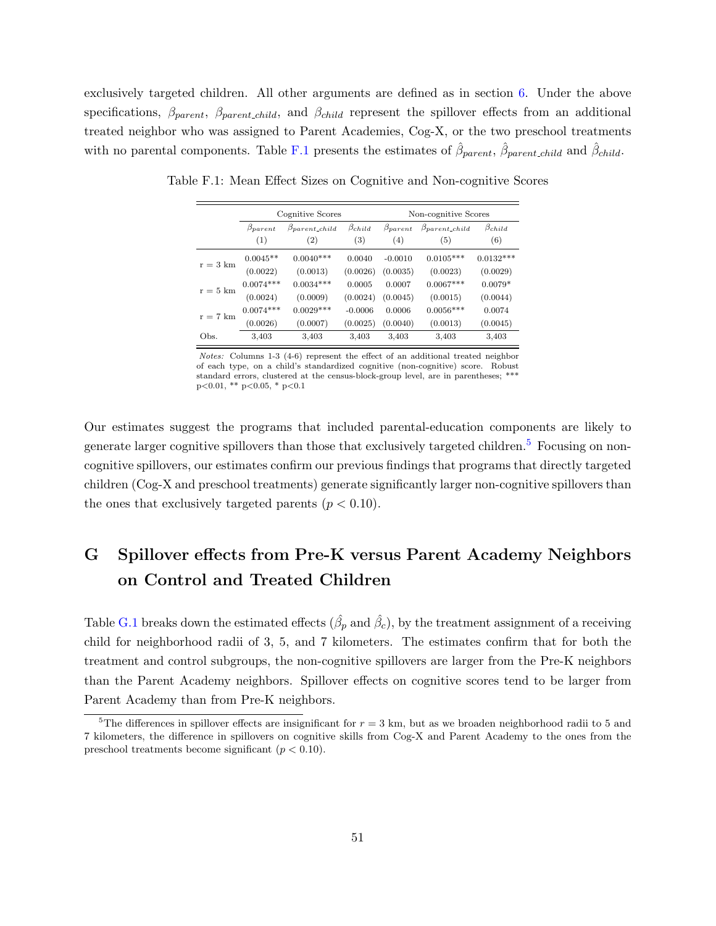exclusively targeted children. All other arguments are defined as in section  $6$ . Under the above specifications,  $\beta_{parent}$ ,  $\beta_{parent\_child}$ , and  $\beta_{child}$  represent the spillover effects from an additional treated neighbor who was assigned to Parent Academies, Cog-X, or the two preschool treatments with no parental components. Table [F.1](#page-50-1) presents the estimates of  $\hat{\beta}_{parent}$ ,  $\hat{\beta}_{parent\_child}$  and  $\hat{\beta}_{child}$ .

<span id="page-50-1"></span>

|                    |                         | Cognitive Scores                             |                        | Non-cognitive Scores    |                                |                        |  |
|--------------------|-------------------------|----------------------------------------------|------------------------|-------------------------|--------------------------------|------------------------|--|
|                    | $\beta_{parent}$<br>(1) | $\beta_{parent\_child}$<br>$\left( 2\right)$ | $\beta_{child}$<br>(3) | $\beta_{parent}$<br>(4) | $\beta_{parent\_child}$<br>(5) | $\beta_{child}$<br>(6) |  |
| $r = 3 \text{ km}$ | $0.0045**$              | $0.0040***$                                  | 0.0040                 | $-0.0010$               | $0.0105***$                    | $0.0132***$            |  |
|                    | (0.0022)                | (0.0013)                                     | (0.0026)               | (0.0035)                | (0.0023)                       | (0.0029)               |  |
| $r = 5 \text{ km}$ | $0.0074***$             | $0.0034***$                                  | 0.0005                 | 0.0007                  | $0.0067***$                    | $0.0079*$              |  |
|                    | (0.0024)                | (0.0009)                                     | (0.0024)               | (0.0045)                | (0.0015)                       | (0.0044)               |  |
| $r = 7$ km         | $0.0074***$             | $0.0029***$                                  | $-0.0006$              | 0.0006                  | $0.0056***$                    | 0.0074                 |  |
|                    | (0.0026)                | (0.0007)                                     | (0.0025)               | (0.0040)                | (0.0013)                       | (0.0045)               |  |
| Obs.               | 3.403                   | 3.403                                        | 3.403                  | 3.403                   | 3,403                          | 3,403                  |  |

Table F.1: Mean Effect Sizes on Cognitive and Non-cognitive Scores

Notes: Columns 1-3 (4-6) represent the effect of an additional treated neighbor of each type, on a child's standardized cognitive (non-cognitive) score. Robust standard errors, clustered at the census-block-group level, are in parentheses; \*\*\*  $p<0.01$ , \*\*  $p<0.05$ , \*  $p<0.1$ 

Our estimates suggest the programs that included parental-education components are likely to generate larger cognitive spillovers than those that exclusively targeted children.<sup>[5](#page-50-2)</sup> Focusing on noncognitive spillovers, our estimates confirm our previous findings that programs that directly targeted children (Cog-X and preschool treatments) generate significantly larger non-cognitive spillovers than the ones that exclusively targeted parents  $(p < 0.10)$ .

# <span id="page-50-0"></span>G Spillover effects from Pre-K versus Parent Academy Neighbors on Control and Treated Children

Table [G.1](#page-51-1) breaks down the estimated effects  $(\hat{\beta}_p \text{ and } \hat{\beta}_c)$ , by the treatment assignment of a receiving child for neighborhood radii of 3, 5, and 7 kilometers. The estimates confirm that for both the treatment and control subgroups, the non-cognitive spillovers are larger from the Pre-K neighbors than the Parent Academy neighbors. Spillover effects on cognitive scores tend to be larger from Parent Academy than from Pre-K neighbors.

<span id="page-50-2"></span><sup>&</sup>lt;sup>5</sup>The differences in spillover effects are insignificant for  $r = 3$  km, but as we broaden neighborhood radii to 5 and 7 kilometers, the difference in spillovers on cognitive skills from Cog-X and Parent Academy to the ones from the preschool treatments become significant  $(p < 0.10)$ .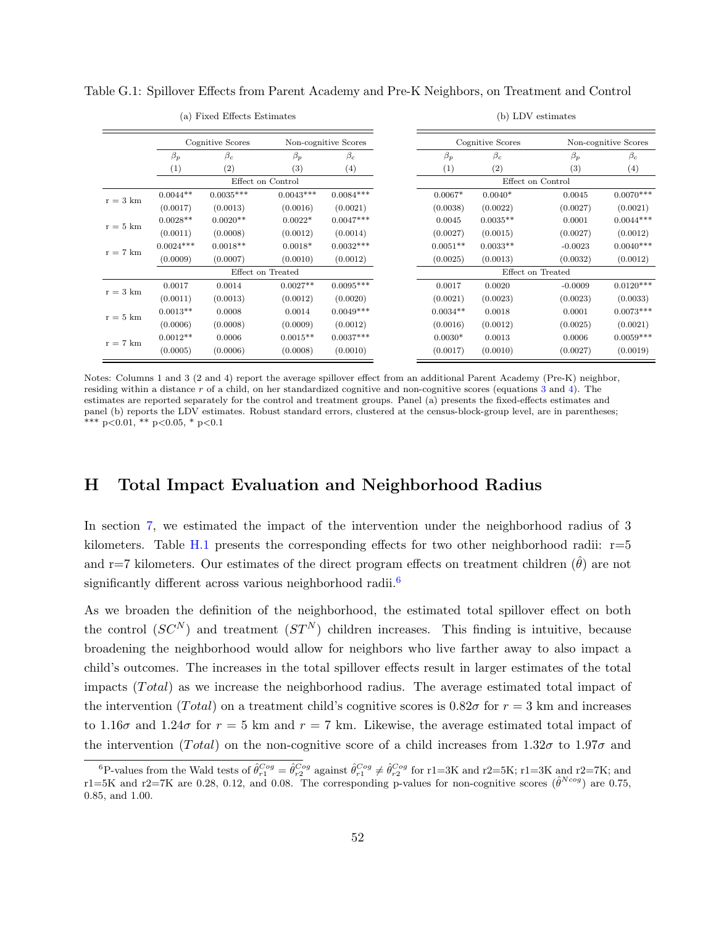|                    |             | $\alpha$ and $\alpha$ is the control dependence of |                   |                      |            |                  | $\sqrt{2}$        |                      |
|--------------------|-------------|----------------------------------------------------|-------------------|----------------------|------------|------------------|-------------------|----------------------|
|                    |             | Cognitive Scores                                   |                   | Non-cognitive Scores |            | Cognitive Scores |                   | Non-cognitive Scores |
|                    | $\beta_p$   | $\beta_c$                                          | $\beta_p$         | $\beta_c$            | $\beta_p$  | $\beta_c$        | $\beta_p$         | $\beta_c$            |
|                    | (1)         | (2)                                                | $^{(3)}$          | (4)                  | (1)        | (2)              | (3)               | (4)                  |
|                    |             |                                                    | Effect on Control |                      |            |                  | Effect on Control |                      |
| $r = 3 \text{ km}$ | $0.0044**$  | $0.0035***$                                        | $0.0043***$       | $0.0084***$          | $0.0067*$  | $0.0040*$        | 0.0045            | $0.0070***$          |
|                    | (0.0017)    | (0.0013)                                           | (0.0016)          | (0.0021)             | (0.0038)   | (0.0022)         | (0.0027)          | (0.0021)             |
| $r = 5 \text{ km}$ | $0.0028**$  | $0.0020**$                                         | $0.0022*$         | $0.0047***$          | 0.0045     | $0.0035**$       | 0.0001            | $0.0044***$          |
|                    | (0.0011)    | (0.0008)                                           | (0.0012)          | (0.0014)             | (0.0027)   | (0.0015)         | (0.0027)          | (0.0012)             |
| $r = 7$ km         | $0.0024***$ | $0.0018**$                                         | $0.0018*$         | $0.0032***$          | $0.0051**$ | $0.0033**$       | $-0.0023$         | $0.0040***$          |
|                    | (0.0009)    | (0.0007)                                           | (0.0010)          | (0.0012)             | (0.0025)   | (0.0013)         | (0.0032)          | (0.0012)             |
|                    |             |                                                    | Effect on Treated |                      |            |                  | Effect on Treated |                      |
| $r = 3 \text{ km}$ | 0.0017      | 0.0014                                             | $0.0027**$        | $0.0095***$          | 0.0017     | 0.0020           | $-0.0009$         | $0.0120***$          |
|                    | (0.0011)    | (0.0013)                                           | (0.0012)          | (0.0020)             | (0.0021)   | (0.0023)         | (0.0023)          | (0.0033)             |
| $r = 5 \text{ km}$ | $0.0013**$  | 0.0008                                             | 0.0014            | $0.0049***$          | $0.0034**$ | 0.0018           | 0.0001            | $0.0073***$          |
|                    | (0.0006)    | (0.0008)                                           | (0.0009)          | (0.0012)             | (0.0016)   | (0.0012)         | (0.0025)          | (0.0021)             |
| $r = 7$ km         | $0.0012**$  | 0.0006                                             | $0.0015**$        | $0.0037***$          | $0.0030*$  | 0.0013           | 0.0006            | $0.0059***$          |
|                    | (0.0005)    | (0.0006)                                           | (0.0008)          | (0.0010)             | (0.0017)   | (0.0010)         | (0.0027)          | (0.0019)             |

<span id="page-51-1"></span>Table G.1: Spillover Effects from Parent Academy and Pre-K Neighbors, on Treatment and Control

#### (a) Fixed Effects Estimates

(b) LDV estimates

Notes: Columns 1 and 3 (2 and 4) report the average spillover effect from an additional Parent Academy (Pre-K) neighbor, residing within a distance  $r$  of a child, on her standardized cognitive and non-cognitive scores (equations [3](#page-24-1) and [4\)](#page-24-2). The estimates are reported separately for the control and treatment groups. Panel (a) presents the fixed-effects estimates and panel (b) reports the LDV estimates. Robust standard errors, clustered at the census-block-group level, are in parentheses; \*\*\* p<0.01, \*\* p<0.05, \* p<0.1

## <span id="page-51-0"></span>H Total Impact Evaluation and Neighborhood Radius

In section [7,](#page-31-0) we estimated the impact of the intervention under the neighborhood radius of 3 kilometers. Table [H.1](#page-52-1) presents the corresponding effects for two other neighborhood radii:  $r=5$ and r=7 kilometers. Our estimates of the direct program effects on treatment children  $(\theta)$  are not significantly different across various neighborhood radii.<sup>[6](#page-51-2)</sup>

As we broaden the definition of the neighborhood, the estimated total spillover effect on both the control  $(SC^N)$  and treatment  $(ST^N)$  children increases. This finding is intuitive, because broadening the neighborhood would allow for neighbors who live farther away to also impact a child's outcomes. The increases in the total spillover effects result in larger estimates of the total impacts  $(Total)$  as we increase the neighborhood radius. The average estimated total impact of the intervention (Total) on a treatment child's cognitive scores is  $0.82\sigma$  for  $r = 3$  km and increases to 1.16 $\sigma$  and 1.24 $\sigma$  for  $r = 5$  km and  $r = 7$  km. Likewise, the average estimated total impact of the intervention (Total) on the non-cognitive score of a child increases from  $1.32\sigma$  to  $1.97\sigma$  and

<span id="page-51-2"></span><sup>&</sup>lt;sup>6</sup>P-values from the Wald tests of  $\hat{\theta}_{r1}^{Cog} = \hat{\theta}_{r2}^{Cog}$  against  $\hat{\theta}_{r1}^{Cog} \neq \hat{\theta}_{r2}^{Cog}$  for r1=3K and r2=5K; r1=3K and r2=7K; and r1=5K and r2=7K are 0.28, 0.12, and 0.08. The corresponding p-values for non-cognitive scores  $(\hat{\theta}^{Ncog})$  are 0.75, 0.85, and 1.00.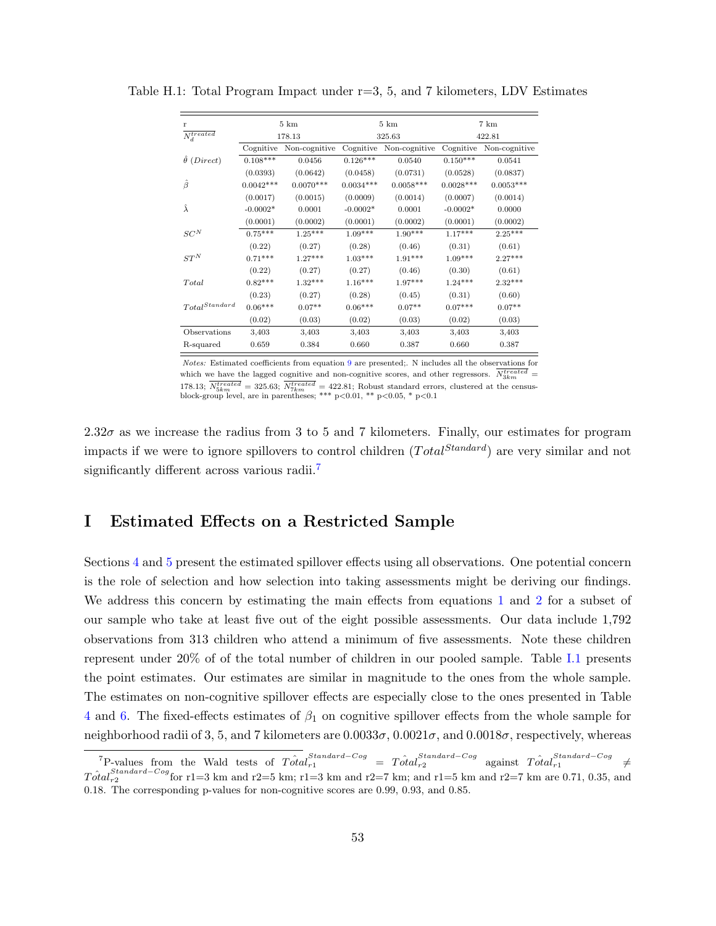| r                                          | $5 \;{\rm km}$ |               |             | $5 \;{\rm km}$ | 7 km        |               |  |  |
|--------------------------------------------|----------------|---------------|-------------|----------------|-------------|---------------|--|--|
| $\overline{N_d^{treated}}$                 |                | 178.13        |             | 325.63         |             | 422.81        |  |  |
|                                            | Cognitive      | Non-cognitive | Cognitive   | Non-cognitive  | Cognitive   | Non-cognitive |  |  |
| $\hat{\theta}$ (Direct)                    | $0.108***$     | 0.0456        | $0.126***$  | 0.0540         | $0.150***$  | 0.0541        |  |  |
|                                            | (0.0393)       | (0.0642)      | (0.0458)    | (0.0731)       | (0.0528)    | (0.0837)      |  |  |
| Ĝ                                          | $0.0042***$    | $0.0070***$   | $0.0034***$ | $0.0058***$    | $0.0028***$ | $0.0053***$   |  |  |
|                                            | (0.0017)       | (0.0015)      | (0.0009)    | (0.0014)       | (0.0007)    | (0.0014)      |  |  |
| Â                                          | $-0.0002*$     | 0.0001        | $-0.0002*$  | 0.0001         | $-0.0002*$  | 0.0000        |  |  |
|                                            | (0.0001)       | (0.0002)      | (0.0001)    | (0.0002)       | (0.0001)    | (0.0002)      |  |  |
| $\cal SC^N$                                | $0.75***$      | $1.25***$     | $1.09***$   | $1.90***$      | $1.17***$   | $2.25***$     |  |  |
|                                            | (0.22)         | (0.27)        | (0.28)      | (0.46)         | (0.31)      | (0.61)        |  |  |
| $ST^N$                                     | $0.71***$      | $1.27***$     | $1.03***$   | $1.91***$      | $1.09***$   | $2.27***$     |  |  |
|                                            | (0.22)         | (0.27)        | (0.27)      | (0.46)         | (0.30)      | (0.61)        |  |  |
| Total                                      | $0.82***$      | $1.32***$     | $1.16***$   | $1.97***$      | $1.24***$   | $2.32***$     |  |  |
|                                            | (0.23)         | (0.27)        | (0.28)      | (0.45)         | (0.31)      | (0.60)        |  |  |
| $\label{thm:totalStandard} Total Standard$ | $0.06***$      | $0.07**$      | $0.06***$   | $0.07**$       | $0.07***$   | $0.07**$      |  |  |
|                                            | (0.02)         | (0.03)        | (0.02)      | (0.03)         | (0.02)      | (0.03)        |  |  |
| Observations                               | 3,403          | 3,403         | 3,403       | 3,403          | 3,403       | 3,403         |  |  |
| R-squared                                  | 0.659          | 0.384         | 0.660       | 0.387          | 0.660       | 0.387         |  |  |

<span id="page-52-1"></span>Table H.1: Total Program Impact under r=3, 5, and 7 kilometers, LDV Estimates

Notes: Estimated coefficients from equation [9](#page-32-1) are presented;. N includes all the observations for which we have the lagged cognitive and non-cognitive scores, and other regressors.  $N_{3km}^{treated}$ 178.13;  $N_{5km}^{treated} = 325.63$ ;  $N_{7km}^{treated} = 422.81$ ; Robust standard errors, clustered at the census-<br>block-group level, are in parentheses; \*\*\* p<0.01, \*\* p<0.05, \* p<0.1

2.32 $\sigma$  as we increase the radius from 3 to 5 and 7 kilometers. Finally, our estimates for program impacts if we were to ignore spillovers to control children  $(Total^{Standard})$  are very similar and not significantly different across various radii.<sup>[7](#page-52-2)</sup>

## <span id="page-52-0"></span>I Estimated Effects on a Restricted Sample

Sections [4](#page-15-0) and [5](#page-19-0) present the estimated spillover effects using all observations. One potential concern is the role of selection and how selection into taking assessments might be deriving our findings. We address this concern by estimating the main effects from equations [1](#page-14-2) and [2](#page-20-1) for a subset of our sample who take at least five out of the eight possible assessments. Our data include 1,792 observations from 313 children who attend a minimum of five assessments. Note these children represent under 20% of of the total number of children in our pooled sample. Table [I.1](#page-53-1) presents the point estimates. Our estimates are similar in magnitude to the ones from the whole sample. The estimates on non-cognitive spillover effects are especially close to the ones presented in Table [4](#page-16-0) and [6.](#page-21-0) The fixed-effects estimates of  $\beta_1$  on cognitive spillover effects from the whole sample for neighborhood radii of 3, 5, and 7 kilometers are  $0.0033\sigma$ ,  $0.0021\sigma$ , and  $0.0018\sigma$ , respectively, whereas

<span id="page-52-2"></span><sup>&</sup>lt;sup>7</sup>P-values from the Wald tests of  $T\hat{\alpha}t a_{r1}^{Standard-Cog} = T\hat{\alpha}t a_{r2}^{Standard-Cog}$  against  $T\hat{\alpha}t a_{r1}^{Standard-Cog} \neq$  $T\hat{\alpha}tal_{r2}^{Standard-Cog}$  for r1=3 km and r2=5 km; r1=3 km and r2=7 km; and r1=5 km and r2=7 km are 0.71, 0.35, and 0.18. The corresponding p-values for non-cognitive scores are 0.99, 0.93, and 0.85.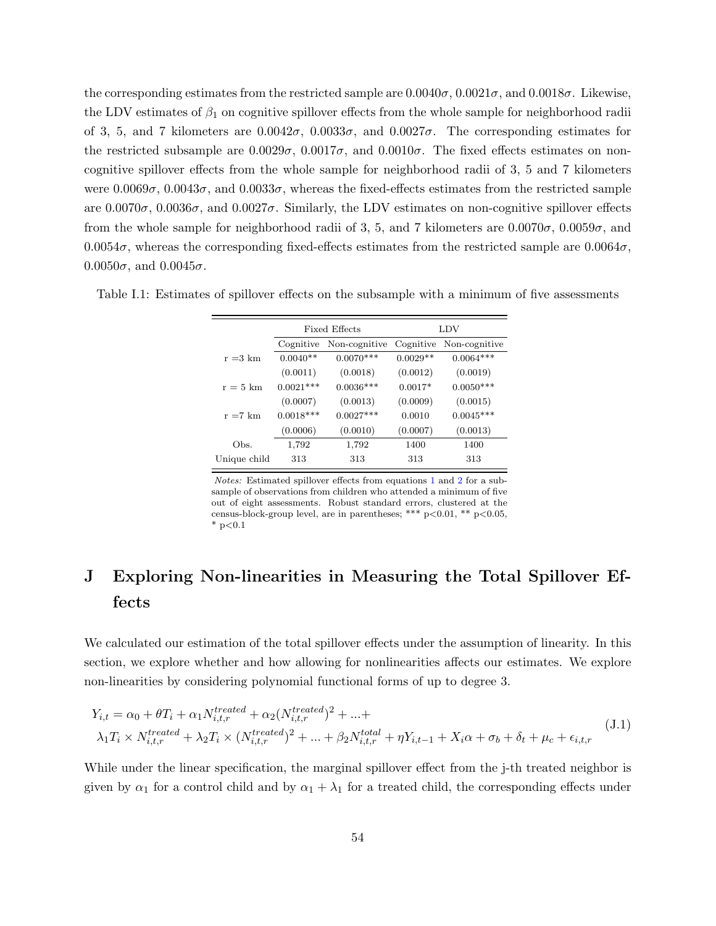the corresponding estimates from the restricted sample are  $0.0040\sigma$ ,  $0.0021\sigma$ , and  $0.0018\sigma$ . Likewise, the LDV estimates of  $\beta_1$  on cognitive spillover effects from the whole sample for neighborhood radii of 3, 5, and 7 kilometers are  $0.0042\sigma$ ,  $0.0033\sigma$ , and  $0.0027\sigma$ . The corresponding estimates for the restricted subsample are  $0.0029\sigma$ ,  $0.0017\sigma$ , and  $0.0010\sigma$ . The fixed effects estimates on noncognitive spillover effects from the whole sample for neighborhood radii of 3, 5 and 7 kilometers were  $0.0069\sigma$ ,  $0.0043\sigma$ , and  $0.0033\sigma$ , whereas the fixed-effects estimates from the restricted sample are  $0.0070\sigma$ ,  $0.0036\sigma$ , and  $0.0027\sigma$ . Similarly, the LDV estimates on non-cognitive spillover effects from the whole sample for neighborhood radii of 3, 5, and 7 kilometers are  $0.0070\sigma$ ,  $0.0059\sigma$ , and  $0.0054\sigma$ , whereas the corresponding fixed-effects estimates from the restricted sample are  $0.0064\sigma$ ,  $0.0050\sigma$ , and  $0.0045\sigma$ .

|                    |             | Fixed Effects | LDV        |               |  |
|--------------------|-------------|---------------|------------|---------------|--|
|                    | Cognitive   | Non-cognitive | Cognitive  | Non-cognitive |  |
| $r = 3 \text{ km}$ | $0.0040**$  | $0.0070***$   | $0.0029**$ | $0.0064***$   |  |
|                    | (0.0011)    | (0.0018)      | (0.0012)   | (0.0019)      |  |
| $r = 5 \text{ km}$ | $0.0021***$ | $0.0036***$   | $0.0017*$  | $0.0050***$   |  |
|                    | (0.0007)    | (0.0013)      | (0.0009)   | (0.0015)      |  |
| $r = 7$ km         | $0.0018***$ | $0.0027***$   | 0.0010     | $0.0045***$   |  |
|                    | (0.0006)    | (0.0010)      | (0.0007)   | (0.0013)      |  |
| Obs.               | 1,792       | 1,792         | 1400       | 1400          |  |
| Unique child       | 313         | 313           | 313        | 313           |  |

<span id="page-53-1"></span>Table I.1: Estimates of spillover effects on the subsample with a minimum of five assessments

Notes: Estimated spillover effects from equations [1](#page-14-2) and [2](#page-20-1) for a subsample of observations from children who attended a minimum of five out of eight assessments. Robust standard errors, clustered at the census-block-group level, are in parentheses; \*\*\*  $p<0.01$ , \*\*  $p<0.05$ ,  $*$  p $< 0.1$ 

## <span id="page-53-0"></span>J Exploring Non-linearities in Measuring the Total Spillover Effects

We calculated our estimation of the total spillover effects under the assumption of linearity. In this section, we explore whether and how allowing for nonlinearities affects our estimates. We explore non-linearities by considering polynomial functional forms of up to degree 3.

<span id="page-53-2"></span>
$$
Y_{i,t} = \alpha_0 + \theta T_i + \alpha_1 N_{i,t,r}^{treated} + \alpha_2 (N_{i,t,r}^{treated})^2 + \dots +
$$
  
\n
$$
\lambda_1 T_i \times N_{i,t,r}^{treated} + \lambda_2 T_i \times (N_{i,t,r}^{treated})^2 + \dots + \beta_2 N_{i,t,r}^{total} + \eta Y_{i,t-1} + X_i \alpha + \sigma_b + \delta_t + \mu_c + \epsilon_{i,t,r}
$$
\n(J.1)

While under the linear specification, the marginal spillover effect from the j-th treated neighbor is given by  $\alpha_1$  for a control child and by  $\alpha_1 + \lambda_1$  for a treated child, the corresponding effects under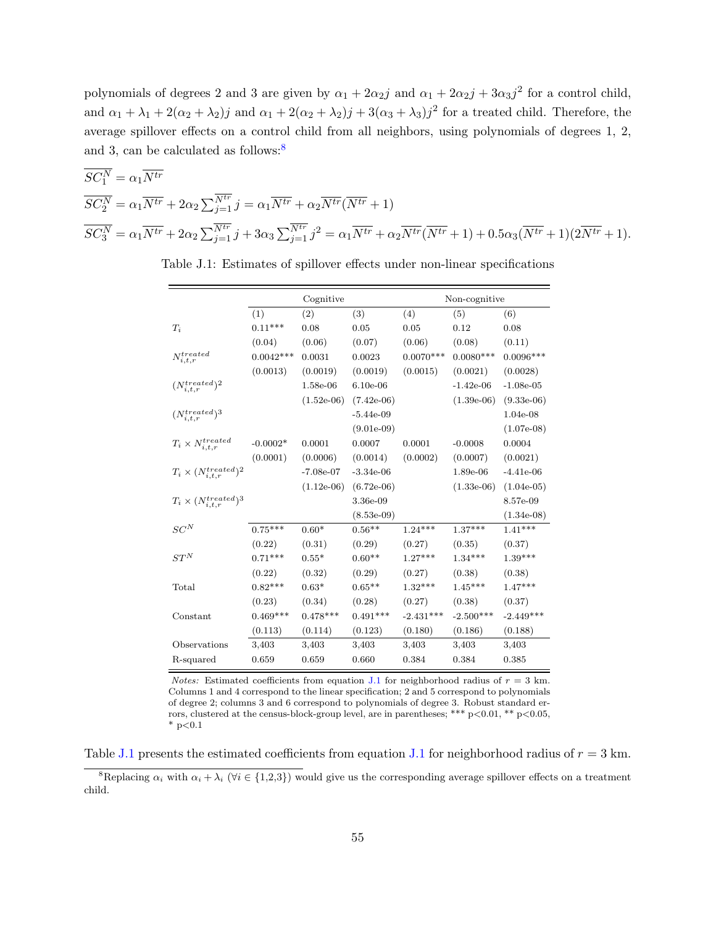polynomials of degrees 2 and 3 are given by  $\alpha_1 + 2\alpha_2 j$  and  $\alpha_1 + 2\alpha_2 j + 3\alpha_3 j^2$  for a control child, and  $\alpha_1 + \lambda_1 + 2(\alpha_2 + \lambda_2)j$  and  $\alpha_1 + 2(\alpha_2 + \lambda_2)j + 3(\alpha_3 + \lambda_3)j^2$  for a treated child. Therefore, the average spillover effects on a control child from all neighbors, using polynomials of degrees 1, 2, and 3, can be calculated as follows:<sup>[8](#page-54-0)</sup>

$$
\overline{SC_1^N} = \alpha_1 \overline{N^{tr}}
$$
  
\n
$$
\overline{SC_2^N} = \alpha_1 \overline{N^{tr}} + 2\alpha_2 \sum_{j=1}^{\overline{N^{tr}}} j = \alpha_1 \overline{N^{tr}} + \alpha_2 \overline{N^{tr}} (\overline{N^{tr}} + 1)
$$
  
\n
$$
\overline{SC_3^N} = \alpha_1 \overline{N^{tr}} + 2\alpha_2 \sum_{j=1}^{\overline{N^{tr}}} j + 3\alpha_3 \sum_{j=1}^{\overline{N^{tr}}} j^2 = \alpha_1 \overline{N^{tr}} + \alpha_2 \overline{N^{tr}} (\overline{N^{tr}} + 1) + 0.5\alpha_3 (\overline{N^{tr}} + 1)(2\overline{N^{tr}} + 1).
$$

|                                      |             | Cognitive    |                   |             | Non-cognitive |               |
|--------------------------------------|-------------|--------------|-------------------|-------------|---------------|---------------|
|                                      | (1)         | (2)          | (3)               | (4)         | (5)           | (6)           |
| $T_i$                                | $0.11***$   | 0.08         | 0.05              | 0.05        | 0.12          | 0.08          |
|                                      | (0.04)      | (0.06)       | (0.07)            | (0.06)      | (0.08)        | (0.11)        |
| $N_{i,t,r}^{treated}$                | $0.0042***$ | 0.0031       | 0.0023            | $0.0070***$ | $0.0080***$   | $0.0096***$   |
|                                      | (0.0013)    | (0.0019)     | (0.0019)          | (0.0015)    | (0.0021)      | (0.0028)      |
| $(N_{i,t,r}^{treated})^2$            |             | 1.58e-06     | $6.10e-06$        |             | $-1.42e-06$   | $-1.08e-05$   |
|                                      |             | $(1.52e-06)$ | $(7.42e-06)$      |             | $(1.39e-06)$  | $(9.33e-06)$  |
| $(N_{i,t,r}^{treated})$ <sup>3</sup> |             |              | $-5.44e-09$       |             |               | 1.04e-08      |
|                                      |             |              | $(9.01e-0.9)$     |             |               | $(1.07e-0.8)$ |
| $T_i \times N_{i,t,r}^{treated}$     | $-0.0002*$  | 0.0001       | 0.0007            | 0.0001      | $-0.0008$     | 0.0004        |
|                                      | (0.0001)    | (0.0006)     | (0.0014)          | (0.0002)    | (0.0007)      | (0.0021)      |
| $T_i \times (N_{i,t,r}^{treated})^2$ |             | $-7.08e-07$  | $-3.34e-06$       |             | 1.89e-06      | $-4.41e-06$   |
|                                      |             | $(1.12e-06)$ | $(6.72e-06)$      |             | $(1.33e-06)$  | $(1.04e-05)$  |
| $T_i \times (N_{i,t,r}^{treated})^3$ |             |              | 3.36e-09          |             |               | 8.57e-09      |
|                                      |             |              | $(8.53e-09)$      |             |               | $(1.34e-08)$  |
| $SC^N$                               | $0.75***$   | $0.60*$      | $0.56^{\ast\ast}$ | $1.24***$   | $1.37***$     | $1.41***$     |
|                                      | (0.22)      | (0.31)       | (0.29)            | (0.27)      | (0.35)        | (0.37)        |
| $ST^N$                               | $0.71***$   | $0.55*$      | $0.60**$          | $1.27***$   | $1.34***$     | $1.39***$     |
|                                      | (0.22)      | (0.32)       | (0.29)            | (0.27)      | (0.38)        | (0.38)        |
| Total                                | $0.82***$   | $0.63*$      | $0.65**$          | $1.32***$   | $1.45***$     | $1.47***$     |
|                                      | (0.23)      | (0.34)       | (0.28)            | (0.27)      | (0.38)        | (0.37)        |
| Constant                             | $0.469***$  | $0.478***$   | $0.491***$        | $-2.431***$ | $-2.500***$   | $-2.449***$   |
|                                      | (0.113)     | (0.114)      | (0.123)           | (0.180)     | (0.186)       | (0.188)       |
| Observations                         | 3,403       | 3,403        | 3,403             | 3,403       | 3,403         | 3,403         |
| R-squared                            | 0.659       | 0.659        | 0.660             | 0.384       | 0.384         | 0.385         |

<span id="page-54-1"></span>Table J.1: Estimates of spillover effects under non-linear specifications

*Notes:* Estimated coefficients from equation [J.1](#page-53-2) for neighborhood radius of  $r = 3$  km. Columns 1 and 4 correspond to the linear specification; 2 and 5 correspond to polynomials of degree 2; columns 3 and 6 correspond to polynomials of degree 3. Robust standard errors, clustered at the census-block-group level, are in parentheses; \*\*\* p<0.01, \*\* p<0.05,  $*$  p $< 0.1$ 

Table [J.1](#page-53-2) presents the estimated coefficients from equation J.1 for neighborhood radius of  $r = 3$  km.

<span id="page-54-0"></span><sup>&</sup>lt;sup>8</sup>Replacing  $\alpha_i$  with  $\alpha_i + \lambda_i$  ( $\forall i \in \{1,2,3\}$ ) would give us the corresponding average spillover effects on a treatment child.